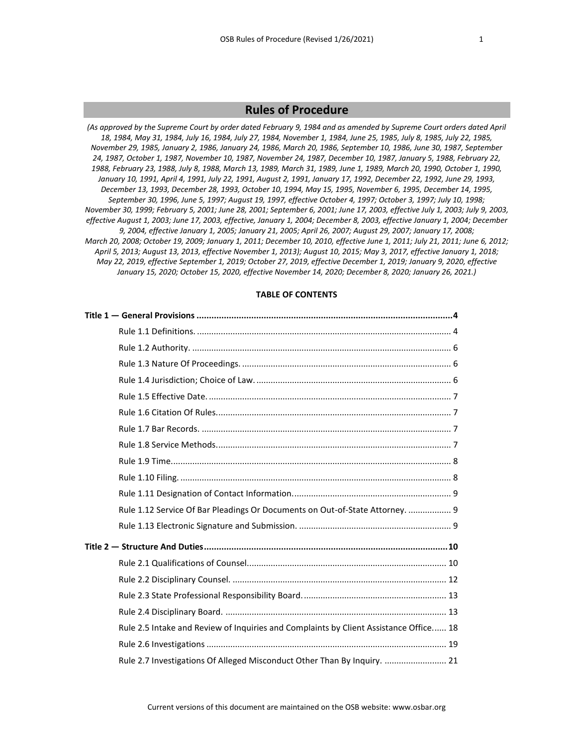# **Rules of Procedure**

*(As approved by the Supreme Court by order dated February 9, 1984 and as amended by Supreme Court orders dated April 18, 1984, May 31, 1984, July 16, 1984, July 27, 1984, November 1, 1984, June 25, 1985, July 8, 1985, July 22, 1985, November 29, 1985, January 2, 1986, January 24, 1986, March 20, 1986, September 10, 1986, June 30, 1987, September 24, 1987, October 1, 1987, November 10, 1987, November 24, 1987, December 10, 1987, January 5, 1988, February 22, 1988, February 23, 1988, July 8, 1988, March 13, 1989, March 31, 1989, June 1, 1989, March 20, 1990, October 1, 1990, January 10, 1991, April 4, 1991, July 22, 1991, August 2, 1991, January 17, 1992, December 22, 1992, June 29, 1993, December 13, 1993, December 28, 1993, October 10, 1994, May 15, 1995, November 6, 1995, December 14, 1995, September 30, 1996, June 5, 1997; August 19, 1997, effective October 4, 1997; October 3, 1997; July 10, 1998; November 30, 1999; February 5, 2001; June 28, 2001; September 6, 2001; June 17, 2003, effective July 1, 2003; July 9, 2003, effective August 1, 2003; June 17, 2003, effective, January 1, 2004; December 8, 2003, effective January 1, 2004; December 9, 2004, effective January 1, 2005; January 21, 2005; April 26, 2007; August 29, 2007; January 17, 2008; March 20, 2008; October 19, 2009; January 1, 2011; December 10, 2010, effective June 1, 2011; July 21, 2011; June 6, 2012; April 5, 2013; August 13, 2013, effective November 1, 2013); August 10, 2015; May 3, 2017, effective January 1, 2018; May 22, 2019, effective September 1, 2019; October 27, 2019, effective December 1, 2019; January 9, 2020, effective January 15, 2020; October 15, 2020, effective November 14, 2020; December 8, 2020; January 26, 2021.)*

# **TABLE OF CONTENTS**

| Rule 1.12 Service Of Bar Pleadings Or Documents on Out-of-State Attorney.  9          |  |
|---------------------------------------------------------------------------------------|--|
|                                                                                       |  |
|                                                                                       |  |
|                                                                                       |  |
|                                                                                       |  |
|                                                                                       |  |
|                                                                                       |  |
| Rule 2.5 Intake and Review of Inquiries and Complaints by Client Assistance Office 18 |  |
|                                                                                       |  |
| Rule 2.7 Investigations Of Alleged Misconduct Other Than By Inquiry.  21              |  |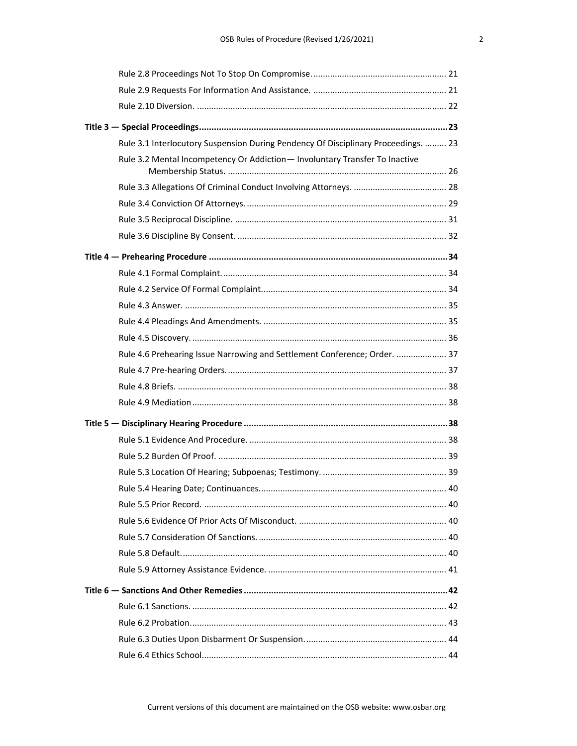| Rule 3.1 Interlocutory Suspension During Pendency Of Disciplinary Proceedings.  23 |  |
|------------------------------------------------------------------------------------|--|
| Rule 3.2 Mental Incompetency Or Addiction - Involuntary Transfer To Inactive       |  |
|                                                                                    |  |
|                                                                                    |  |
|                                                                                    |  |
|                                                                                    |  |
|                                                                                    |  |
|                                                                                    |  |
|                                                                                    |  |
|                                                                                    |  |
|                                                                                    |  |
|                                                                                    |  |
|                                                                                    |  |
| Rule 4.6 Prehearing Issue Narrowing and Settlement Conference; Order.  37          |  |
|                                                                                    |  |
|                                                                                    |  |
|                                                                                    |  |
|                                                                                    |  |
|                                                                                    |  |
|                                                                                    |  |
|                                                                                    |  |
|                                                                                    |  |
|                                                                                    |  |
|                                                                                    |  |
|                                                                                    |  |
|                                                                                    |  |
|                                                                                    |  |
|                                                                                    |  |
|                                                                                    |  |
|                                                                                    |  |
|                                                                                    |  |
|                                                                                    |  |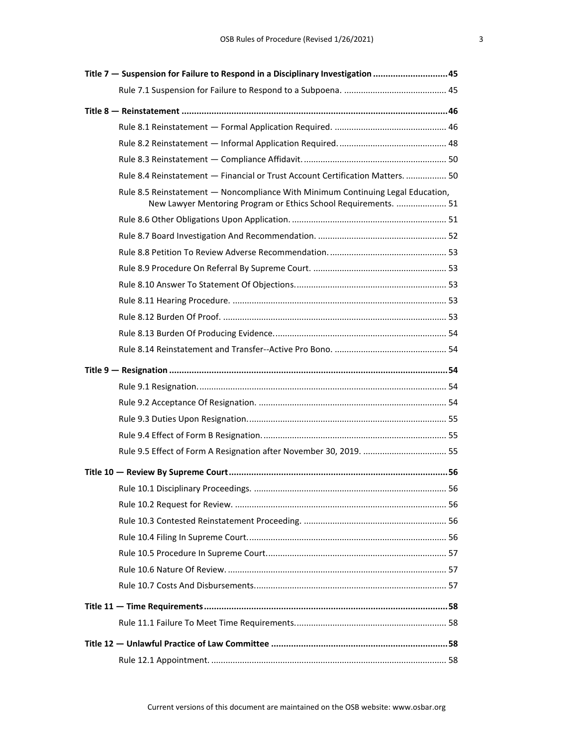| Title 7 - Suspension for Failure to Respond in a Disciplinary Investigation 45                                                                     |    |
|----------------------------------------------------------------------------------------------------------------------------------------------------|----|
|                                                                                                                                                    |    |
|                                                                                                                                                    |    |
|                                                                                                                                                    |    |
|                                                                                                                                                    |    |
|                                                                                                                                                    |    |
| Rule 8.4 Reinstatement - Financial or Trust Account Certification Matters.  50                                                                     |    |
| Rule 8.5 Reinstatement - Noncompliance With Minimum Continuing Legal Education,<br>New Lawyer Mentoring Program or Ethics School Requirements.  51 |    |
|                                                                                                                                                    |    |
|                                                                                                                                                    |    |
|                                                                                                                                                    |    |
|                                                                                                                                                    |    |
|                                                                                                                                                    |    |
|                                                                                                                                                    |    |
|                                                                                                                                                    |    |
|                                                                                                                                                    |    |
|                                                                                                                                                    |    |
|                                                                                                                                                    |    |
|                                                                                                                                                    |    |
|                                                                                                                                                    |    |
|                                                                                                                                                    |    |
|                                                                                                                                                    |    |
| Rule 9.5 Effect of Form A Resignation after November 30, 2019.  55                                                                                 |    |
|                                                                                                                                                    |    |
|                                                                                                                                                    | 56 |
|                                                                                                                                                    |    |
|                                                                                                                                                    |    |
|                                                                                                                                                    |    |
|                                                                                                                                                    |    |
|                                                                                                                                                    |    |
|                                                                                                                                                    |    |
|                                                                                                                                                    |    |
|                                                                                                                                                    |    |
|                                                                                                                                                    |    |
|                                                                                                                                                    |    |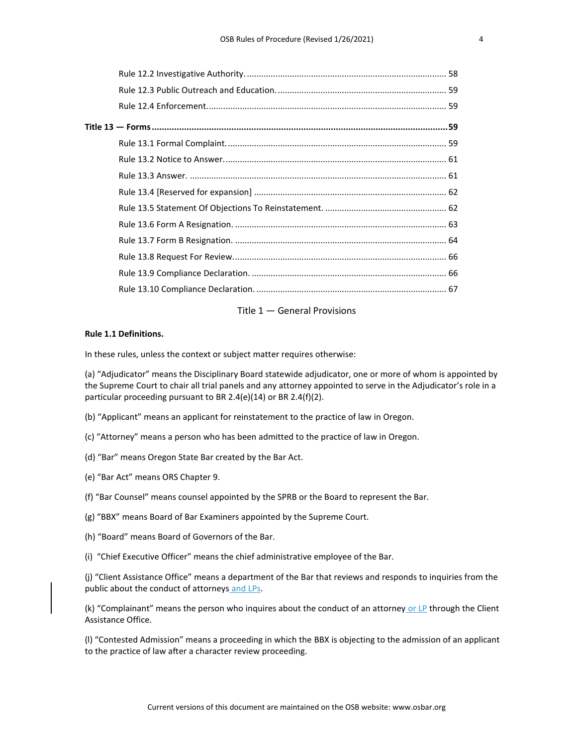# Title 1 — General Provisions

#### **Rule 1.1 Definitions.**

In these rules, unless the context or subject matter requires otherwise:

(a) "Adjudicator" means the Disciplinary Board statewide adjudicator, one or more of whom is appointed by the Supreme Court to chair all trial panels and any attorney appointed to serve in the Adjudicator's role in a particular proceeding pursuant to BR 2.4(e)(14) or BR 2.4(f)(2).

- (b) "Applicant" means an applicant for reinstatement to the practice of law in Oregon.
- (c) "Attorney" means a person who has been admitted to the practice of law in Oregon.
- (d) "Bar" means Oregon State Bar created by the Bar Act.
- (e) "Bar Act" means ORS Chapter 9.
- (f) "Bar Counsel" means counsel appointed by the SPRB or the Board to represent the Bar.
- (g) "BBX" means Board of Bar Examiners appointed by the Supreme Court.
- (h) "Board" means Board of Governors of the Bar.
- (i) "Chief Executive Officer" means the chief administrative employee of the Bar.

(j) "Client Assistance Office" means a department of the Bar that reviews and responds to inquiries from the public about the conduct of attorneys and LPs.

(k) "Complainant" means the person who inquires about the conduct of an attorney or LP through the Client Assistance Office.

(l) "Contested Admission" means a proceeding in which the BBX is objecting to the admission of an applicant to the practice of law after a character review proceeding.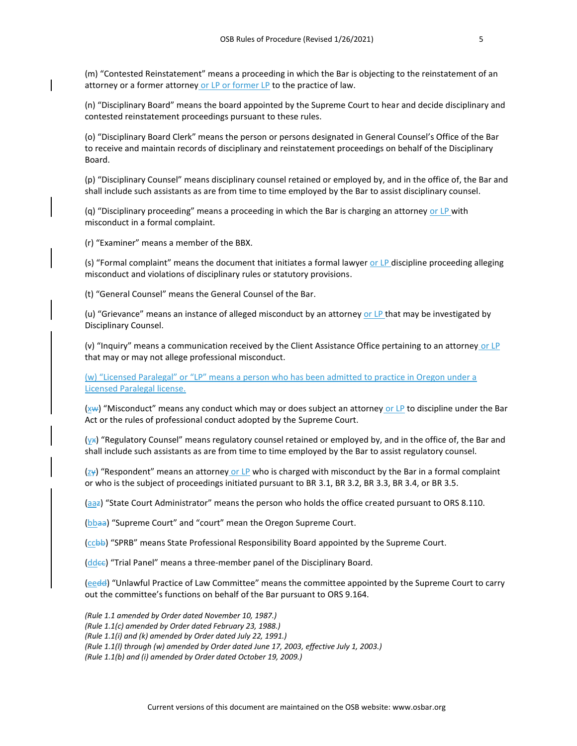(m) "Contested Reinstatement" means a proceeding in which the Bar is objecting to the reinstatement of an attorney or a former attorney or LP or former LP to the practice of law.

(n) "Disciplinary Board" means the board appointed by the Supreme Court to hear and decide disciplinary and contested reinstatement proceedings pursuant to these rules.

(o) "Disciplinary Board Clerk" means the person or persons designated in General Counsel's Office of the Bar to receive and maintain records of disciplinary and reinstatement proceedings on behalf of the Disciplinary Board.

(p) "Disciplinary Counsel" means disciplinary counsel retained or employed by, and in the office of, the Bar and shall include such assistants as are from time to time employed by the Bar to assist disciplinary counsel.

(q) "Disciplinary proceeding" means a proceeding in which the Bar is charging an attorney or  $LP$  with misconduct in a formal complaint.

(r) "Examiner" means a member of the BBX.

(s) "Formal complaint" means the document that initiates a formal lawyer or LP discipline proceeding alleging misconduct and violations of disciplinary rules or statutory provisions.

(t) "General Counsel" means the General Counsel of the Bar.

(u) "Grievance" means an instance of alleged misconduct by an attorney or LP that may be investigated by Disciplinary Counsel.

(v) "Inquiry" means a communication received by the Client Assistance Office pertaining to an attorney or LP that may or may not allege professional misconduct.

(w) "Licensed Paralegal" or "LP" means a person who has been admitted to practice in Oregon under a Licensed Paralegal license.

 $(xw)$  "Misconduct" means any conduct which may or does subject an attorney or LP to discipline under the Bar Act or the rules of professional conduct adopted by the Supreme Court.

 $(y*)$  "Regulatory Counsel" means regulatory counsel retained or employed by, and in the office of, the Bar and shall include such assistants as are from time to time employed by the Bar to assist regulatory counsel.

 $(\frac{ZY}{r})$  "Respondent" means an attorney or LP who is charged with misconduct by the Bar in a formal complaint or who is the subject of proceedings initiated pursuant to BR 3.1, BR 3.2, BR 3.3, BR 3.4, or BR 3.5.

(aaz) "State Court Administrator" means the person who holds the office created pursuant to ORS 8.110.

(bbaa) "Supreme Court" and "court" mean the Oregon Supreme Court.

(ccbb) "SPRB" means State Professional Responsibility Board appointed by the Supreme Court.

 $(dde)$  "Trial Panel" means a three-member panel of the Disciplinary Board.

(eedd) "Unlawful Practice of Law Committee" means the committee appointed by the Supreme Court to carry out the committee's functions on behalf of the Bar pursuant to ORS 9.164.

*(Rule 1.1 amended by Order dated November 10, 1987.) (Rule 1.1(c) amended by Order dated February 23, 1988.) (Rule 1.1(i) and (k) amended by Order dated July 22, 1991.) (Rule 1.1(l) through (w) amended by Order dated June 17, 2003, effective July 1, 2003.) (Rule 1.1(b) and (i) amended by Order dated October 19, 2009.)*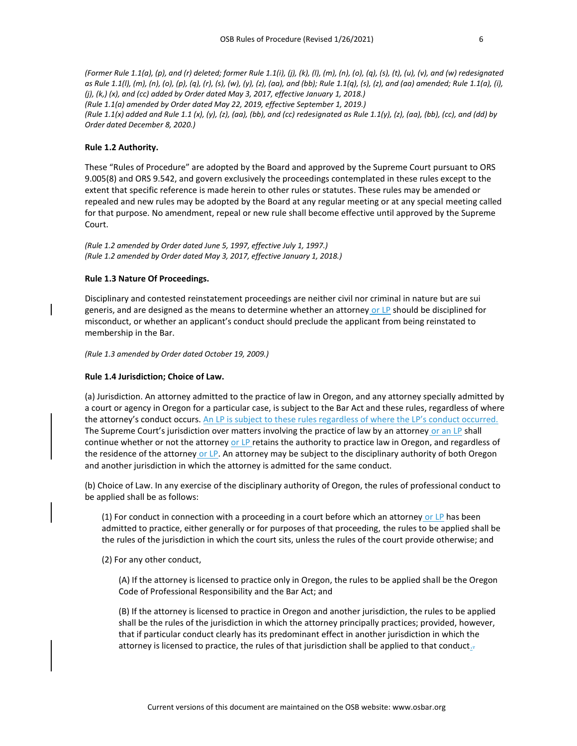*(Former Rule 1.1(a), (p), and (r) deleted; former Rule 1.1(i), (j), (k), (l), (m), (n), (o), (q), (s), (t), (u), (v), and (w) redesignated as Rule 1.1(l), (m), (n), (o), (p), (q), (r), (s), (w), (y), (z), (aa), and (bb); Rule 1.1(q), (s), (z), and (aa) amended; Rule 1.1(a), (i), (j), (k,) (x), and (cc) added by Order dated May 3, 2017, effective January 1, 2018.) (Rule 1.1(a) amended by Order dated May 22, 2019, effective September 1, 2019.) (Rule 1.1(x) added and Rule 1.1 (x), (y), (z), (aa), (bb), and (cc) redesignated as Rule 1.1(y), (z), (aa), (bb), (cc), and (dd) by Order dated December 8, 2020.)*

#### **Rule 1.2 Authority.**

These "Rules of Procedure" are adopted by the Board and approved by the Supreme Court pursuant to ORS 9.005(8) and ORS 9.542, and govern exclusively the proceedings contemplated in these rules except to the extent that specific reference is made herein to other rules or statutes. These rules may be amended or repealed and new rules may be adopted by the Board at any regular meeting or at any special meeting called for that purpose. No amendment, repeal or new rule shall become effective until approved by the Supreme Court.

*(Rule 1.2 amended by Order dated June 5, 1997, effective July 1, 1997.) (Rule 1.2 amended by Order dated May 3, 2017, effective January 1, 2018.)*

#### **Rule 1.3 Nature Of Proceedings.**

Disciplinary and contested reinstatement proceedings are neither civil nor criminal in nature but are sui generis, and are designed as the means to determine whether an attorney or LP should be disciplined for misconduct, or whether an applicant's conduct should preclude the applicant from being reinstated to membership in the Bar.

*(Rule 1.3 amended by Order dated October 19, 2009.)*

#### **Rule 1.4 Jurisdiction; Choice of Law.**

(a) Jurisdiction. An attorney admitted to the practice of law in Oregon, and any attorney specially admitted by a court or agency in Oregon for a particular case, is subject to the Bar Act and these rules, regardless of where the attorney's conduct occurs. An LP is subject to these rules regardless of where the LP's conduct occurred. The Supreme Court's jurisdiction over matters involving the practice of law by an attorney or an LP shall continue whether or not the attorney or LP retains the authority to practice law in Oregon, and regardless of the residence of the attorney or LP. An attorney may be subject to the disciplinary authority of both Oregon and another jurisdiction in which the attorney is admitted for the same conduct.

(b) Choice of Law. In any exercise of the disciplinary authority of Oregon, the rules of professional conduct to be applied shall be as follows:

 $(1)$  For conduct in connection with a proceeding in a court before which an attorney or LP has been admitted to practice, either generally or for purposes of that proceeding, the rules to be applied shall be the rules of the jurisdiction in which the court sits, unless the rules of the court provide otherwise; and

(2) For any other conduct,

(A) If the attorney is licensed to practice only in Oregon, the rules to be applied shall be the Oregon Code of Professional Responsibility and the Bar Act; and

(B) If the attorney is licensed to practice in Oregon and another jurisdiction, the rules to be applied shall be the rules of the jurisdiction in which the attorney principally practices; provided, however, that if particular conduct clearly has its predominant effect in another jurisdiction in which the attorney is licensed to practice, the rules of that jurisdiction shall be applied to that conduct.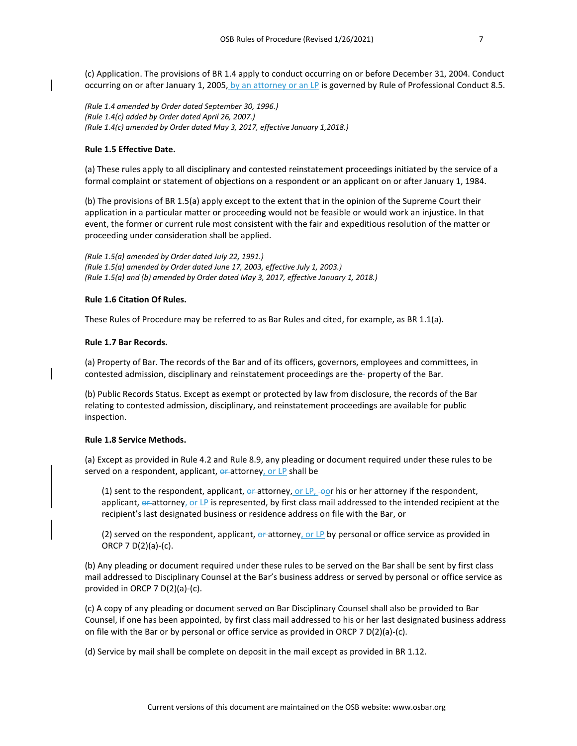(c) Application. The provisions of BR 1.4 apply to conduct occurring on or before December 31, 2004. Conduct occurring on or after January 1, 2005, by an attorney or an LP is governed by Rule of Professional Conduct 8.5.

*(Rule 1.4 amended by Order dated September 30, 1996.) (Rule 1.4(c) added by Order dated April 26, 2007.) (Rule 1.4(c) amended by Order dated May 3, 2017, effective January 1,2018.)*

# **Rule 1.5 Effective Date.**

(a) These rules apply to all disciplinary and contested reinstatement proceedings initiated by the service of a formal complaint or statement of objections on a respondent or an applicant on or after January 1, 1984.

(b) The provisions of BR 1.5(a) apply except to the extent that in the opinion of the Supreme Court their application in a particular matter or proceeding would not be feasible or would work an injustice. In that event, the former or current rule most consistent with the fair and expeditious resolution of the matter or proceeding under consideration shall be applied.

*(Rule 1.5(a) amended by Order dated July 22, 1991.) (Rule 1.5(a) amended by Order dated June 17, 2003, effective July 1, 2003.) (Rule 1.5(a) and (b) amended by Order dated May 3, 2017, effective January 1, 2018.)*

#### **Rule 1.6 Citation Of Rules.**

These Rules of Procedure may be referred to as Bar Rules and cited, for example, as BR 1.1(a).

#### **Rule 1.7 Bar Records.**

(a) Property of Bar. The records of the Bar and of its officers, governors, employees and committees, in contested admission, disciplinary and reinstatement proceedings are the-property of the Bar.

(b) Public Records Status. Except as exempt or protected by law from disclosure, the records of the Bar relating to contested admission, disciplinary, and reinstatement proceedings are available for public inspection.

#### **Rule 1.8 Service Methods.**

(a) Except as provided in Rule 4.2 and Rule 8.9, any pleading or document required under these rules to be served on a respondent, applicant,  $\theta$ <sup>-</sup>attorney, or LP shall be

(1) sent to the respondent, applicant,  $\theta$  attorney, or LP,  $-\theta$  c his or her attorney if the respondent, applicant, or attorney, or LP is represented, by first class mail addressed to the intended recipient at the recipient's last designated business or residence address on file with the Bar, or

(2) served on the respondent, applicant,  $\theta$  attorney, or LP by personal or office service as provided in ORCP 7 D(2)(a)-(c).

(b) Any pleading or document required under these rules to be served on the Bar shall be sent by first class mail addressed to Disciplinary Counsel at the Bar's business address or served by personal or office service as provided in ORCP 7 D(2)(a)-(c).

(c) A copy of any pleading or document served on Bar Disciplinary Counsel shall also be provided to Bar Counsel, if one has been appointed, by first class mail addressed to his or her last designated business address on file with the Bar or by personal or office service as provided in ORCP 7 D(2)(a)-(c).

(d) Service by mail shall be complete on deposit in the mail except as provided in BR 1.12.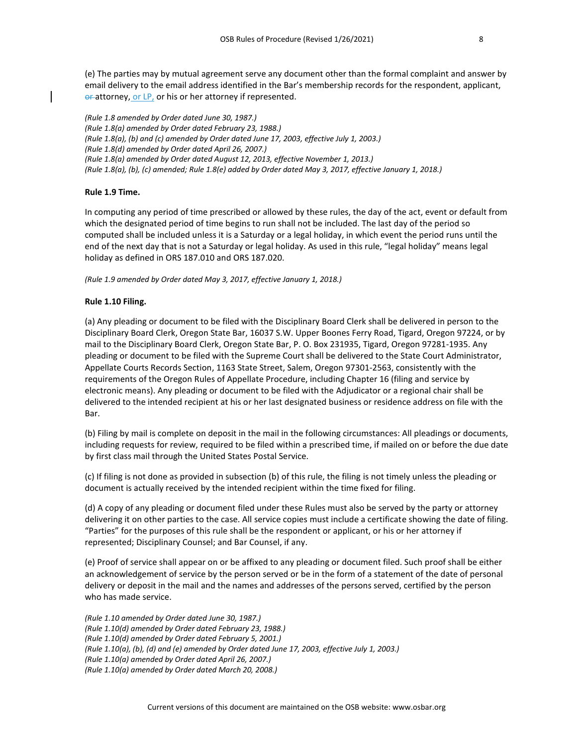(e) The parties may by mutual agreement serve any document other than the formal complaint and answer by email delivery to the email address identified in the Bar's membership records for the respondent, applicant, or attorney, or LP, or his or her attorney if represented.

*(Rule 1.8 amended by Order dated June 30, 1987.) (Rule 1.8(a) amended by Order dated February 23, 1988.) (Rule 1.8(a), (b) and (c) amended by Order dated June 17, 2003, effective July 1, 2003.) (Rule 1.8(d) amended by Order dated April 26, 2007.) (Rule 1.8(a) amended by Order dated August 12, 2013, effective November 1, 2013.) (Rule 1.8(a), (b), (c) amended; Rule 1.8(e) added by Order dated May 3, 2017, effective January 1, 2018.)*

# **Rule 1.9 Time.**

In computing any period of time prescribed or allowed by these rules, the day of the act, event or default from which the designated period of time begins to run shall not be included. The last day of the period so computed shall be included unless it is a Saturday or a legal holiday, in which event the period runs until the end of the next day that is not a Saturday or legal holiday. As used in this rule, "legal holiday" means legal holiday as defined in ORS 187.010 and ORS 187.020.

*(Rule 1.9 amended by Order dated May 3, 2017, effective January 1, 2018.)*

# **Rule 1.10 Filing.**

(a) Any pleading or document to be filed with the Disciplinary Board Clerk shall be delivered in person to the Disciplinary Board Clerk, Oregon State Bar, 16037 S.W. Upper Boones Ferry Road, Tigard, Oregon 97224, or by mail to the Disciplinary Board Clerk, Oregon State Bar, P. O. Box 231935, Tigard, Oregon 97281-1935. Any pleading or document to be filed with the Supreme Court shall be delivered to the State Court Administrator, Appellate Courts Records Section, 1163 State Street, Salem, Oregon 97301-2563, consistently with the requirements of the Oregon Rules of Appellate Procedure, including Chapter 16 (filing and service by electronic means). Any pleading or document to be filed with the Adjudicator or a regional chair shall be delivered to the intended recipient at his or her last designated business or residence address on file with the Bar.

(b) Filing by mail is complete on deposit in the mail in the following circumstances: All pleadings or documents, including requests for review, required to be filed within a prescribed time, if mailed on or before the due date by first class mail through the United States Postal Service.

(c) If filing is not done as provided in subsection (b) of this rule, the filing is not timely unless the pleading or document is actually received by the intended recipient within the time fixed for filing.

(d) A copy of any pleading or document filed under these Rules must also be served by the party or attorney delivering it on other parties to the case. All service copies must include a certificate showing the date of filing. "Parties" for the purposes of this rule shall be the respondent or applicant, or his or her attorney if represented; Disciplinary Counsel; and Bar Counsel, if any.

(e) Proof of service shall appear on or be affixed to any pleading or document filed. Such proof shall be either an acknowledgement of service by the person served or be in the form of a statement of the date of personal delivery or deposit in the mail and the names and addresses of the persons served, certified by the person who has made service.

*(Rule 1.10 amended by Order dated June 30, 1987.) (Rule 1.10(d) amended by Order dated February 23, 1988.) (Rule 1.10(d) amended by Order dated February 5, 2001.) (Rule 1.10(a), (b), (d) and (e) amended by Order dated June 17, 2003, effective July 1, 2003.) (Rule 1.10(a) amended by Order dated April 26, 2007.) (Rule 1.10(a) amended by Order dated March 20, 2008.)*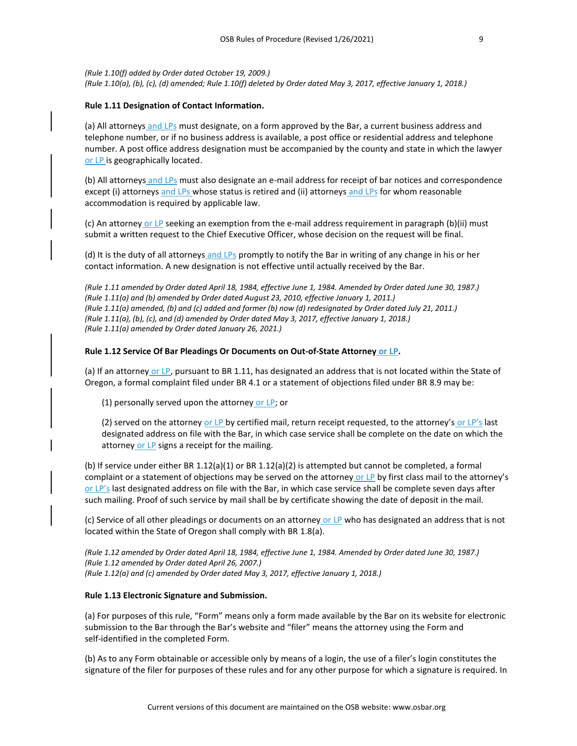*(Rule 1.10(f) added by Order dated October 19, 2009.) (Rule 1.10(a), (b), (c), (d) amended; Rule 1.10(f) deleted by Order dated May 3, 2017, effective January 1, 2018.)*

# **Rule 1.11 Designation of Contact Information.**

(a) All attorneys and LPs must designate, on a form approved by the Bar, a current business address and telephone number, or if no business address is available, a post office or residential address and telephone number. A post office address designation must be accompanied by the county and state in which the lawyer or LP is geographically located.

(b) All attorneys and LPs must also designate an e-mail address for receipt of bar notices and correspondence except (i) attorneys and LPs whose status is retired and (ii) attorneys and LPs for whom reasonable accommodation is required by applicable law.

(c) An attorney or LP seeking an exemption from the e-mail address requirement in paragraph (b)(ii) must submit a written request to the Chief Executive Officer, whose decision on the request will be final.

(d) It is the duty of all attorneys and LPs promptly to notify the Bar in writing of any change in his or her contact information. A new designation is not effective until actually received by the Bar.

*(Rule 1.11 amended by Order dated April 18, 1984, effective June 1, 1984. Amended by Order dated June 30, 1987.) (Rule 1.11(a) and (b) amended by Order dated August 23, 2010, effective January 1, 2011.) (Rule 1.11(a) amended, (b) and (c) added and former (b) now (d) redesignated by Order dated July 21, 2011.) (Rule 1.11(a), (b), (c), and (d) amended by Order dated May 3, 2017, effective January 1, 2018.) (Rule 1.11(a) amended by Order dated January 26, 2021.)*

# **Rule 1.12 Service Of Bar Pleadings Or Documents on Out-of-State Attorney or LP.**

(a) If an attorney or LP, pursuant to BR 1.11, has designated an address that is not located within the State of Oregon, a formal complaint filed under BR 4.1 or a statement of objections filed under BR 8.9 may be:

(1) personally served upon the attorney or LP; or

(2) served on the attorney or LP by certified mail, return receipt requested, to the attorney's or LP's last designated address on file with the Bar, in which case service shall be complete on the date on which the attorney or LP signs a receipt for the mailing.

(b) If service under either BR 1.12(a)(1) or BR 1.12(a)(2) is attempted but cannot be completed, a formal complaint or a statement of objections may be served on the attorney or LP by first class mail to the attorney's or LP's last designated address on file with the Bar, in which case service shall be complete seven days after such mailing. Proof of such service by mail shall be by certificate showing the date of deposit in the mail.

(c) Service of all other pleadings or documents on an attorney or LP who has designated an address that is not located within the State of Oregon shall comply with BR 1.8(a).

*(Rule 1.12 amended by Order dated April 18, 1984, effective June 1, 1984. Amended by Order dated June 30, 1987.) (Rule 1.12 amended by Order dated April 26, 2007.) (Rule 1.12(a) and (c) amended by Order dated May 3, 2017, effective January 1, 2018.)*

# **Rule 1.13 Electronic Signature and Submission.**

(a) For purposes of this rule, "Form" means only a form made available by the Bar on its website for electronic submission to the Bar through the Bar's website and "filer" means the attorney using the Form and self-identified in the completed Form.

(b) As to any Form obtainable or accessible only by means of a login, the use of a filer's login constitutes the signature of the filer for purposes of these rules and for any other purpose for which a signature is required. In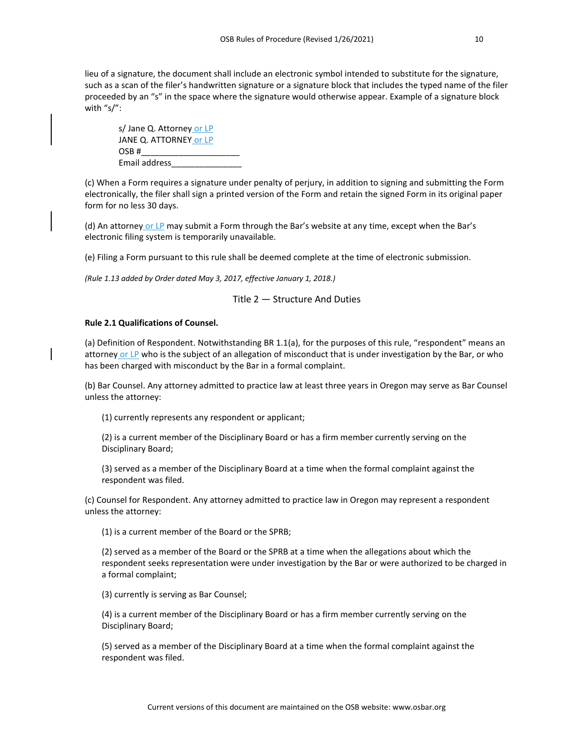lieu of a signature, the document shall include an electronic symbol intended to substitute for the signature, such as a scan of the filer's handwritten signature or a signature block that includes the typed name of the filer proceeded by an "s" in the space where the signature would otherwise appear. Example of a signature block with "s/":

s/ Jane Q. Attorney or LP JANE Q. ATTORNEY or LP OSB #\_\_\_\_\_\_\_\_\_\_\_\_\_\_\_\_\_\_\_\_\_ Email address\_\_\_\_\_\_\_\_\_\_\_\_\_\_\_

(c) When a Form requires a signature under penalty of perjury, in addition to signing and submitting the Form electronically, the filer shall sign a printed version of the Form and retain the signed Form in its original paper form for no less 30 days.

(d) An attorney or LP may submit a Form through the Bar's website at any time, except when the Bar's electronic filing system is temporarily unavailable.

(e) Filing a Form pursuant to this rule shall be deemed complete at the time of electronic submission.

*(Rule 1.13 added by Order dated May 3, 2017, effective January 1, 2018.)*

# Title 2 — Structure And Duties

#### **Rule 2.1 Qualifications of Counsel.**

(a) Definition of Respondent. Notwithstanding BR 1.1(a), for the purposes of this rule, "respondent" means an attorney or LP who is the subject of an allegation of misconduct that is under investigation by the Bar, or who has been charged with misconduct by the Bar in a formal complaint.

(b) Bar Counsel. Any attorney admitted to practice law at least three years in Oregon may serve as Bar Counsel unless the attorney:

(1) currently represents any respondent or applicant;

(2) is a current member of the Disciplinary Board or has a firm member currently serving on the Disciplinary Board;

(3) served as a member of the Disciplinary Board at a time when the formal complaint against the respondent was filed.

(c) Counsel for Respondent. Any attorney admitted to practice law in Oregon may represent a respondent unless the attorney:

(1) is a current member of the Board or the SPRB;

(2) served as a member of the Board or the SPRB at a time when the allegations about which the respondent seeks representation were under investigation by the Bar or were authorized to be charged in a formal complaint;

(3) currently is serving as Bar Counsel;

(4) is a current member of the Disciplinary Board or has a firm member currently serving on the Disciplinary Board;

(5) served as a member of the Disciplinary Board at a time when the formal complaint against the respondent was filed.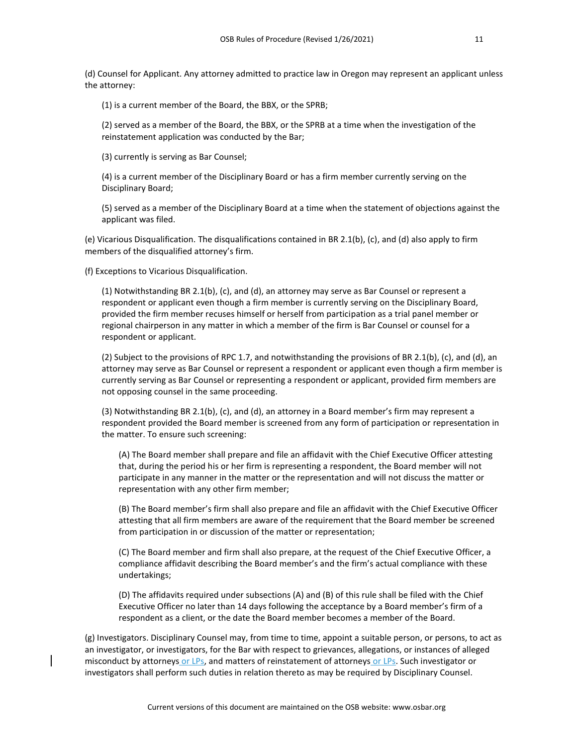(d) Counsel for Applicant. Any attorney admitted to practice law in Oregon may represent an applicant unless the attorney:

(1) is a current member of the Board, the BBX, or the SPRB;

(2) served as a member of the Board, the BBX, or the SPRB at a time when the investigation of the reinstatement application was conducted by the Bar;

(3) currently is serving as Bar Counsel;

(4) is a current member of the Disciplinary Board or has a firm member currently serving on the Disciplinary Board;

(5) served as a member of the Disciplinary Board at a time when the statement of objections against the applicant was filed.

(e) Vicarious Disqualification. The disqualifications contained in BR 2.1(b), (c), and (d) also apply to firm members of the disqualified attorney's firm.

(f) Exceptions to Vicarious Disqualification.

(1) Notwithstanding BR 2.1(b), (c), and (d), an attorney may serve as Bar Counsel or represent a respondent or applicant even though a firm member is currently serving on the Disciplinary Board, provided the firm member recuses himself or herself from participation as a trial panel member or regional chairperson in any matter in which a member of the firm is Bar Counsel or counsel for a respondent or applicant.

(2) Subject to the provisions of RPC 1.7, and notwithstanding the provisions of BR 2.1(b), (c), and (d), an attorney may serve as Bar Counsel or represent a respondent or applicant even though a firm member is currently serving as Bar Counsel or representing a respondent or applicant, provided firm members are not opposing counsel in the same proceeding.

(3) Notwithstanding BR 2.1(b), (c), and (d), an attorney in a Board member's firm may represent a respondent provided the Board member is screened from any form of participation or representation in the matter. To ensure such screening:

(A) The Board member shall prepare and file an affidavit with the Chief Executive Officer attesting that, during the period his or her firm is representing a respondent, the Board member will not participate in any manner in the matter or the representation and will not discuss the matter or representation with any other firm member;

(B) The Board member's firm shall also prepare and file an affidavit with the Chief Executive Officer attesting that all firm members are aware of the requirement that the Board member be screened from participation in or discussion of the matter or representation;

(C) The Board member and firm shall also prepare, at the request of the Chief Executive Officer, a compliance affidavit describing the Board member's and the firm's actual compliance with these undertakings;

(D) The affidavits required under subsections (A) and (B) of this rule shall be filed with the Chief Executive Officer no later than 14 days following the acceptance by a Board member's firm of a respondent as a client, or the date the Board member becomes a member of the Board.

(g) Investigators. Disciplinary Counsel may, from time to time, appoint a suitable person, or persons, to act as an investigator, or investigators, for the Bar with respect to grievances, allegations, or instances of alleged misconduct by attorneys or LPs, and matters of reinstatement of attorneys or LPs. Such investigator or investigators shall perform such duties in relation thereto as may be required by Disciplinary Counsel.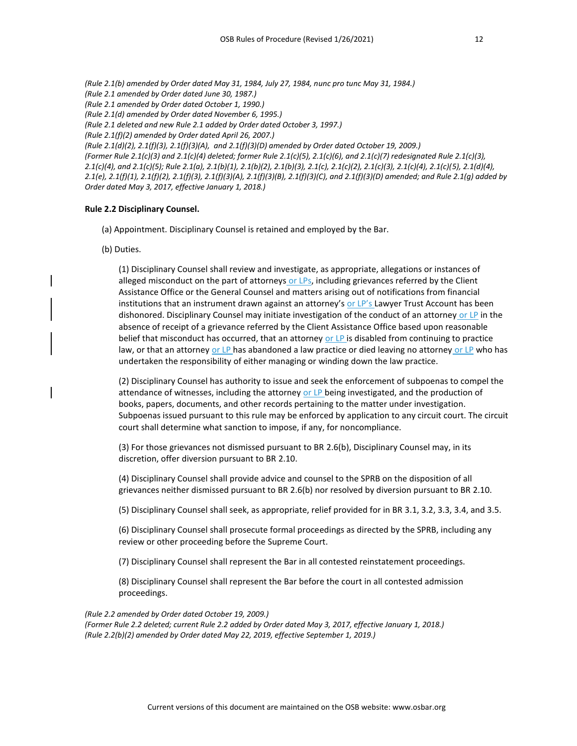*(Rule 2.1(b) amended by Order dated May 31, 1984, July 27, 1984, nunc pro tunc May 31, 1984.) (Rule 2.1 amended by Order dated June 30, 1987.) (Rule 2.1 amended by Order dated October 1, 1990.) (Rule 2.1(d) amended by Order dated November 6, 1995.) (Rule 2.1 deleted and new Rule 2.1 added by Order dated October 3, 1997.) (Rule 2.1(f)(2) amended by Order dated April 26, 2007.) (Rule 2.1(d)(2), 2.1(f)(3), 2.1(f)(3)(A), and 2.1(f)(3)(D) amended by Order dated October 19, 2009.) (Former Rule 2.1(c)(3) and 2.1(c)(4) deleted; former Rule 2.1(c)(5), 2.1(c)(6), and 2.1(c)(7) redesignated Rule 2.1(c)(3), 2.1(c)(4), and 2.1(c)(5); Rule 2.1(a), 2.1(b)(1), 2.1(b)(2), 2.1(b)(3), 2.1(c), 2.1(c)(2), 2.1(c)(3), 2.1(c)(4), 2.1(c)(5), 2.1(d)(4), 2.1(e), 2.1(f)(1), 2.1(f)(2), 2.1(f)(3), 2.1(f)(3)(A), 2.1(f)(3)(B), 2.1(f)(3)(C), and 2.1(f)(3)(D) amended; and Rule 2.1(g) added by Order dated May 3, 2017, effective January 1, 2018.)*

#### **Rule 2.2 Disciplinary Counsel.**

- (a) Appointment. Disciplinary Counsel is retained and employed by the Bar.
- (b) Duties.

(1) Disciplinary Counsel shall review and investigate, as appropriate, allegations or instances of alleged misconduct on the part of attorneys or LPs, including grievances referred by the Client Assistance Office or the General Counsel and matters arising out of notifications from financial institutions that an instrument drawn against an attorney's or  $LP's$  Lawyer Trust Account has been dishonored. Disciplinary Counsel may initiate investigation of the conduct of an attorney or LP in the absence of receipt of a grievance referred by the Client Assistance Office based upon reasonable belief that misconduct has occurred, that an attorney or LP is disabled from continuing to practice law, or that an attorney or LP has abandoned a law practice or died leaving no attorney or LP who has undertaken the responsibility of either managing or winding down the law practice.

(2) Disciplinary Counsel has authority to issue and seek the enforcement of subpoenas to compel the attendance of witnesses, including the attorney or LP being investigated, and the production of books, papers, documents, and other records pertaining to the matter under investigation. Subpoenas issued pursuant to this rule may be enforced by application to any circuit court. The circuit court shall determine what sanction to impose, if any, for noncompliance.

(3) For those grievances not dismissed pursuant to BR 2.6(b), Disciplinary Counsel may, in its discretion, offer diversion pursuant to BR 2.10.

(4) Disciplinary Counsel shall provide advice and counsel to the SPRB on the disposition of all grievances neither dismissed pursuant to BR 2.6(b) nor resolved by diversion pursuant to BR 2.10.

(5) Disciplinary Counsel shall seek, as appropriate, relief provided for in BR 3.1, 3.2, 3.3, 3.4, and 3.5.

(6) Disciplinary Counsel shall prosecute formal proceedings as directed by the SPRB, including any review or other proceeding before the Supreme Court.

(7) Disciplinary Counsel shall represent the Bar in all contested reinstatement proceedings.

(8) Disciplinary Counsel shall represent the Bar before the court in all contested admission proceedings.

#### *(Rule 2.2 amended by Order dated October 19, 2009.)*

*(Former Rule 2.2 deleted; current Rule 2.2 added by Order dated May 3, 2017, effective January 1, 2018.) (Rule 2.2(b)(2) amended by Order dated May 22, 2019, effective September 1, 2019.)*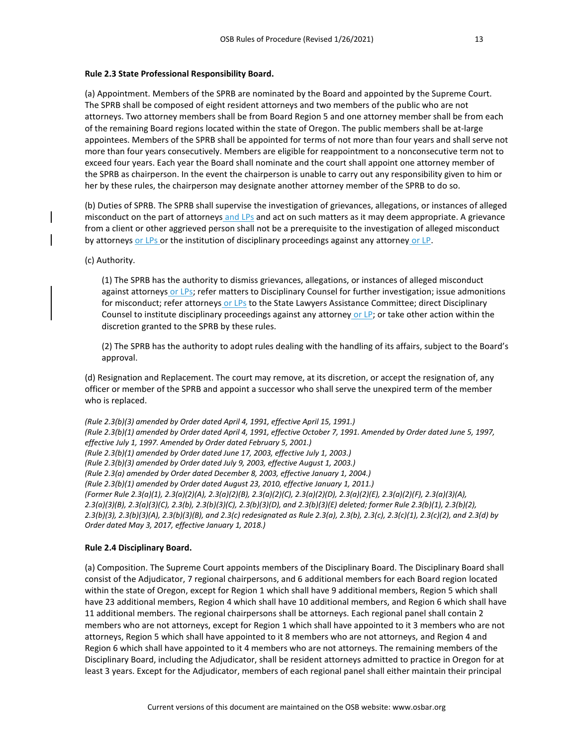# **Rule 2.3 State Professional Responsibility Board.**

(a) Appointment. Members of the SPRB are nominated by the Board and appointed by the Supreme Court. The SPRB shall be composed of eight resident attorneys and two members of the public who are not attorneys. Two attorney members shall be from Board Region 5 and one attorney member shall be from each of the remaining Board regions located within the state of Oregon. The public members shall be at-large appointees. Members of the SPRB shall be appointed for terms of not more than four years and shall serve not more than four years consecutively. Members are eligible for reappointment to a nonconsecutive term not to exceed four years. Each year the Board shall nominate and the court shall appoint one attorney member of the SPRB as chairperson. In the event the chairperson is unable to carry out any responsibility given to him or her by these rules, the chairperson may designate another attorney member of the SPRB to do so.

(b) Duties of SPRB. The SPRB shall supervise the investigation of grievances, allegations, or instances of alleged misconduct on the part of attorneys and LPs and act on such matters as it may deem appropriate. A grievance from a client or other aggrieved person shall not be a prerequisite to the investigation of alleged misconduct by attorneys or LPs or the institution of disciplinary proceedings against any attorney or LP.

# (c) Authority.

(1) The SPRB has the authority to dismiss grievances, allegations, or instances of alleged misconduct against attorneys or LPs; refer matters to Disciplinary Counsel for further investigation; issue admonitions for misconduct; refer attorneys or LPs to the State Lawyers Assistance Committee; direct Disciplinary Counsel to institute disciplinary proceedings against any attorney or LP; or take other action within the discretion granted to the SPRB by these rules.

(2) The SPRB has the authority to adopt rules dealing with the handling of its affairs, subject to the Board's approval.

(d) Resignation and Replacement. The court may remove, at its discretion, or accept the resignation of, any officer or member of the SPRB and appoint a successor who shall serve the unexpired term of the member who is replaced.

*(Rule 2.3(b)(3) amended by Order dated April 4, 1991, effective April 15, 1991.) (Rule 2.3(b)(1) amended by Order dated April 4, 1991, effective October 7, 1991. Amended by Order dated June 5, 1997, effective July 1, 1997. Amended by Order dated February 5, 2001.) (Rule 2.3(b)(1) amended by Order dated June 17, 2003, effective July 1, 2003.) (Rule 2.3(b)(3) amended by Order dated July 9, 2003, effective August 1, 2003.) (Rule 2.3(a) amended by Order dated December 8, 2003, effective January 1, 2004.) (Rule 2.3(b)(1) amended by Order dated August 23, 2010, effective January 1, 2011.) (Former Rule 2.3(a)(1), 2.3(a)(2)(A), 2.3(a)(2)(B), 2.3(a)(2)(C), 2.3(a)(2)(D), 2.3(a)(2)(E), 2.3(a)(2)(F), 2.3(a)(3)(A), 2.3(a)(3)(B), 2.3(a)(3)(C), 2.3(b), 2.3(b)(3)(C), 2.3(b)(3)(D), and 2.3(b)(3)(E) deleted; former Rule 2.3(b)(1), 2.3(b)(2), 2.3(b)(3), 2.3(b)(3)(A), 2.3(b)(3)(B), and 2.3(c) redesignated as Rule 2.3(a), 2.3(b), 2.3(c), 2.3(c)(1), 2.3(c)(2), and 2.3(d) by Order dated May 3, 2017, effective January 1, 2018.)*

# **Rule 2.4 Disciplinary Board.**

(a) Composition. The Supreme Court appoints members of the Disciplinary Board. The Disciplinary Board shall consist of the Adjudicator, 7 regional chairpersons, and 6 additional members for each Board region located within the state of Oregon, except for Region 1 which shall have 9 additional members, Region 5 which shall have 23 additional members, Region 4 which shall have 10 additional members, and Region 6 which shall have 11 additional members. The regional chairpersons shall be attorneys. Each regional panel shall contain 2 members who are not attorneys, except for Region 1 which shall have appointed to it 3 members who are not attorneys, Region 5 which shall have appointed to it 8 members who are not attorneys, and Region 4 and Region 6 which shall have appointed to it 4 members who are not attorneys. The remaining members of the Disciplinary Board, including the Adjudicator, shall be resident attorneys admitted to practice in Oregon for at least 3 years. Except for the Adjudicator, members of each regional panel shall either maintain their principal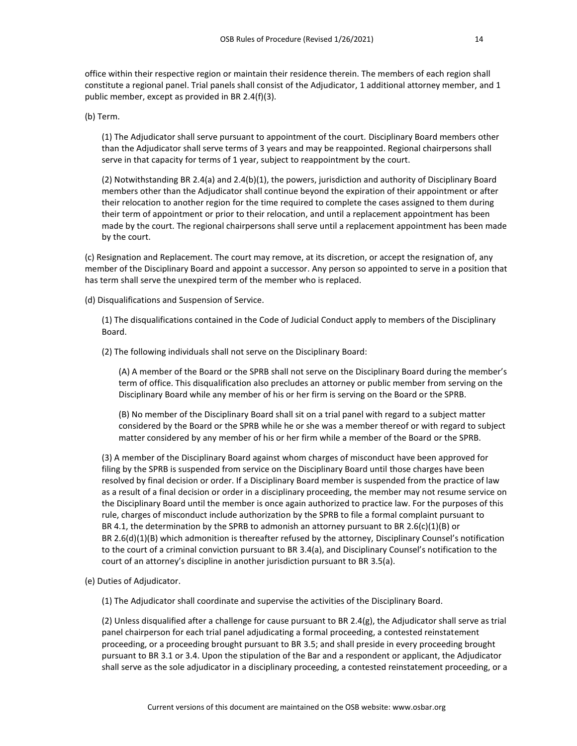office within their respective region or maintain their residence therein. The members of each region shall constitute a regional panel. Trial panels shall consist of the Adjudicator, 1 additional attorney member, and 1 public member, except as provided in BR 2.4(f)(3).

(b) Term.

(1) The Adjudicator shall serve pursuant to appointment of the court. Disciplinary Board members other than the Adjudicator shall serve terms of 3 years and may be reappointed. Regional chairpersons shall serve in that capacity for terms of 1 year, subject to reappointment by the court.

(2) Notwithstanding BR 2.4(a) and 2.4(b)(1), the powers, jurisdiction and authority of Disciplinary Board members other than the Adjudicator shall continue beyond the expiration of their appointment or after their relocation to another region for the time required to complete the cases assigned to them during their term of appointment or prior to their relocation, and until a replacement appointment has been made by the court. The regional chairpersons shall serve until a replacement appointment has been made by the court.

(c) Resignation and Replacement. The court may remove, at its discretion, or accept the resignation of, any member of the Disciplinary Board and appoint a successor. Any person so appointed to serve in a position that has term shall serve the unexpired term of the member who is replaced.

(d) Disqualifications and Suspension of Service.

(1) The disqualifications contained in the Code of Judicial Conduct apply to members of the Disciplinary Board.

(2) The following individuals shall not serve on the Disciplinary Board:

(A) A member of the Board or the SPRB shall not serve on the Disciplinary Board during the member's term of office. This disqualification also precludes an attorney or public member from serving on the Disciplinary Board while any member of his or her firm is serving on the Board or the SPRB.

(B) No member of the Disciplinary Board shall sit on a trial panel with regard to a subject matter considered by the Board or the SPRB while he or she was a member thereof or with regard to subject matter considered by any member of his or her firm while a member of the Board or the SPRB.

(3) A member of the Disciplinary Board against whom charges of misconduct have been approved for filing by the SPRB is suspended from service on the Disciplinary Board until those charges have been resolved by final decision or order. If a Disciplinary Board member is suspended from the practice of law as a result of a final decision or order in a disciplinary proceeding, the member may not resume service on the Disciplinary Board until the member is once again authorized to practice law. For the purposes of this rule, charges of misconduct include authorization by the SPRB to file a formal complaint pursuant to BR 4.1, the determination by the SPRB to admonish an attorney pursuant to BR 2.6(c)(1)(B) or BR 2.6(d)(1)(B) which admonition is thereafter refused by the attorney, Disciplinary Counsel's notification to the court of a criminal conviction pursuant to BR 3.4(a), and Disciplinary Counsel's notification to the court of an attorney's discipline in another jurisdiction pursuant to BR 3.5(a).

(e) Duties of Adjudicator.

(1) The Adjudicator shall coordinate and supervise the activities of the Disciplinary Board.

(2) Unless disqualified after a challenge for cause pursuant to BR 2.4(g), the Adjudicator shall serve as trial panel chairperson for each trial panel adjudicating a formal proceeding, a contested reinstatement proceeding, or a proceeding brought pursuant to BR 3.5; and shall preside in every proceeding brought pursuant to BR 3.1 or 3.4. Upon the stipulation of the Bar and a respondent or applicant, the Adjudicator shall serve as the sole adjudicator in a disciplinary proceeding, a contested reinstatement proceeding, or a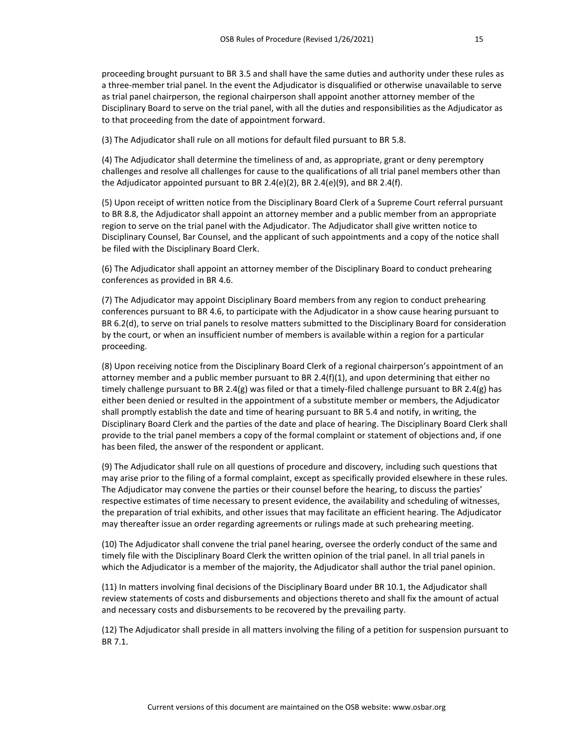proceeding brought pursuant to BR 3.5 and shall have the same duties and authority under these rules as a three-member trial panel. In the event the Adjudicator is disqualified or otherwise unavailable to serve as trial panel chairperson, the regional chairperson shall appoint another attorney member of the Disciplinary Board to serve on the trial panel, with all the duties and responsibilities as the Adjudicator as to that proceeding from the date of appointment forward.

(3) The Adjudicator shall rule on all motions for default filed pursuant to BR 5.8.

(4) The Adjudicator shall determine the timeliness of and, as appropriate, grant or deny peremptory challenges and resolve all challenges for cause to the qualifications of all trial panel members other than the Adjudicator appointed pursuant to BR 2.4(e)(2), BR 2.4(e)(9), and BR 2.4(f).

(5) Upon receipt of written notice from the Disciplinary Board Clerk of a Supreme Court referral pursuant to BR 8.8, the Adjudicator shall appoint an attorney member and a public member from an appropriate region to serve on the trial panel with the Adjudicator. The Adjudicator shall give written notice to Disciplinary Counsel, Bar Counsel, and the applicant of such appointments and a copy of the notice shall be filed with the Disciplinary Board Clerk.

(6) The Adjudicator shall appoint an attorney member of the Disciplinary Board to conduct prehearing conferences as provided in BR 4.6.

(7) The Adjudicator may appoint Disciplinary Board members from any region to conduct prehearing conferences pursuant to BR 4.6, to participate with the Adjudicator in a show cause hearing pursuant to BR 6.2(d), to serve on trial panels to resolve matters submitted to the Disciplinary Board for consideration by the court, or when an insufficient number of members is available within a region for a particular proceeding.

(8) Upon receiving notice from the Disciplinary Board Clerk of a regional chairperson's appointment of an attorney member and a public member pursuant to BR 2.4(f)(1), and upon determining that either no timely challenge pursuant to BR 2.4(g) was filed or that a timely-filed challenge pursuant to BR 2.4(g) has either been denied or resulted in the appointment of a substitute member or members, the Adjudicator shall promptly establish the date and time of hearing pursuant to BR 5.4 and notify, in writing, the Disciplinary Board Clerk and the parties of the date and place of hearing. The Disciplinary Board Clerk shall provide to the trial panel members a copy of the formal complaint or statement of objections and, if one has been filed, the answer of the respondent or applicant.

(9) The Adjudicator shall rule on all questions of procedure and discovery, including such questions that may arise prior to the filing of a formal complaint, except as specifically provided elsewhere in these rules. The Adjudicator may convene the parties or their counsel before the hearing, to discuss the parties' respective estimates of time necessary to present evidence, the availability and scheduling of witnesses, the preparation of trial exhibits, and other issues that may facilitate an efficient hearing. The Adjudicator may thereafter issue an order regarding agreements or rulings made at such prehearing meeting.

(10) The Adjudicator shall convene the trial panel hearing, oversee the orderly conduct of the same and timely file with the Disciplinary Board Clerk the written opinion of the trial panel. In all trial panels in which the Adjudicator is a member of the majority, the Adjudicator shall author the trial panel opinion.

(11) In matters involving final decisions of the Disciplinary Board under BR 10.1, the Adjudicator shall review statements of costs and disbursements and objections thereto and shall fix the amount of actual and necessary costs and disbursements to be recovered by the prevailing party.

(12) The Adjudicator shall preside in all matters involving the filing of a petition for suspension pursuant to BR 7.1.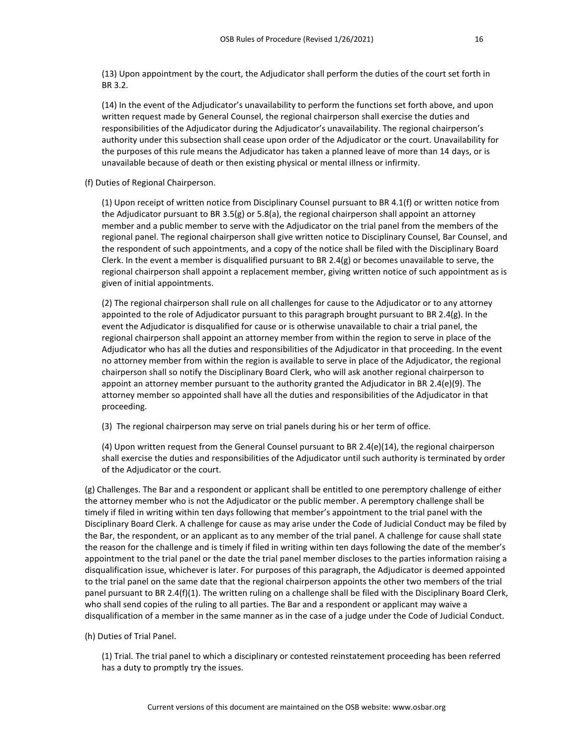(13) Upon appointment by the court, the Adjudicator shall perform the duties of the court set forth in BR 3.2.

(14) In the event of the Adjudicator's unavailability to perform the functions set forth above, and upon written request made by General Counsel, the regional chairperson shall exercise the duties and responsibilities of the Adjudicator during the Adjudicator's unavailability. The regional chairperson's authority under this subsection shall cease upon order of the Adjudicator or the court. Unavailability for the purposes of this rule means the Adjudicator has taken a planned leave of more than 14 days, or is unavailable because of death or then existing physical or mental illness or infirmity.

(f) Duties of Regional Chairperson.

(1) Upon receipt of written notice from Disciplinary Counsel pursuant to BR 4.1(f) or written notice from the Adjudicator pursuant to BR 3.5(g) or 5.8(a), the regional chairperson shall appoint an attorney member and a public member to serve with the Adjudicator on the trial panel from the members of the regional panel. The regional chairperson shall give written notice to Disciplinary Counsel, Bar Counsel, and the respondent of such appointments, and a copy of the notice shall be filed with the Disciplinary Board Clerk. In the event a member is disqualified pursuant to BR 2.4(g) or becomes unavailable to serve, the regional chairperson shall appoint a replacement member, giving written notice of such appointment as is given of initial appointments.

(2) The regional chairperson shall rule on all challenges for cause to the Adjudicator or to any attorney appointed to the role of Adjudicator pursuant to this paragraph brought pursuant to BR 2.4(g). In the event the Adjudicator is disqualified for cause or is otherwise unavailable to chair a trial panel, the regional chairperson shall appoint an attorney member from within the region to serve in place of the Adjudicator who has all the duties and responsibilities of the Adjudicator in that proceeding. In the event no attorney member from within the region is available to serve in place of the Adjudicator, the regional chairperson shall so notify the Disciplinary Board Clerk, who will ask another regional chairperson to appoint an attorney member pursuant to the authority granted the Adjudicator in BR 2.4(e)(9). The attorney member so appointed shall have all the duties and responsibilities of the Adjudicator in that proceeding.

(3) The regional chairperson may serve on trial panels during his or her term of office.

(4) Upon written request from the General Counsel pursuant to BR 2.4(e)(14), the regional chairperson shall exercise the duties and responsibilities of the Adjudicator until such authority is terminated by order of the Adjudicator or the court.

(g) Challenges. The Bar and a respondent or applicant shall be entitled to one peremptory challenge of either the attorney member who is not the Adjudicator or the public member. A peremptory challenge shall be timely if filed in writing within ten days following that member's appointment to the trial panel with the Disciplinary Board Clerk. A challenge for cause as may arise under the Code of Judicial Conduct may be filed by the Bar, the respondent, or an applicant as to any member of the trial panel. A challenge for cause shall state the reason for the challenge and is timely if filed in writing within ten days following the date of the member's appointment to the trial panel or the date the trial panel member discloses to the parties information raising a disqualification issue, whichever is later. For purposes of this paragraph, the Adjudicator is deemed appointed to the trial panel on the same date that the regional chairperson appoints the other two members of the trial panel pursuant to BR 2.4(f)(1). The written ruling on a challenge shall be filed with the Disciplinary Board Clerk, who shall send copies of the ruling to all parties. The Bar and a respondent or applicant may waive a disqualification of a member in the same manner as in the case of a judge under the Code of Judicial Conduct.

(h) Duties of Trial Panel.

(1) Trial. The trial panel to which a disciplinary or contested reinstatement proceeding has been referred has a duty to promptly try the issues.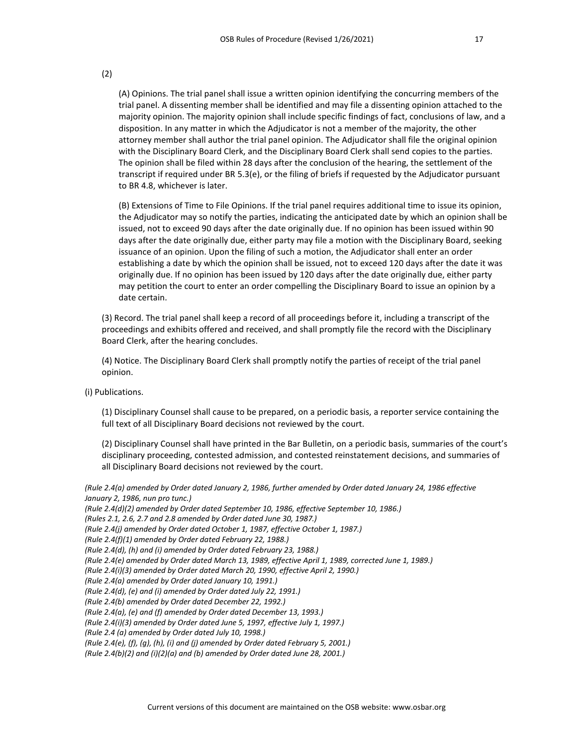(2)

(A) Opinions. The trial panel shall issue a written opinion identifying the concurring members of the trial panel. A dissenting member shall be identified and may file a dissenting opinion attached to the majority opinion. The majority opinion shall include specific findings of fact, conclusions of law, and a disposition. In any matter in which the Adjudicator is not a member of the majority, the other attorney member shall author the trial panel opinion. The Adjudicator shall file the original opinion with the Disciplinary Board Clerk, and the Disciplinary Board Clerk shall send copies to the parties. The opinion shall be filed within 28 days after the conclusion of the hearing, the settlement of the transcript if required under BR 5.3(e), or the filing of briefs if requested by the Adjudicator pursuant to BR 4.8, whichever is later.

(B) Extensions of Time to File Opinions. If the trial panel requires additional time to issue its opinion, the Adjudicator may so notify the parties, indicating the anticipated date by which an opinion shall be issued, not to exceed 90 days after the date originally due. If no opinion has been issued within 90 days after the date originally due, either party may file a motion with the Disciplinary Board, seeking issuance of an opinion. Upon the filing of such a motion, the Adjudicator shall enter an order establishing a date by which the opinion shall be issued, not to exceed 120 days after the date it was originally due. If no opinion has been issued by 120 days after the date originally due, either party may petition the court to enter an order compelling the Disciplinary Board to issue an opinion by a date certain.

(3) Record. The trial panel shall keep a record of all proceedings before it, including a transcript of the proceedings and exhibits offered and received, and shall promptly file the record with the Disciplinary Board Clerk, after the hearing concludes.

(4) Notice. The Disciplinary Board Clerk shall promptly notify the parties of receipt of the trial panel opinion.

(i) Publications.

(1) Disciplinary Counsel shall cause to be prepared, on a periodic basis, a reporter service containing the full text of all Disciplinary Board decisions not reviewed by the court.

(2) Disciplinary Counsel shall have printed in the Bar Bulletin, on a periodic basis, summaries of the court's disciplinary proceeding, contested admission, and contested reinstatement decisions, and summaries of all Disciplinary Board decisions not reviewed by the court.

*(Rule 2.4(a) amended by Order dated January 2, 1986, further amended by Order dated January 24, 1986 effective January 2, 1986, nun pro tunc.)*

```
(Rule 2.4(d)(2) amended by Order dated September 10, 1986, effective September 10, 1986.)
```
*(Rules 2.1, 2.6, 2.7 and 2.8 amended by Order dated June 30, 1987.)*

- *(Rule 2.4(j) amended by Order dated October 1, 1987, effective October 1, 1987.)*
- *(Rule 2.4(f)(1) amended by Order dated February 22, 1988.)*

- *(Rule 2.4(i)(3) amended by Order dated March 20, 1990, effective April 2, 1990.)*
- *(Rule 2.4(a) amended by Order dated January 10, 1991.)*

*(Rule 2.4(d), (e) and (i) amended by Order dated July 22, 1991.)*

*(Rule 2.4(b) amended by Order dated December 22, 1992.)*

*(Rule 2.4(a), (e) and (f) amended by Order dated December 13, 1993.)*

*(Rule 2.4(i)(3) amended by Order dated June 5, 1997, effective July 1, 1997.)*

*(Rule 2.4 (a) amended by Order dated July 10, 1998.)*

*(Rule 2.4(e), (f), (g), (h), (i) and (j) amended by Order dated February 5, 2001.)*

*(Rule 2.4(b)(2) and (i)(2)(a) and (b) amended by Order dated June 28, 2001.)*

*<sup>(</sup>Rule 2.4(d), (h) and (i) amended by Order dated February 23, 1988.)*

*<sup>(</sup>Rule 2.4(e) amended by Order dated March 13, 1989, effective April 1, 1989, corrected June 1, 1989.)*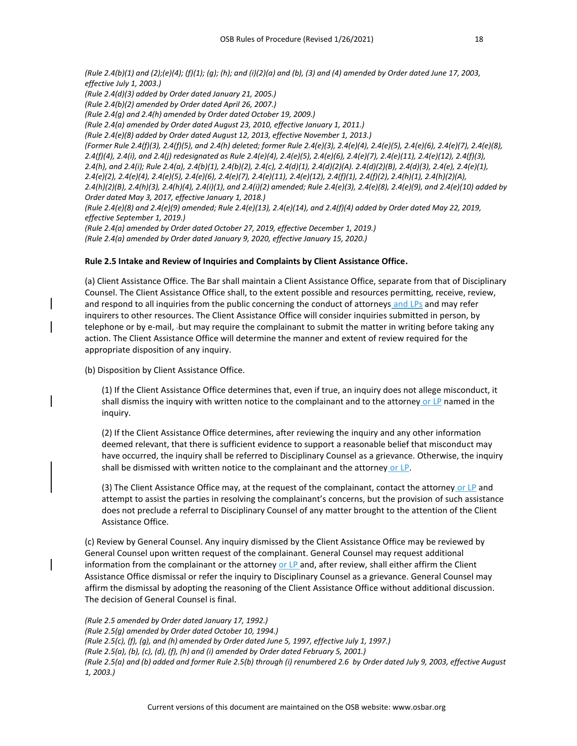*(Rule 2.4(b)(1) and (2);(e)(4); (f)(1); (g); (h); and (i)(2)(a) and (b), (3) and (4) amended by Order dated June 17, 2003, effective July 1, 2003.) (Rule 2.4(d)(3) added by Order dated January 21, 2005.) (Rule 2.4(b)(2) amended by Order dated April 26, 2007.) (Rule 2.4(g) and 2.4(h) amended by Order dated October 19, 2009.) (Rule 2.4(a) amended by Order dated August 23, 2010, effective January 1, 2011.) (Rule 2.4(e)(8) added by Order dated August 12, 2013, effective November 1, 2013.) (Former Rule 2.4(f)(3), 2.4(f)(5), and 2.4(h) deleted; former Rule 2.4(e)(3), 2.4(e)(4), 2.4(e)(5), 2.4(e)(6), 2.4(e)(7), 2.4(e)(8), 2.4(f)(4), 2.4(i), and 2.4(j) redesignated as Rule 2.4(e)(4), 2.4(e)(5), 2.4(e)(6), 2.4(e)(7), 2.4(e)(11), 2.4(e)(12), 2.4(f)(3), 2.4(h), and 2.4(i); Rule 2.4(a), 2.4(b)(1), 2.4(b)(2), 2.4(c), 2.4(d)(1), 2.4(d)(2)(A). 2.4(d)(2)(B), 2.4(d)(3), 2.4(e), 2.4(e)(1), 2.4(e)(2), 2.4(e)(4), 2.4(e)(5), 2.4(e)(6), 2.4(e)(7), 2.4(e)(11), 2.4(e)(12), 2.4(f)(1), 2.4(f)(2), 2.4(h)(1), 2.4(h)(2)(A), 2.4(h)(2)(B), 2.4(h)(3), 2.4(h)(4), 2.4(i)(1), and 2.4(i)(2) amended; Rule 2.4(e)(3), 2.4(e)(8), 2.4(e)(9), and 2.4(e)(10) added by Order dated May 3, 2017, effective January 1, 2018.) (Rule 2.4(e)(8) and 2.4(e)(9) amended; Rule 2.4(e)(13), 2.4(e)(14), and 2.4(f)(4) added by Order dated May 22, 2019, effective September 1, 2019.) (Rule 2.4(a) amended by Order dated October 27, 2019, effective December 1, 2019.) (Rule 2.4(a) amended by Order dated January 9, 2020, effective January 15, 2020.)*

#### **Rule 2.5 Intake and Review of Inquiries and Complaints by Client Assistance Office.**

(a) Client Assistance Office. The Bar shall maintain a Client Assistance Office, separate from that of Disciplinary Counsel. The Client Assistance Office shall, to the extent possible and resources permitting, receive, review, and respond to all inquiries from the public concerning the conduct of attorneys and LPs and may refer inquirers to other resources. The Client Assistance Office will consider inquiries submitted in person, by telephone or by e-mail, -but may require the complainant to submit the matter in writing before taking any action. The Client Assistance Office will determine the manner and extent of review required for the appropriate disposition of any inquiry.

(b) Disposition by Client Assistance Office.

(1) If the Client Assistance Office determines that, even if true, an inquiry does not allege misconduct, it shall dismiss the inquiry with written notice to the complainant and to the attorney or LP named in the inquiry.

(2) If the Client Assistance Office determines, after reviewing the inquiry and any other information deemed relevant, that there is sufficient evidence to support a reasonable belief that misconduct may have occurred, the inquiry shall be referred to Disciplinary Counsel as a grievance. Otherwise, the inquiry shall be dismissed with written notice to the complainant and the attorney or LP.

(3) The Client Assistance Office may, at the request of the complainant, contact the attorney or LP and attempt to assist the parties in resolving the complainant's concerns, but the provision of such assistance does not preclude a referral to Disciplinary Counsel of any matter brought to the attention of the Client Assistance Office.

(c) Review by General Counsel. Any inquiry dismissed by the Client Assistance Office may be reviewed by General Counsel upon written request of the complainant. General Counsel may request additional information from the complainant or the attorney or LP and, after review, shall either affirm the Client Assistance Office dismissal or refer the inquiry to Disciplinary Counsel as a grievance. General Counsel may affirm the dismissal by adopting the reasoning of the Client Assistance Office without additional discussion. The decision of General Counsel is final.

*(Rule 2.5 amended by Order dated January 17, 1992.) (Rule 2.5(g) amended by Order dated October 10, 1994.) (Rule 2.5(c), (f), (g), and (h) amended by Order dated June 5, 1997, effective July 1, 1997.) (Rule 2.5(a), (b), (c), (d), (f), (h) and (i) amended by Order dated February 5, 2001.) (Rule 2.5(a) and (b) added and former Rule 2.5(b) through (i) renumbered 2.6 by Order dated July 9, 2003, effective August 1, 2003.)*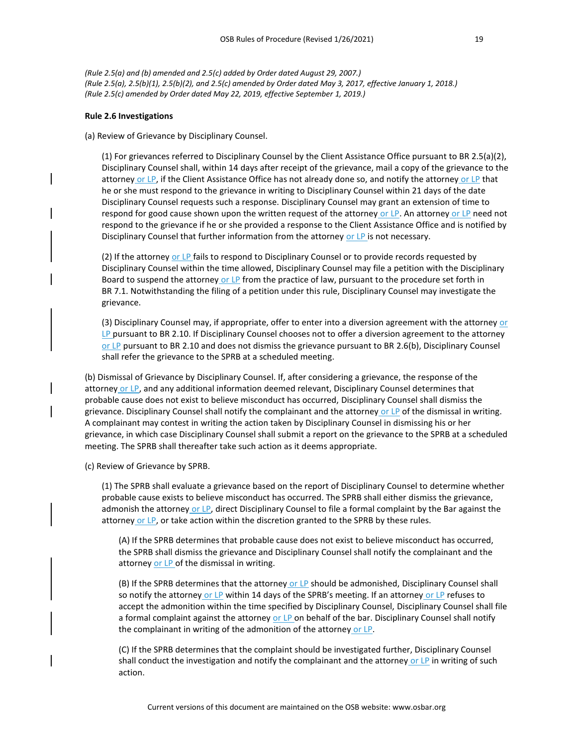*(Rule 2.5(a) and (b) amended and 2.5(c) added by Order dated August 29, 2007.) (Rule 2.5(a), 2.5(b)(1), 2.5(b)(2), and 2.5(c) amended by Order dated May 3, 2017, effective January 1, 2018.) (Rule 2.5(c) amended by Order dated May 22, 2019, effective September 1, 2019.)*

#### **Rule 2.6 Investigations**

(a) Review of Grievance by Disciplinary Counsel.

(1) For grievances referred to Disciplinary Counsel by the Client Assistance Office pursuant to BR 2.5(a)(2), Disciplinary Counsel shall, within 14 days after receipt of the grievance, mail a copy of the grievance to the attorney or LP, if the Client Assistance Office has not already done so, and notify the attorney or LP that he or she must respond to the grievance in writing to Disciplinary Counsel within 21 days of the date Disciplinary Counsel requests such a response. Disciplinary Counsel may grant an extension of time to respond for good cause shown upon the written request of the attorney or LP. An attorney or LP need not respond to the grievance if he or she provided a response to the Client Assistance Office and is notified by Disciplinary Counsel that further information from the attorney or LP is not necessary.

(2) If the attorney or LP fails to respond to Disciplinary Counsel or to provide records requested by Disciplinary Counsel within the time allowed, Disciplinary Counsel may file a petition with the Disciplinary Board to suspend the attorney or LP from the practice of law, pursuant to the procedure set forth in BR 7.1. Notwithstanding the filing of a petition under this rule, Disciplinary Counsel may investigate the grievance.

(3) Disciplinary Counsel may, if appropriate, offer to enter into a diversion agreement with the attorney or LP pursuant to BR 2.10. If Disciplinary Counsel chooses not to offer a diversion agreement to the attorney or LP pursuant to BR 2.10 and does not dismiss the grievance pursuant to BR 2.6(b), Disciplinary Counsel shall refer the grievance to the SPRB at a scheduled meeting.

(b) Dismissal of Grievance by Disciplinary Counsel. If, after considering a grievance, the response of the attorney or LP, and any additional information deemed relevant, Disciplinary Counsel determines that probable cause does not exist to believe misconduct has occurred, Disciplinary Counsel shall dismiss the grievance. Disciplinary Counsel shall notify the complainant and the attorney or LP of the dismissal in writing. A complainant may contest in writing the action taken by Disciplinary Counsel in dismissing his or her grievance, in which case Disciplinary Counsel shall submit a report on the grievance to the SPRB at a scheduled meeting. The SPRB shall thereafter take such action as it deems appropriate.

(c) Review of Grievance by SPRB.

(1) The SPRB shall evaluate a grievance based on the report of Disciplinary Counsel to determine whether probable cause exists to believe misconduct has occurred. The SPRB shall either dismiss the grievance, admonish the attorney or LP, direct Disciplinary Counsel to file a formal complaint by the Bar against the attorney or LP, or take action within the discretion granted to the SPRB by these rules.

(A) If the SPRB determines that probable cause does not exist to believe misconduct has occurred, the SPRB shall dismiss the grievance and Disciplinary Counsel shall notify the complainant and the attorney or LP of the dismissal in writing.

(B) If the SPRB determines that the attorney or LP should be admonished, Disciplinary Counsel shall so notify the attorney or LP within 14 days of the SPRB's meeting. If an attorney or LP refuses to accept the admonition within the time specified by Disciplinary Counsel, Disciplinary Counsel shall file a formal complaint against the attorney or LP on behalf of the bar. Disciplinary Counsel shall notify the complainant in writing of the admonition of the attorney or LP.

(C) If the SPRB determines that the complaint should be investigated further, Disciplinary Counsel shall conduct the investigation and notify the complainant and the attorney or LP in writing of such action.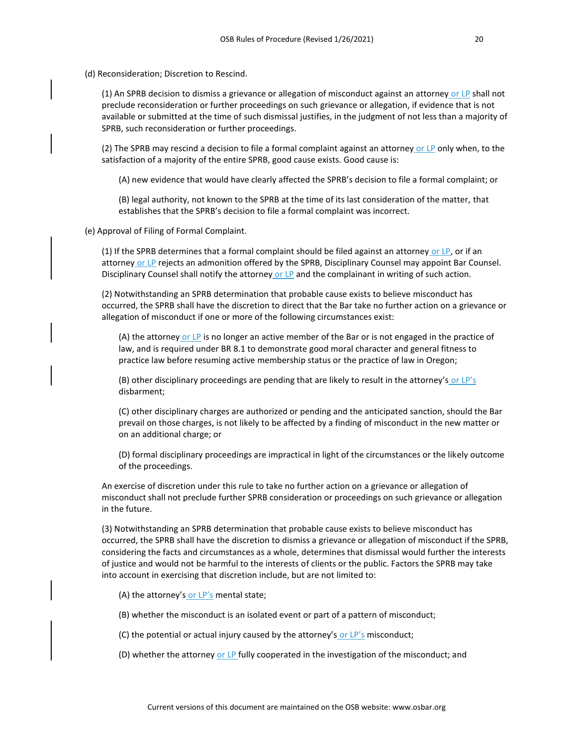(d) Reconsideration; Discretion to Rescind.

(1) An SPRB decision to dismiss a grievance or allegation of misconduct against an attorney or LP shall not preclude reconsideration or further proceedings on such grievance or allegation, if evidence that is not available or submitted at the time of such dismissal justifies, in the judgment of not less than a majority of SPRB, such reconsideration or further proceedings.

(2) The SPRB may rescind a decision to file a formal complaint against an attorney or LP only when, to the satisfaction of a majority of the entire SPRB, good cause exists. Good cause is:

(A) new evidence that would have clearly affected the SPRB's decision to file a formal complaint; or

(B) legal authority, not known to the SPRB at the time of its last consideration of the matter, that establishes that the SPRB's decision to file a formal complaint was incorrect.

(e) Approval of Filing of Formal Complaint.

(1) If the SPRB determines that a formal complaint should be filed against an attorney or  $LP$ , or if an attorney or LP rejects an admonition offered by the SPRB, Disciplinary Counsel may appoint Bar Counsel. Disciplinary Counsel shall notify the attorney or LP and the complainant in writing of such action.

(2) Notwithstanding an SPRB determination that probable cause exists to believe misconduct has occurred, the SPRB shall have the discretion to direct that the Bar take no further action on a grievance or allegation of misconduct if one or more of the following circumstances exist:

(A) the attorney or LP is no longer an active member of the Bar or is not engaged in the practice of law, and is required under BR 8.1 to demonstrate good moral character and general fitness to practice law before resuming active membership status or the practice of law in Oregon;

(B) other disciplinary proceedings are pending that are likely to result in the attorney's or  $LP's$ disbarment;

(C) other disciplinary charges are authorized or pending and the anticipated sanction, should the Bar prevail on those charges, is not likely to be affected by a finding of misconduct in the new matter or on an additional charge; or

(D) formal disciplinary proceedings are impractical in light of the circumstances or the likely outcome of the proceedings.

An exercise of discretion under this rule to take no further action on a grievance or allegation of misconduct shall not preclude further SPRB consideration or proceedings on such grievance or allegation in the future.

(3) Notwithstanding an SPRB determination that probable cause exists to believe misconduct has occurred, the SPRB shall have the discretion to dismiss a grievance or allegation of misconduct if the SPRB, considering the facts and circumstances as a whole, determines that dismissal would further the interests of justice and would not be harmful to the interests of clients or the public. Factors the SPRB may take into account in exercising that discretion include, but are not limited to:

- (A) the attorney's or LP's mental state;
- (B) whether the misconduct is an isolated event or part of a pattern of misconduct;
- (C) the potential or actual injury caused by the attorney's or LP's misconduct;
- (D) whether the attorney or LP fully cooperated in the investigation of the misconduct; and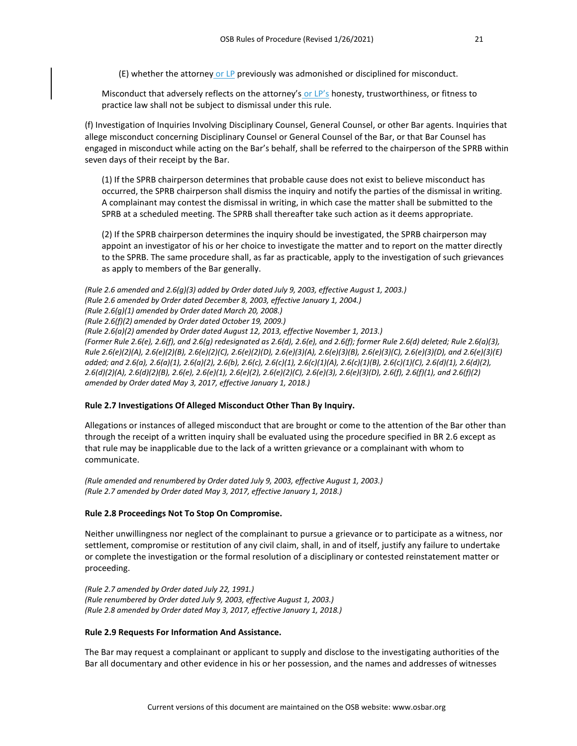$(E)$  whether the attorney or LP previously was admonished or disciplined for misconduct.

Misconduct that adversely reflects on the attorney's or LP's honesty, trustworthiness, or fitness to practice law shall not be subject to dismissal under this rule.

(f) Investigation of Inquiries Involving Disciplinary Counsel, General Counsel, or other Bar agents. Inquiries that allege misconduct concerning Disciplinary Counsel or General Counsel of the Bar, or that Bar Counsel has engaged in misconduct while acting on the Bar's behalf, shall be referred to the chairperson of the SPRB within seven days of their receipt by the Bar.

(1) If the SPRB chairperson determines that probable cause does not exist to believe misconduct has occurred, the SPRB chairperson shall dismiss the inquiry and notify the parties of the dismissal in writing. A complainant may contest the dismissal in writing, in which case the matter shall be submitted to the SPRB at a scheduled meeting. The SPRB shall thereafter take such action as it deems appropriate.

(2) If the SPRB chairperson determines the inquiry should be investigated, the SPRB chairperson may appoint an investigator of his or her choice to investigate the matter and to report on the matter directly to the SPRB. The same procedure shall, as far as practicable, apply to the investigation of such grievances as apply to members of the Bar generally.

```
(Rule 2.6 amended and 2.6(g)(3) added by Order dated July 9, 2003, effective August 1, 2003.)
(Rule 2.6 amended by Order dated December 8, 2003, effective January 1, 2004.)
(Rule 2.6(g)(1) amended by Order dated March 20, 2008.)
(Rule 2.6(f)(2) amended by Order dated October 19, 2009.)
(Rule 2.6(a)(2) amended by Order dated August 12, 2013, effective November 1, 2013.)
(Former Rule 2.6(e), 2.6(f), and 2.6(g) redesignated as 2.6(d), 2.6(e), and 2.6(f); former Rule 2.6(d) deleted; Rule 2.6(a)(3), 
Rule 2.6(e)(2)(A), 2.6(e)(2)(B), 2.6(e)(2)(C), 2.6(e)(2)(D), 2.6(e)(3)(A), 2.6(e)(3)(B), 2.6(e)(3)(C), 2.6(e)(3)(D), and 2.6(e)(3)(E) 
added; and 2.6(a), 2.6(a)(1), 2.6(a)(2), 2.6(b), 2.6(c), 2.6(c)(1), 2.6(c)(1)(A), 2.6(c)(1)(B), 2.6(c)(1)(C), 2.6(d)(1), 2.6(d)(2), 
2.6(d)(2)(A), 2.6(d)(2)(B), 2.6(e), 2.6(e)(1), 2.6(e)(2), 2.6(e)(2)(C), 2.6(e)(3), 2.6(e)(3)(D), 2.6(f), 2.6(f)(1), and 2.6(f)(2) 
amended by Order dated May 3, 2017, effective January 1, 2018.)
```
# **Rule 2.7 Investigations Of Alleged Misconduct Other Than By Inquiry.**

Allegations or instances of alleged misconduct that are brought or come to the attention of the Bar other than through the receipt of a written inquiry shall be evaluated using the procedure specified in BR 2.6 except as that rule may be inapplicable due to the lack of a written grievance or a complainant with whom to communicate.

*(Rule amended and renumbered by Order dated July 9, 2003, effective August 1, 2003.) (Rule 2.7 amended by Order dated May 3, 2017, effective January 1, 2018.)*

# **Rule 2.8 Proceedings Not To Stop On Compromise.**

Neither unwillingness nor neglect of the complainant to pursue a grievance or to participate as a witness, nor settlement, compromise or restitution of any civil claim, shall, in and of itself, justify any failure to undertake or complete the investigation or the formal resolution of a disciplinary or contested reinstatement matter or proceeding.

*(Rule 2.7 amended by Order dated July 22, 1991.) (Rule renumbered by Order dated July 9, 2003, effective August 1, 2003.) (Rule 2.8 amended by Order dated May 3, 2017, effective January 1, 2018.)*

# **Rule 2.9 Requests For Information And Assistance.**

The Bar may request a complainant or applicant to supply and disclose to the investigating authorities of the Bar all documentary and other evidence in his or her possession, and the names and addresses of witnesses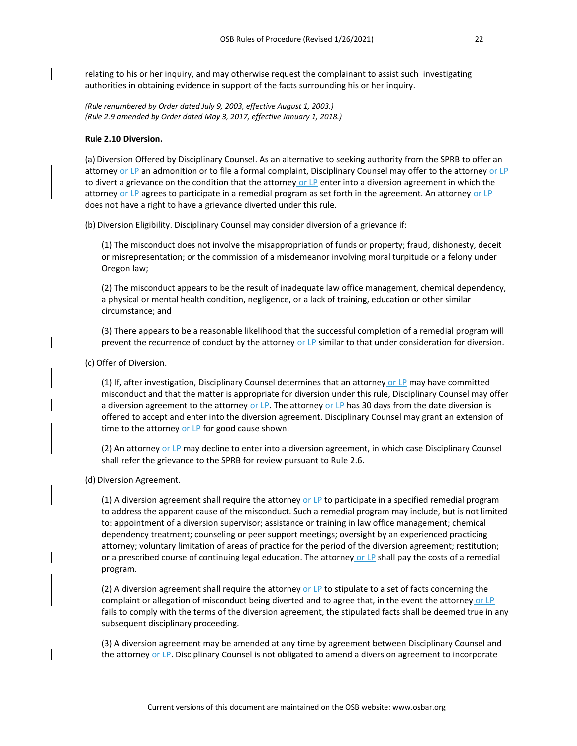relating to his or her inquiry, and may otherwise request the complainant to assist such-investigating authorities in obtaining evidence in support of the facts surrounding his or her inquiry.

*(Rule renumbered by Order dated July 9, 2003, effective August 1, 2003.) (Rule 2.9 amended by Order dated May 3, 2017, effective January 1, 2018.)*

#### **Rule 2.10 Diversion.**

(a) Diversion Offered by Disciplinary Counsel. As an alternative to seeking authority from the SPRB to offer an attorney or LP an admonition or to file a formal complaint, Disciplinary Counsel may offer to the attorney or LP to divert a grievance on the condition that the attorney or LP enter into a diversion agreement in which the attorney or LP agrees to participate in a remedial program as set forth in the agreement. An attorney or LP does not have a right to have a grievance diverted under this rule.

(b) Diversion Eligibility. Disciplinary Counsel may consider diversion of a grievance if:

(1) The misconduct does not involve the misappropriation of funds or property; fraud, dishonesty, deceit or misrepresentation; or the commission of a misdemeanor involving moral turpitude or a felony under Oregon law;

(2) The misconduct appears to be the result of inadequate law office management, chemical dependency, a physical or mental health condition, negligence, or a lack of training, education or other similar circumstance; and

(3) There appears to be a reasonable likelihood that the successful completion of a remedial program will prevent the recurrence of conduct by the attorney or LP similar to that under consideration for diversion.

(c) Offer of Diversion.

(1) If, after investigation, Disciplinary Counsel determines that an attorney or LP may have committed misconduct and that the matter is appropriate for diversion under this rule, Disciplinary Counsel may offer a diversion agreement to the attorney or LP. The attorney or LP has 30 days from the date diversion is offered to accept and enter into the diversion agreement. Disciplinary Counsel may grant an extension of time to the attorney or LP for good cause shown.

(2) An attorney or LP may decline to enter into a diversion agreement, in which case Disciplinary Counsel shall refer the grievance to the SPRB for review pursuant to Rule 2.6.

(d) Diversion Agreement.

(1) A diversion agreement shall require the attorney or  $LP$  to participate in a specified remedial program to address the apparent cause of the misconduct. Such a remedial program may include, but is not limited to: appointment of a diversion supervisor; assistance or training in law office management; chemical dependency treatment; counseling or peer support meetings; oversight by an experienced practicing attorney; voluntary limitation of areas of practice for the period of the diversion agreement; restitution; or a prescribed course of continuing legal education. The attorney or LP shall pay the costs of a remedial program.

(2) A diversion agreement shall require the attorney or LP to stipulate to a set of facts concerning the complaint or allegation of misconduct being diverted and to agree that, in the event the attorney or LP fails to comply with the terms of the diversion agreement, the stipulated facts shall be deemed true in any subsequent disciplinary proceeding.

(3) A diversion agreement may be amended at any time by agreement between Disciplinary Counsel and the attorney or LP. Disciplinary Counsel is not obligated to amend a diversion agreement to incorporate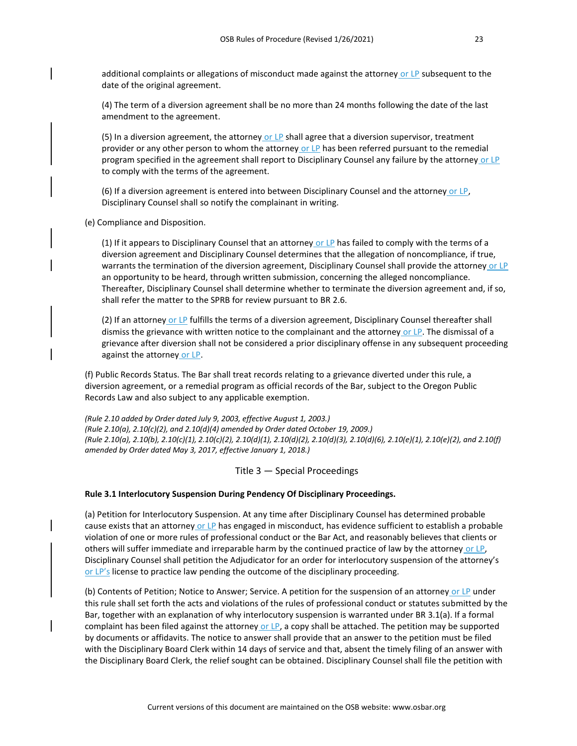additional complaints or allegations of misconduct made against the attorney or LP subsequent to the date of the original agreement.

(4) The term of a diversion agreement shall be no more than 24 months following the date of the last amendment to the agreement.

(5) In a diversion agreement, the attorney or LP shall agree that a diversion supervisor, treatment provider or any other person to whom the attorney or LP has been referred pursuant to the remedial program specified in the agreement shall report to Disciplinary Counsel any failure by the attorney or LP to comply with the terms of the agreement.

(6) If a diversion agreement is entered into between Disciplinary Counsel and the attorney or LP, Disciplinary Counsel shall so notify the complainant in writing.

(e) Compliance and Disposition.

(1) If it appears to Disciplinary Counsel that an attorney or LP has failed to comply with the terms of a diversion agreement and Disciplinary Counsel determines that the allegation of noncompliance, if true, warrants the termination of the diversion agreement, Disciplinary Counsel shall provide the attorney or LP an opportunity to be heard, through written submission, concerning the alleged noncompliance. Thereafter, Disciplinary Counsel shall determine whether to terminate the diversion agreement and, if so, shall refer the matter to the SPRB for review pursuant to BR 2.6.

(2) If an attorney or LP fulfills the terms of a diversion agreement, Disciplinary Counsel thereafter shall dismiss the grievance with written notice to the complainant and the attorney or LP. The dismissal of a grievance after diversion shall not be considered a prior disciplinary offense in any subsequent proceeding against the attorney or LP.

(f) Public Records Status. The Bar shall treat records relating to a grievance diverted under this rule, a diversion agreement, or a remedial program as official records of the Bar, subject to the Oregon Public Records Law and also subject to any applicable exemption.

*(Rule 2.10 added by Order dated July 9, 2003, effective August 1, 2003.) (Rule 2.10(a), 2.10(c)(2), and 2.10(d)(4) amended by Order dated October 19, 2009.) (Rule 2.10(a), 2.10(b), 2.10(c)(1), 2.10(c)(2), 2.10(d)(1), 2.10(d)(2), 2.10(d)(3), 2.10(d)(6), 2.10(e)(1), 2.10(e)(2), and 2.10(f) amended by Order dated May 3, 2017, effective January 1, 2018.)*

Title 3 — Special Proceedings

#### **Rule 3.1 Interlocutory Suspension During Pendency Of Disciplinary Proceedings.**

(a) Petition for Interlocutory Suspension. At any time after Disciplinary Counsel has determined probable cause exists that an attorney or LP has engaged in misconduct, has evidence sufficient to establish a probable violation of one or more rules of professional conduct or the Bar Act, and reasonably believes that clients or others will suffer immediate and irreparable harm by the continued practice of law by the attorney or LP, Disciplinary Counsel shall petition the Adjudicator for an order for interlocutory suspension of the attorney's or LP's license to practice law pending the outcome of the disciplinary proceeding.

(b) Contents of Petition; Notice to Answer; Service. A petition for the suspension of an attorney or LP under this rule shall set forth the acts and violations of the rules of professional conduct or statutes submitted by the Bar, together with an explanation of why interlocutory suspension is warranted under BR 3.1(a). If a formal complaint has been filed against the attorney or LP, a copy shall be attached. The petition may be supported by documents or affidavits. The notice to answer shall provide that an answer to the petition must be filed with the Disciplinary Board Clerk within 14 days of service and that, absent the timely filing of an answer with the Disciplinary Board Clerk, the relief sought can be obtained. Disciplinary Counsel shall file the petition with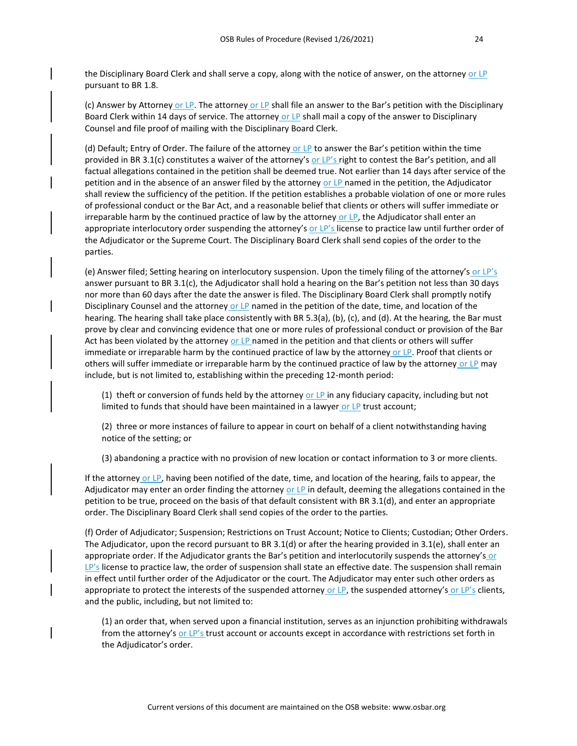the Disciplinary Board Clerk and shall serve a copy, along with the notice of answer, on the attorney or LP pursuant to BR 1.8.

(c) Answer by Attorney or LP. The attorney or LP shall file an answer to the Bar's petition with the Disciplinary Board Clerk within 14 days of service. The attorney or LP shall mail a copy of the answer to Disciplinary Counsel and file proof of mailing with the Disciplinary Board Clerk.

(d) Default; Entry of Order. The failure of the attorney or LP to answer the Bar's petition within the time provided in BR 3.1(c) constitutes a waiver of the attorney's or LP's right to contest the Bar's petition, and all factual allegations contained in the petition shall be deemed true. Not earlier than 14 days after service of the petition and in the absence of an answer filed by the attorney or LP named in the petition, the Adjudicator shall review the sufficiency of the petition. If the petition establishes a probable violation of one or more rules of professional conduct or the Bar Act, and a reasonable belief that clients or others will suffer immediate or irreparable harm by the continued practice of law by the attorney or LP, the Adjudicator shall enter an appropriate interlocutory order suspending the attorney's or LP's license to practice law until further order of the Adjudicator or the Supreme Court. The Disciplinary Board Clerk shall send copies of the order to the parties.

(e) Answer filed; Setting hearing on interlocutory suspension. Upon the timely filing of the attorney's or LP's answer pursuant to BR 3.1(c), the Adjudicator shall hold a hearing on the Bar's petition not less than 30 days nor more than 60 days after the date the answer is filed. The Disciplinary Board Clerk shall promptly notify Disciplinary Counsel and the attorney or LP named in the petition of the date, time, and location of the hearing. The hearing shall take place consistently with BR 5.3(a), (b), (c), and (d). At the hearing, the Bar must prove by clear and convincing evidence that one or more rules of professional conduct or provision of the Bar Act has been violated by the attorney or LP named in the petition and that clients or others will suffer immediate or irreparable harm by the continued practice of law by the attorney or LP. Proof that clients or others will suffer immediate or irreparable harm by the continued practice of law by the attorney or LP may include, but is not limited to, establishing within the preceding 12-month period:

(1) theft or conversion of funds held by the attorney or  $LP$  in any fiduciary capacity, including but not limited to funds that should have been maintained in a lawyer or  $LP$  trust account;

(2) three or more instances of failure to appear in court on behalf of a client notwithstanding having notice of the setting; or

(3) abandoning a practice with no provision of new location or contact information to 3 or more clients.

If the attorney or LP, having been notified of the date, time, and location of the hearing, fails to appear, the Adjudicator may enter an order finding the attorney or LP in default, deeming the allegations contained in the petition to be true, proceed on the basis of that default consistent with BR 3.1(d), and enter an appropriate order. The Disciplinary Board Clerk shall send copies of the order to the parties.

(f) Order of Adjudicator; Suspension; Restrictions on Trust Account; Notice to Clients; Custodian; Other Orders. The Adjudicator, upon the record pursuant to BR 3.1(d) or after the hearing provided in 3.1(e), shall enter an appropriate order. If the Adjudicator grants the Bar's petition and interlocutorily suspends the attorney's or LP's license to practice law, the order of suspension shall state an effective date. The suspension shall remain in effect until further order of the Adjudicator or the court. The Adjudicator may enter such other orders as appropriate to protect the interests of the suspended attorney or LP, the suspended attorney's or LP's clients, and the public, including, but not limited to:

(1) an order that, when served upon a financial institution, serves as an injunction prohibiting withdrawals from the attorney's or LP's trust account or accounts except in accordance with restrictions set forth in the Adjudicator's order.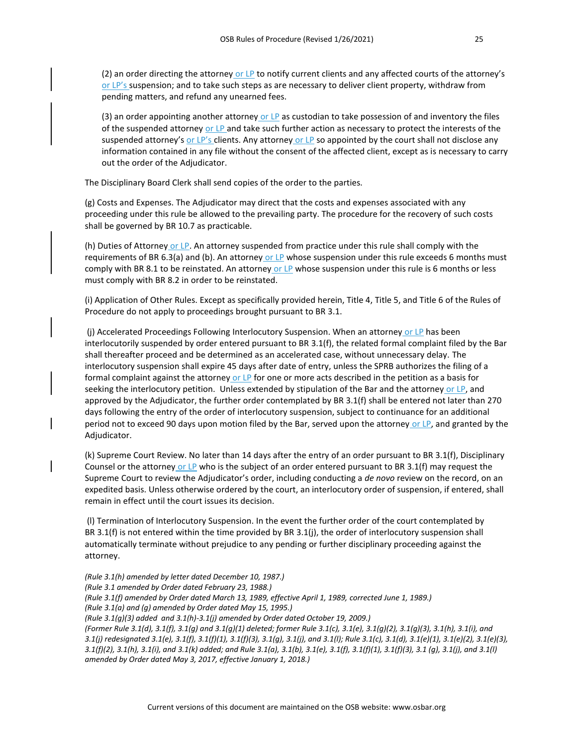(2) an order directing the attorney or LP to notify current clients and any affected courts of the attorney's or LP's suspension; and to take such steps as are necessary to deliver client property, withdraw from pending matters, and refund any unearned fees.

(3) an order appointing another attorney or  $LP$  as custodian to take possession of and inventory the files of the suspended attorney or LP and take such further action as necessary to protect the interests of the suspended attorney's or LP's clients. Any attorney or LP so appointed by the court shall not disclose any information contained in any file without the consent of the affected client, except as is necessary to carry out the order of the Adjudicator.

The Disciplinary Board Clerk shall send copies of the order to the parties.

(g) Costs and Expenses. The Adjudicator may direct that the costs and expenses associated with any proceeding under this rule be allowed to the prevailing party. The procedure for the recovery of such costs shall be governed by BR 10.7 as practicable.

(h) Duties of Attorney or LP. An attorney suspended from practice under this rule shall comply with the requirements of BR 6.3(a) and (b). An attorney or LP whose suspension under this rule exceeds 6 months must comply with BR 8.1 to be reinstated. An attorney or LP whose suspension under this rule is 6 months or less must comply with BR 8.2 in order to be reinstated.

(i) Application of Other Rules. Except as specifically provided herein, Title 4, Title 5, and Title 6 of the Rules of Procedure do not apply to proceedings brought pursuant to BR 3.1.

(j) Accelerated Proceedings Following Interlocutory Suspension. When an attorney or LP has been interlocutorily suspended by order entered pursuant to BR 3.1(f), the related formal complaint filed by the Bar shall thereafter proceed and be determined as an accelerated case, without unnecessary delay. The interlocutory suspension shall expire 45 days after date of entry, unless the SPRB authorizes the filing of a formal complaint against the attorney or  $LP$  for one or more acts described in the petition as a basis for seeking the interlocutory petition. Unless extended by stipulation of the Bar and the attorney or LP, and approved by the Adjudicator, the further order contemplated by BR 3.1(f) shall be entered not later than 270 days following the entry of the order of interlocutory suspension, subject to continuance for an additional period not to exceed 90 days upon motion filed by the Bar, served upon the attorney or LP, and granted by the Adjudicator.

(k) Supreme Court Review. No later than 14 days after the entry of an order pursuant to BR 3.1(f), Disciplinary Counsel or the attorney or LP who is the subject of an order entered pursuant to BR 3.1(f) may request the Supreme Court to review the Adjudicator's order, including conducting a *de novo* review on the record, on an expedited basis. Unless otherwise ordered by the court, an interlocutory order of suspension, if entered, shall remain in effect until the court issues its decision.

(l) Termination of Interlocutory Suspension. In the event the further order of the court contemplated by BR 3.1(f) is not entered within the time provided by BR 3.1(j), the order of interlocutory suspension shall automatically terminate without prejudice to any pending or further disciplinary proceeding against the attorney.

*(Rule 3.1(h) amended by letter dated December 10, 1987.) (Rule 3.1 amended by Order dated February 23, 1988.) (Rule 3.1(f) amended by Order dated March 13, 1989, effective April 1, 1989, corrected June 1, 1989.) (Rule 3.1(a) and (g) amended by Order dated May 15, 1995.) (Rule 3.1(g)(3) added and 3.1(h)-3.1(j) amended by Order dated October 19, 2009.) (Former Rule 3.1(d), 3.1(f), 3.1(g) and 3.1(g)(1) deleted; former Rule 3.1(c), 3.1(e), 3.1(g)(2), 3.1(g)(3), 3.1(h), 3.1(i), and 3.1(j) redesignated 3.1(e), 3.1(f), 3.1(f)(1), 3.1(f)(3), 3.1(g), 3.1(j), and 3.1(l); Rule 3.1(c), 3.1(d), 3.1(e)(1), 3.1(e)(2), 3.1(e)(3), 3.1(f)(2), 3.1(h), 3.1(i), and 3.1(k) added; and Rule 3.1(a), 3.1(b), 3.1(e), 3.1(f), 3.1(f)(1), 3.1(f)(3), 3.1 (g), 3.1(j), and 3.1(l) amended by Order dated May 3, 2017, effective January 1, 2018.)*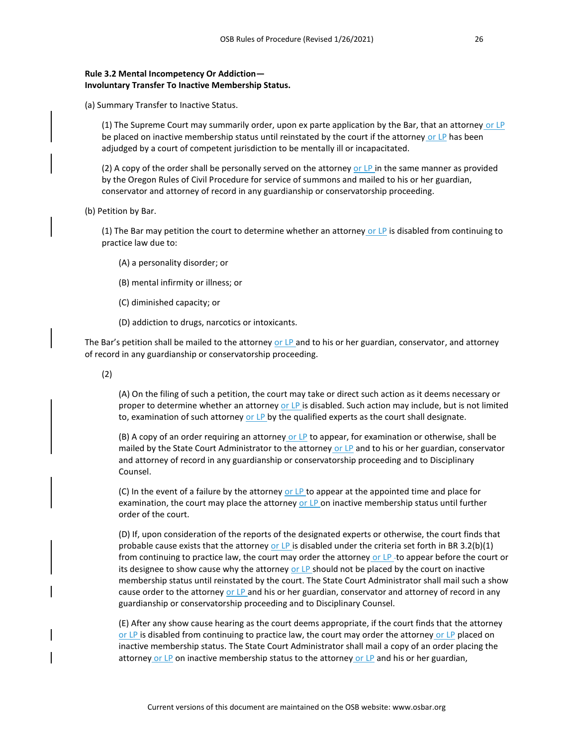(a) Summary Transfer to Inactive Status.

(1) The Supreme Court may summarily order, upon ex parte application by the Bar, that an attorney or  $LP$ be placed on inactive membership status until reinstated by the court if the attorney or LP has been adjudged by a court of competent jurisdiction to be mentally ill or incapacitated.

(2) A copy of the order shall be personally served on the attorney or LP in the same manner as provided by the Oregon Rules of Civil Procedure for service of summons and mailed to his or her guardian, conservator and attorney of record in any guardianship or conservatorship proceeding.

(b) Petition by Bar.

(1) The Bar may petition the court to determine whether an attorney or LP is disabled from continuing to practice law due to:

- (A) a personality disorder; or
- (B) mental infirmity or illness; or
- (C) diminished capacity; or
- (D) addiction to drugs, narcotics or intoxicants.

The Bar's petition shall be mailed to the attorney or LP and to his or her guardian, conservator, and attorney of record in any guardianship or conservatorship proceeding.

(2)

(A) On the filing of such a petition, the court may take or direct such action as it deems necessary or proper to determine whether an attorney or LP is disabled. Such action may include, but is not limited to, examination of such attorney or LP by the qualified experts as the court shall designate.

(B) A copy of an order requiring an attorney or  $LP$  to appear, for examination or otherwise, shall be mailed by the State Court Administrator to the attorney or LP and to his or her guardian, conservator and attorney of record in any guardianship or conservatorship proceeding and to Disciplinary Counsel.

(C) In the event of a failure by the attorney or LP to appear at the appointed time and place for examination, the court may place the attorney or LP on inactive membership status until further order of the court.

(D) If, upon consideration of the reports of the designated experts or otherwise, the court finds that probable cause exists that the attorney or LP is disabled under the criteria set forth in BR 3.2(b)(1) from continuing to practice law, the court may order the attorney or LP-to appear before the court or its designee to show cause why the attorney or LP should not be placed by the court on inactive membership status until reinstated by the court. The State Court Administrator shall mail such a show cause order to the attorney or  $LP$  and his or her guardian, conservator and attorney of record in any guardianship or conservatorship proceeding and to Disciplinary Counsel.

(E) After any show cause hearing as the court deems appropriate, if the court finds that the attorney or LP is disabled from continuing to practice law, the court may order the attorney or LP placed on inactive membership status. The State Court Administrator shall mail a copy of an order placing the attorney or LP on inactive membership status to the attorney or LP and his or her guardian,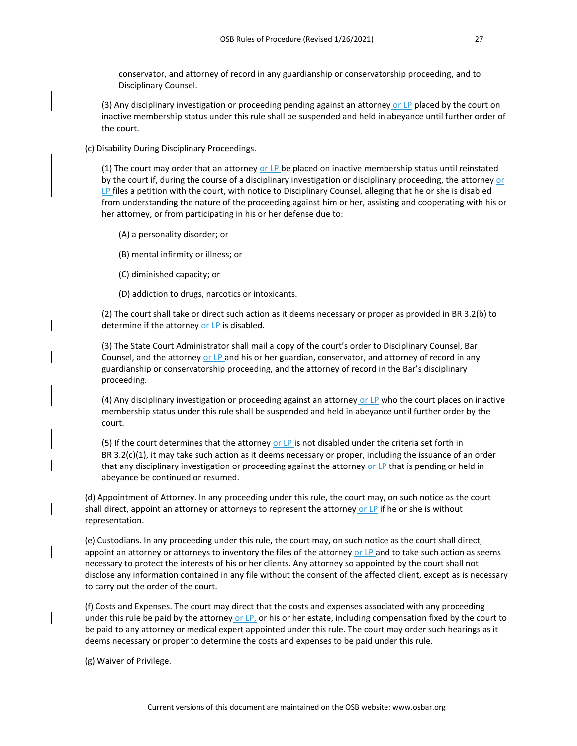conservator, and attorney of record in any guardianship or conservatorship proceeding, and to Disciplinary Counsel.

(3) Any disciplinary investigation or proceeding pending against an attorney or  $LP$  placed by the court on inactive membership status under this rule shall be suspended and held in abeyance until further order of the court.

(c) Disability During Disciplinary Proceedings.

(1) The court may order that an attorney or  $LP$  be placed on inactive membership status until reinstated by the court if, during the course of a disciplinary investigation or disciplinary proceeding, the attorney or  $LP$  files a petition with the court, with notice to Disciplinary Counsel, alleging that he or she is disabled from understanding the nature of the proceeding against him or her, assisting and cooperating with his or her attorney, or from participating in his or her defense due to:

(A) a personality disorder; or

- (B) mental infirmity or illness; or
- (C) diminished capacity; or
- (D) addiction to drugs, narcotics or intoxicants.

(2) The court shall take or direct such action as it deems necessary or proper as provided in BR 3.2(b) to determine if the attorney or LP is disabled.

(3) The State Court Administrator shall mail a copy of the court's order to Disciplinary Counsel, Bar Counsel, and the attorney or LP and his or her guardian, conservator, and attorney of record in any guardianship or conservatorship proceeding, and the attorney of record in the Bar's disciplinary proceeding.

(4) Any disciplinary investigation or proceeding against an attorney or  $LP$  who the court places on inactive membership status under this rule shall be suspended and held in abeyance until further order by the court.

(5) If the court determines that the attorney or LP is not disabled under the criteria set forth in BR 3.2(c)(1), it may take such action as it deems necessary or proper, including the issuance of an order that any disciplinary investigation or proceeding against the attorney or LP that is pending or held in abeyance be continued or resumed.

(d) Appointment of Attorney. In any proceeding under this rule, the court may, on such notice as the court shall direct, appoint an attorney or attorneys to represent the attorney or LP if he or she is without representation.

(e) Custodians. In any proceeding under this rule, the court may, on such notice as the court shall direct, appoint an attorney or attorneys to inventory the files of the attorney or LP and to take such action as seems necessary to protect the interests of his or her clients. Any attorney so appointed by the court shall not disclose any information contained in any file without the consent of the affected client, except as is necessary to carry out the order of the court.

(f) Costs and Expenses. The court may direct that the costs and expenses associated with any proceeding under this rule be paid by the attorney or LP, or his or her estate, including compensation fixed by the court to be paid to any attorney or medical expert appointed under this rule. The court may order such hearings as it deems necessary or proper to determine the costs and expenses to be paid under this rule.

(g) Waiver of Privilege.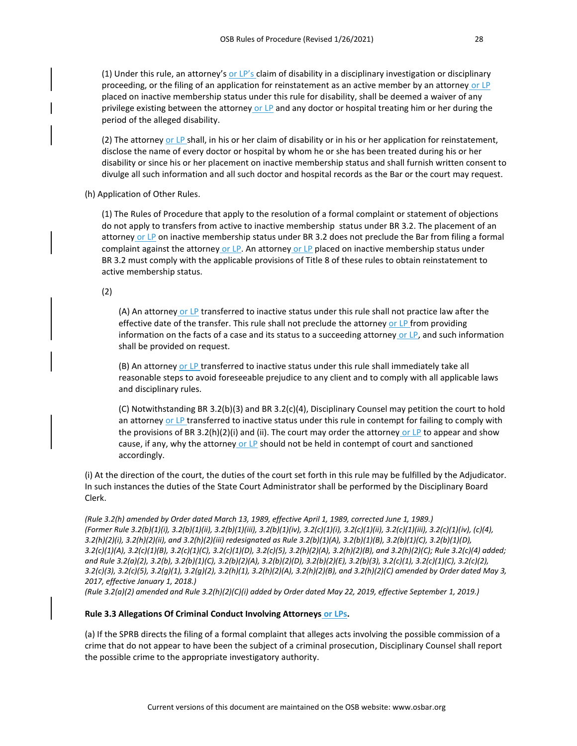(1) Under this rule, an attorney's or LP's claim of disability in a disciplinary investigation or disciplinary proceeding, or the filing of an application for reinstatement as an active member by an attorney or LP placed on inactive membership status under this rule for disability, shall be deemed a waiver of any privilege existing between the attorney or LP and any doctor or hospital treating him or her during the period of the alleged disability.

(2) The attorney or LP shall, in his or her claim of disability or in his or her application for reinstatement, disclose the name of every doctor or hospital by whom he or she has been treated during his or her disability or since his or her placement on inactive membership status and shall furnish written consent to divulge all such information and all such doctor and hospital records as the Bar or the court may request.

(h) Application of Other Rules.

(1) The Rules of Procedure that apply to the resolution of a formal complaint or statement of objections do not apply to transfers from active to inactive membership status under BR 3.2. The placement of an attorney or LP on inactive membership status under BR 3.2 does not preclude the Bar from filing a formal complaint against the attorney or LP. An attorney or LP placed on inactive membership status under BR 3.2 must comply with the applicable provisions of Title 8 of these rules to obtain reinstatement to active membership status.

(2)

(A) An attorney or LP transferred to inactive status under this rule shall not practice law after the effective date of the transfer. This rule shall not preclude the attorney or LP from providing information on the facts of a case and its status to a succeeding attorney or LP, and such information shall be provided on request.

(B) An attorney or LP transferred to inactive status under this rule shall immediately take all reasonable steps to avoid foreseeable prejudice to any client and to comply with all applicable laws and disciplinary rules.

(C) Notwithstanding BR 3.2(b)(3) and BR 3.2(c)(4), Disciplinary Counsel may petition the court to hold an attorney or LP transferred to inactive status under this rule in contempt for failing to comply with the provisions of BR 3.2(h)(2)(i) and (ii). The court may order the attorney or LP to appear and show cause, if any, why the attorney or LP should not be held in contempt of court and sanctioned accordingly.

(i) At the direction of the court, the duties of the court set forth in this rule may be fulfilled by the Adjudicator. In such instances the duties of the State Court Administrator shall be performed by the Disciplinary Board Clerk.

*(Rule 3.2(h) amended by Order dated March 13, 1989, effective April 1, 1989, corrected June 1, 1989.) (Former Rule 3.2(b)(1)(i), 3.2(b)(1)(ii), 3.2(b)(1)(iii), 3.2(b)(1)(iv), 3.2(c)(1)(i), 3.2(c)(1)(ii), 3.2(c)(1)(iii), 3.2(c)(1)(iv), (c)(4), 3.2(h)(2)(i), 3.2(h)(2)(ii), and 3.2(h)(2)(iii) redesignated as Rule 3.2(b)(1)(A), 3.2(b)(1)(B), 3.2(b)(1)(C), 3.2(b)(1)(D), 3.2(c)(1)(A), 3.2(c)(1)(B), 3.2(c)(1)(C), 3.2(c)(1)(D), 3.2(c)(5), 3.2(h)(2)(A), 3.2(h)(2)(B), and 3.2(h)(2)(C); Rule 3.2(c)(4) added; and Rule 3.2(a)(2), 3.2(b), 3.2(b)(1)(C), 3.2(b)(2)(A), 3.2(b)(2)(D), 3.2(b)(2)(E), 3.2(b)(3), 3.2(c)(1), 3.2(c)(1)(C), 3.2(c)(2), 3.2(c)(3), 3.2(c)(5), 3.2(g)(1), 3.2(g)(2), 3.2(h)(1), 3.2(h)(2)(A), 3.2(h)(2)(B), and 3.2(h)(2)(C) amended by Order dated May 3, 2017, effective January 1, 2018.)*

*(Rule 3.2(a)(2) amended and Rule 3.2(h)(2)(C)(i) added by Order dated May 22, 2019, effective September 1, 2019.)*

#### **Rule 3.3 Allegations Of Criminal Conduct Involving Attorneys or LPs.**

(a) If the SPRB directs the filing of a formal complaint that alleges acts involving the possible commission of a crime that do not appear to have been the subject of a criminal prosecution, Disciplinary Counsel shall report the possible crime to the appropriate investigatory authority.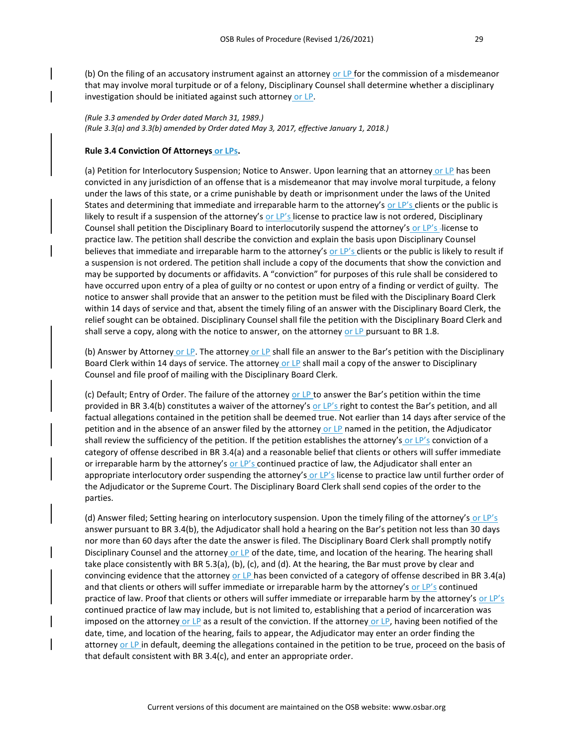*(Rule 3.3 amended by Order dated March 31, 1989.) (Rule 3.3(a) and 3.3(b) amended by Order dated May 3, 2017, effective January 1, 2018.)*

#### **Rule 3.4 Conviction Of Attorneys or LPs.**

(a) Petition for Interlocutory Suspension; Notice to Answer. Upon learning that an attorney or LP has been convicted in any jurisdiction of an offense that is a misdemeanor that may involve moral turpitude, a felony under the laws of this state, or a crime punishable by death or imprisonment under the laws of the United States and determining that immediate and irreparable harm to the attorney's or LP's clients or the public is likely to result if a suspension of the attorney's or LP's license to practice law is not ordered, Disciplinary Counsel shall petition the Disciplinary Board to interlocutorily suspend the attorney's or LP's-license to practice law. The petition shall describe the conviction and explain the basis upon Disciplinary Counsel believes that immediate and irreparable harm to the attorney's or LP's clients or the public is likely to result if a suspension is not ordered. The petition shall include a copy of the documents that show the conviction and may be supported by documents or affidavits. A "conviction" for purposes of this rule shall be considered to have occurred upon entry of a plea of guilty or no contest or upon entry of a finding or verdict of guilty. The notice to answer shall provide that an answer to the petition must be filed with the Disciplinary Board Clerk within 14 days of service and that, absent the timely filing of an answer with the Disciplinary Board Clerk, the relief sought can be obtained. Disciplinary Counsel shall file the petition with the Disciplinary Board Clerk and shall serve a copy, along with the notice to answer, on the attorney or LP pursuant to BR 1.8.

(b) Answer by Attorney or LP. The attorney or LP shall file an answer to the Bar's petition with the Disciplinary Board Clerk within 14 days of service. The attorney or LP shall mail a copy of the answer to Disciplinary Counsel and file proof of mailing with the Disciplinary Board Clerk.

(c) Default; Entry of Order. The failure of the attorney or LP to answer the Bar's petition within the time provided in BR 3.4(b) constitutes a waiver of the attorney's or LP's right to contest the Bar's petition, and all factual allegations contained in the petition shall be deemed true. Not earlier than 14 days after service of the petition and in the absence of an answer filed by the attorney or LP named in the petition, the Adjudicator shall review the sufficiency of the petition. If the petition establishes the attorney's or LP's conviction of a category of offense described in BR 3.4(a) and a reasonable belief that clients or others will suffer immediate or irreparable harm by the attorney's or LP's continued practice of law, the Adjudicator shall enter an appropriate interlocutory order suspending the attorney's or LP's license to practice law until further order of the Adjudicator or the Supreme Court. The Disciplinary Board Clerk shall send copies of the order to the parties.

(d) Answer filed; Setting hearing on interlocutory suspension. Upon the timely filing of the attorney's or LP's answer pursuant to BR 3.4(b), the Adjudicator shall hold a hearing on the Bar's petition not less than 30 days nor more than 60 days after the date the answer is filed. The Disciplinary Board Clerk shall promptly notify Disciplinary Counsel and the attorney or LP of the date, time, and location of the hearing. The hearing shall take place consistently with BR 5.3(a), (b), (c), and (d). At the hearing, the Bar must prove by clear and convincing evidence that the attorney or LP has been convicted of a category of offense described in BR 3.4(a) and that clients or others will suffer immediate or irreparable harm by the attorney's or LP's continued practice of law. Proof that clients or others will suffer immediate or irreparable harm by the attorney's or LP's continued practice of law may include, but is not limited to, establishing that a period of incarceration was imposed on the attorney or LP as a result of the conviction. If the attorney or LP, having been notified of the date, time, and location of the hearing, fails to appear, the Adjudicator may enter an order finding the attorney or LP in default, deeming the allegations contained in the petition to be true, proceed on the basis of that default consistent with BR 3.4(c), and enter an appropriate order.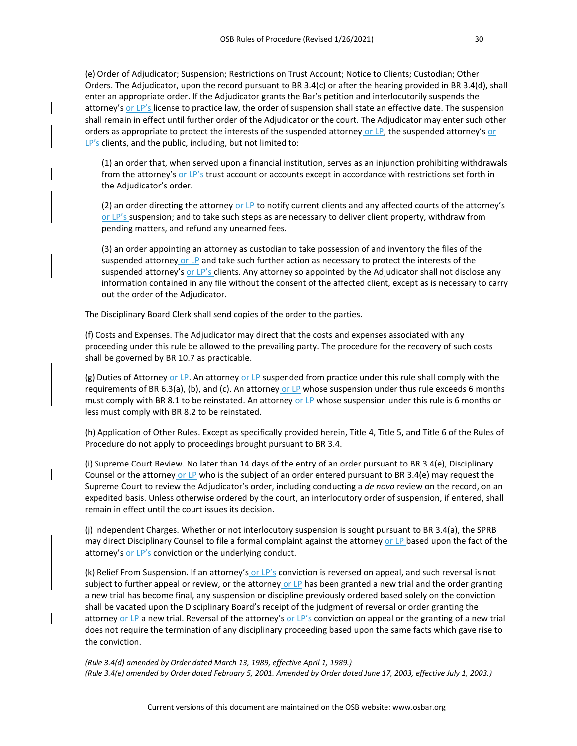(e) Order of Adjudicator; Suspension; Restrictions on Trust Account; Notice to Clients; Custodian; Other Orders. The Adjudicator, upon the record pursuant to BR 3.4(c) or after the hearing provided in BR 3.4(d), shall enter an appropriate order. If the Adjudicator grants the Bar's petition and interlocutorily suspends the attorney's or LP's license to practice law, the order of suspension shall state an effective date. The suspension shall remain in effect until further order of the Adjudicator or the court. The Adjudicator may enter such other orders as appropriate to protect the interests of the suspended attorney or LP, the suspended attorney's or LP's clients, and the public, including, but not limited to:

(1) an order that, when served upon a financial institution, serves as an injunction prohibiting withdrawals from the attorney's or LP's trust account or accounts except in accordance with restrictions set forth in the Adjudicator's order.

(2) an order directing the attorney or LP to notify current clients and any affected courts of the attorney's or LP's suspension; and to take such steps as are necessary to deliver client property, withdraw from pending matters, and refund any unearned fees.

(3) an order appointing an attorney as custodian to take possession of and inventory the files of the suspended attorney or LP and take such further action as necessary to protect the interests of the suspended attorney's or LP's clients. Any attorney so appointed by the Adjudicator shall not disclose any information contained in any file without the consent of the affected client, except as is necessary to carry out the order of the Adjudicator.

The Disciplinary Board Clerk shall send copies of the order to the parties.

(f) Costs and Expenses. The Adjudicator may direct that the costs and expenses associated with any proceeding under this rule be allowed to the prevailing party. The procedure for the recovery of such costs shall be governed by BR 10.7 as practicable.

(g) Duties of Attorney or LP. An attorney or LP suspended from practice under this rule shall comply with the requirements of BR 6.3(a), (b), and (c). An attorney or LP whose suspension under thus rule exceeds 6 months must comply with BR 8.1 to be reinstated. An attorney or LP whose suspension under this rule is 6 months or less must comply with BR 8.2 to be reinstated.

(h) Application of Other Rules. Except as specifically provided herein, Title 4, Title 5, and Title 6 of the Rules of Procedure do not apply to proceedings brought pursuant to BR 3.4.

(i) Supreme Court Review. No later than 14 days of the entry of an order pursuant to BR 3.4(e), Disciplinary Counsel or the attorney or LP who is the subject of an order entered pursuant to BR 3.4(e) may request the Supreme Court to review the Adjudicator's order, including conducting a *de novo* review on the record, on an expedited basis. Unless otherwise ordered by the court, an interlocutory order of suspension, if entered, shall remain in effect until the court issues its decision.

(j) Independent Charges. Whether or not interlocutory suspension is sought pursuant to BR 3.4(a), the SPRB may direct Disciplinary Counsel to file a formal complaint against the attorney or LP based upon the fact of the attorney's or LP's conviction or the underlying conduct.

(k) Relief From Suspension. If an attorney's or  $LP's$  conviction is reversed on appeal, and such reversal is not subject to further appeal or review, or the attorney or LP has been granted a new trial and the order granting a new trial has become final, any suspension or discipline previously ordered based solely on the conviction shall be vacated upon the Disciplinary Board's receipt of the judgment of reversal or order granting the attorney or LP a new trial. Reversal of the attorney's or LP's conviction on appeal or the granting of a new trial does not require the termination of any disciplinary proceeding based upon the same facts which gave rise to the conviction.

*(Rule 3.4(d) amended by Order dated March 13, 1989, effective April 1, 1989.) (Rule 3.4(e) amended by Order dated February 5, 2001. Amended by Order dated June 17, 2003, effective July 1, 2003.)*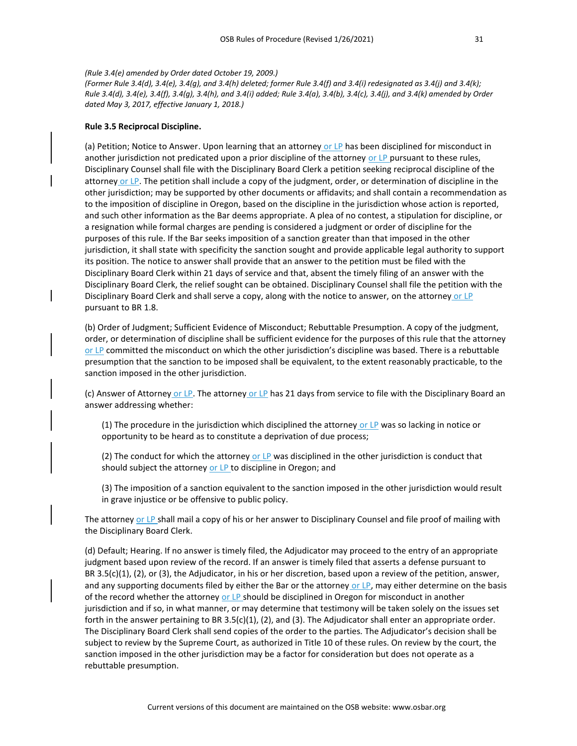#### *(Rule 3.4(e) amended by Order dated October 19, 2009.)*

*(Former Rule 3.4(d), 3.4(e), 3.4(g), and 3.4(h) deleted; former Rule 3.4(f) and 3.4(i) redesignated as 3.4(j) and 3.4(k); Rule 3.4(d), 3.4(e), 3.4(f), 3.4(g), 3.4(h), and 3.4(i) added; Rule 3.4(a), 3.4(b), 3.4(c), 3.4(j), and 3.4(k) amended by Order dated May 3, 2017, effective January 1, 2018.)*

#### **Rule 3.5 Reciprocal Discipline.**

(a) Petition; Notice to Answer. Upon learning that an attorney or LP has been disciplined for misconduct in another jurisdiction not predicated upon a prior discipline of the attorney or LP pursuant to these rules, Disciplinary Counsel shall file with the Disciplinary Board Clerk a petition seeking reciprocal discipline of the attorney or LP. The petition shall include a copy of the judgment, order, or determination of discipline in the other jurisdiction; may be supported by other documents or affidavits; and shall contain a recommendation as to the imposition of discipline in Oregon, based on the discipline in the jurisdiction whose action is reported, and such other information as the Bar deems appropriate. A plea of no contest, a stipulation for discipline, or a resignation while formal charges are pending is considered a judgment or order of discipline for the purposes of this rule. If the Bar seeks imposition of a sanction greater than that imposed in the other jurisdiction, it shall state with specificity the sanction sought and provide applicable legal authority to support its position. The notice to answer shall provide that an answer to the petition must be filed with the Disciplinary Board Clerk within 21 days of service and that, absent the timely filing of an answer with the Disciplinary Board Clerk, the relief sought can be obtained. Disciplinary Counsel shall file the petition with the Disciplinary Board Clerk and shall serve a copy, along with the notice to answer, on the attorney or LP pursuant to BR 1.8.

(b) Order of Judgment; Sufficient Evidence of Misconduct; Rebuttable Presumption. A copy of the judgment, order, or determination of discipline shall be sufficient evidence for the purposes of this rule that the attorney or LP committed the misconduct on which the other jurisdiction's discipline was based. There is a rebuttable presumption that the sanction to be imposed shall be equivalent, to the extent reasonably practicable, to the sanction imposed in the other jurisdiction.

(c) Answer of Attorney or LP. The attorney or LP has 21 days from service to file with the Disciplinary Board an answer addressing whether:

(1) The procedure in the jurisdiction which disciplined the attorney or LP was so lacking in notice or opportunity to be heard as to constitute a deprivation of due process;

(2) The conduct for which the attorney or LP was disciplined in the other jurisdiction is conduct that should subject the attorney or LP to discipline in Oregon; and

(3) The imposition of a sanction equivalent to the sanction imposed in the other jurisdiction would result in grave injustice or be offensive to public policy.

The attorney or LP shall mail a copy of his or her answer to Disciplinary Counsel and file proof of mailing with the Disciplinary Board Clerk.

(d) Default; Hearing. If no answer is timely filed, the Adjudicator may proceed to the entry of an appropriate judgment based upon review of the record. If an answer is timely filed that asserts a defense pursuant to BR 3.5(c)(1), (2), or (3), the Adjudicator, in his or her discretion, based upon a review of the petition, answer, and any supporting documents filed by either the Bar or the attorney or LP, may either determine on the basis of the record whether the attorney or LP should be disciplined in Oregon for misconduct in another jurisdiction and if so, in what manner, or may determine that testimony will be taken solely on the issues set forth in the answer pertaining to BR 3.5(c)(1), (2), and (3). The Adjudicator shall enter an appropriate order. The Disciplinary Board Clerk shall send copies of the order to the parties. The Adjudicator's decision shall be subject to review by the Supreme Court, as authorized in Title 10 of these rules. On review by the court, the sanction imposed in the other jurisdiction may be a factor for consideration but does not operate as a rebuttable presumption.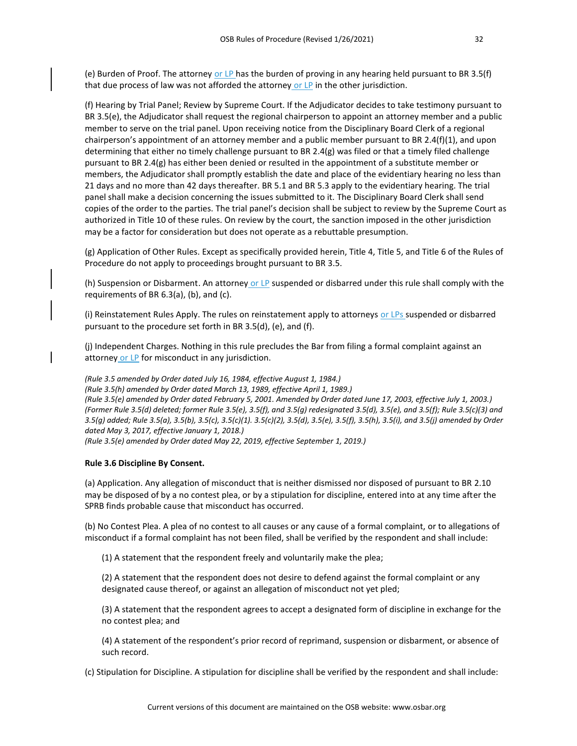(e) Burden of Proof. The attorney or LP has the burden of proving in any hearing held pursuant to BR 3.5(f) that due process of law was not afforded the attorney or  $LP$  in the other jurisdiction.

(f) Hearing by Trial Panel; Review by Supreme Court. If the Adjudicator decides to take testimony pursuant to BR 3.5(e), the Adjudicator shall request the regional chairperson to appoint an attorney member and a public member to serve on the trial panel. Upon receiving notice from the Disciplinary Board Clerk of a regional chairperson's appointment of an attorney member and a public member pursuant to BR 2.4(f)(1), and upon determining that either no timely challenge pursuant to BR 2.4(g) was filed or that a timely filed challenge pursuant to BR 2.4(g) has either been denied or resulted in the appointment of a substitute member or members, the Adjudicator shall promptly establish the date and place of the evidentiary hearing no less than 21 days and no more than 42 days thereafter. BR 5.1 and BR 5.3 apply to the evidentiary hearing. The trial panel shall make a decision concerning the issues submitted to it. The Disciplinary Board Clerk shall send copies of the order to the parties. The trial panel's decision shall be subject to review by the Supreme Court as authorized in Title 10 of these rules. On review by the court, the sanction imposed in the other jurisdiction may be a factor for consideration but does not operate as a rebuttable presumption.

(g) Application of Other Rules. Except as specifically provided herein, Title 4, Title 5, and Title 6 of the Rules of Procedure do not apply to proceedings brought pursuant to BR 3.5.

(h) Suspension or Disbarment. An attorney or LP suspended or disbarred under this rule shall comply with the requirements of BR 6.3(a), (b), and (c).

(i) Reinstatement Rules Apply. The rules on reinstatement apply to attorneys or LPs suspended or disbarred pursuant to the procedure set forth in BR 3.5(d), (e), and (f).

(j) Independent Charges. Nothing in this rule precludes the Bar from filing a formal complaint against an attorney or LP for misconduct in any jurisdiction.

*(Rule 3.5 amended by Order dated July 16, 1984, effective August 1, 1984.)*

*(Rule 3.5(h) amended by Order dated March 13, 1989, effective April 1, 1989.)*

*(Rule 3.5(e) amended by Order dated February 5, 2001. Amended by Order dated June 17, 2003, effective July 1, 2003.) (Former Rule 3.5(d) deleted; former Rule 3.5(e), 3.5(f), and 3.5(g) redesignated 3.5(d), 3.5(e), and 3.5(f); Rule 3.5(c)(3) and 3.5(g) added; Rule 3.5(a), 3.5(b), 3.5(c), 3.5(c)(1). 3.5(c)(2), 3.5(d), 3.5(e), 3.5(f), 3.5(h), 3.5(i), and 3.5(j) amended by Order dated May 3, 2017, effective January 1, 2018.)*

*(Rule 3.5(e) amended by Order dated May 22, 2019, effective September 1, 2019.)*

#### **Rule 3.6 Discipline By Consent.**

(a) Application. Any allegation of misconduct that is neither dismissed nor disposed of pursuant to BR 2.10 may be disposed of by a no contest plea, or by a stipulation for discipline, entered into at any time after the SPRB finds probable cause that misconduct has occurred.

(b) No Contest Plea. A plea of no contest to all causes or any cause of a formal complaint, or to allegations of misconduct if a formal complaint has not been filed, shall be verified by the respondent and shall include:

(1) A statement that the respondent freely and voluntarily make the plea;

(2) A statement that the respondent does not desire to defend against the formal complaint or any designated cause thereof, or against an allegation of misconduct not yet pled;

(3) A statement that the respondent agrees to accept a designated form of discipline in exchange for the no contest plea; and

(4) A statement of the respondent's prior record of reprimand, suspension or disbarment, or absence of such record.

(c) Stipulation for Discipline. A stipulation for discipline shall be verified by the respondent and shall include: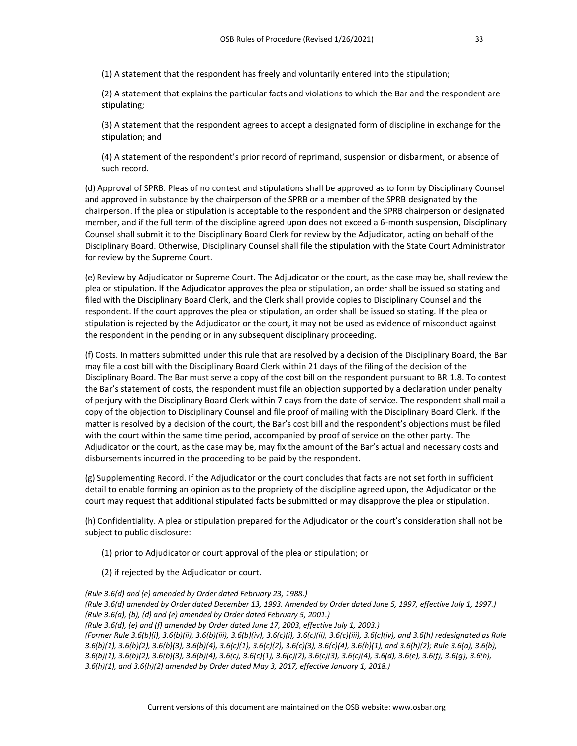(1) A statement that the respondent has freely and voluntarily entered into the stipulation;

(2) A statement that explains the particular facts and violations to which the Bar and the respondent are stipulating;

(3) A statement that the respondent agrees to accept a designated form of discipline in exchange for the stipulation; and

(4) A statement of the respondent's prior record of reprimand, suspension or disbarment, or absence of such record.

(d) Approval of SPRB. Pleas of no contest and stipulations shall be approved as to form by Disciplinary Counsel and approved in substance by the chairperson of the SPRB or a member of the SPRB designated by the chairperson. If the plea or stipulation is acceptable to the respondent and the SPRB chairperson or designated member, and if the full term of the discipline agreed upon does not exceed a 6-month suspension, Disciplinary Counsel shall submit it to the Disciplinary Board Clerk for review by the Adjudicator, acting on behalf of the Disciplinary Board. Otherwise, Disciplinary Counsel shall file the stipulation with the State Court Administrator for review by the Supreme Court.

(e) Review by Adjudicator or Supreme Court. The Adjudicator or the court, as the case may be, shall review the plea or stipulation. If the Adjudicator approves the plea or stipulation, an order shall be issued so stating and filed with the Disciplinary Board Clerk, and the Clerk shall provide copies to Disciplinary Counsel and the respondent. If the court approves the plea or stipulation, an order shall be issued so stating. If the plea or stipulation is rejected by the Adjudicator or the court, it may not be used as evidence of misconduct against the respondent in the pending or in any subsequent disciplinary proceeding.

(f) Costs. In matters submitted under this rule that are resolved by a decision of the Disciplinary Board, the Bar may file a cost bill with the Disciplinary Board Clerk within 21 days of the filing of the decision of the Disciplinary Board. The Bar must serve a copy of the cost bill on the respondent pursuant to BR 1.8. To contest the Bar's statement of costs, the respondent must file an objection supported by a declaration under penalty of perjury with the Disciplinary Board Clerk within 7 days from the date of service. The respondent shall mail a copy of the objection to Disciplinary Counsel and file proof of mailing with the Disciplinary Board Clerk. If the matter is resolved by a decision of the court, the Bar's cost bill and the respondent's objections must be filed with the court within the same time period, accompanied by proof of service on the other party. The Adjudicator or the court, as the case may be, may fix the amount of the Bar's actual and necessary costs and disbursements incurred in the proceeding to be paid by the respondent.

(g) Supplementing Record. If the Adjudicator or the court concludes that facts are not set forth in sufficient detail to enable forming an opinion as to the propriety of the discipline agreed upon, the Adjudicator or the court may request that additional stipulated facts be submitted or may disapprove the plea or stipulation.

(h) Confidentiality. A plea or stipulation prepared for the Adjudicator or the court's consideration shall not be subject to public disclosure:

- (1) prior to Adjudicator or court approval of the plea or stipulation; or
- (2) if rejected by the Adjudicator or court.

*(Rule 3.6(d) and (e) amended by Order dated February 23, 1988.) (Rule 3.6(d) amended by Order dated December 13, 1993. Amended by Order dated June 5, 1997, effective July 1, 1997.) (Rule 3.6(a), (b), (d) and (e) amended by Order dated February 5, 2001.) (Rule 3.6(d), (e) and (f) amended by Order dated June 17, 2003, effective July 1, 2003.) (Former Rule 3.6(b)(i), 3.6(b)(ii), 3.6(b)(iii), 3.6(b)(iv), 3.6(c)(i), 3.6(c)(ii), 3.6(c)(iii), 3.6(c)(iv), and 3.6(h) redesignated as Rule 3.6(b)(1), 3.6(b)(2), 3.6(b)(3), 3.6(b)(4), 3.6(c)(1), 3.6(c)(2), 3.6(c)(3), 3.6(c)(4), 3.6(h)(1), and 3.6(h)(2); Rule 3.6(a), 3.6(b), 3.6(b)(1), 3.6(b)(2), 3.6(b)(3), 3.6(b)(4), 3.6(c), 3.6(c)(1), 3.6(c)(2), 3.6(c)(3), 3.6(c)(4), 3.6(d), 3.6(e), 3.6(f), 3.6(g), 3.6(h), 3.6(h)(1), and 3.6(h)(2) amended by Order dated May 3, 2017, effective January 1, 2018.)*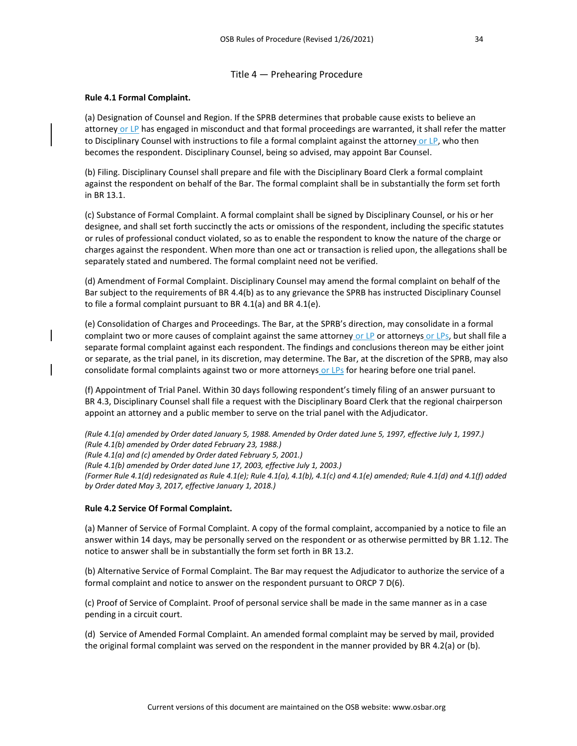# Title 4 — Prehearing Procedure

# **Rule 4.1 Formal Complaint.**

(a) Designation of Counsel and Region. If the SPRB determines that probable cause exists to believe an attorney or LP has engaged in misconduct and that formal proceedings are warranted, it shall refer the matter to Disciplinary Counsel with instructions to file a formal complaint against the attorney or LP, who then becomes the respondent. Disciplinary Counsel, being so advised, may appoint Bar Counsel.

(b) Filing. Disciplinary Counsel shall prepare and file with the Disciplinary Board Clerk a formal complaint against the respondent on behalf of the Bar. The formal complaint shall be in substantially the form set forth in BR 13.1.

(c) Substance of Formal Complaint. A formal complaint shall be signed by Disciplinary Counsel, or his or her designee, and shall set forth succinctly the acts or omissions of the respondent, including the specific statutes or rules of professional conduct violated, so as to enable the respondent to know the nature of the charge or charges against the respondent. When more than one act or transaction is relied upon, the allegations shall be separately stated and numbered. The formal complaint need not be verified.

(d) Amendment of Formal Complaint. Disciplinary Counsel may amend the formal complaint on behalf of the Bar subject to the requirements of BR 4.4(b) as to any grievance the SPRB has instructed Disciplinary Counsel to file a formal complaint pursuant to BR 4.1(a) and BR 4.1(e).

(e) Consolidation of Charges and Proceedings. The Bar, at the SPRB's direction, may consolidate in a formal complaint two or more causes of complaint against the same attorney or LP or attorneys or LPs, but shall file a separate formal complaint against each respondent. The findings and conclusions thereon may be either joint or separate, as the trial panel, in its discretion, may determine. The Bar, at the discretion of the SPRB, may also consolidate formal complaints against two or more attorneys or LPs for hearing before one trial panel.

(f) Appointment of Trial Panel. Within 30 days following respondent's timely filing of an answer pursuant to BR 4.3, Disciplinary Counsel shall file a request with the Disciplinary Board Clerk that the regional chairperson appoint an attorney and a public member to serve on the trial panel with the Adjudicator.

*(Rule 4.1(a) amended by Order dated January 5, 1988. Amended by Order dated June 5, 1997, effective July 1, 1997.) (Rule 4.1(b) amended by Order dated February 23, 1988.) (Rule 4.1(a) and (c) amended by Order dated February 5, 2001.) (Rule 4.1(b) amended by Order dated June 17, 2003, effective July 1, 2003.) (Former Rule 4.1(d) redesignated as Rule 4.1(e); Rule 4.1(a), 4.1(b), 4.1(c) and 4.1(e) amended; Rule 4.1(d) and 4.1(f) added by Order dated May 3, 2017, effective January 1, 2018.)*

# **Rule 4.2 Service Of Formal Complaint.**

(a) Manner of Service of Formal Complaint. A copy of the formal complaint, accompanied by a notice to file an answer within 14 days, may be personally served on the respondent or as otherwise permitted by BR 1.12. The notice to answer shall be in substantially the form set forth in BR 13.2.

(b) Alternative Service of Formal Complaint. The Bar may request the Adjudicator to authorize the service of a formal complaint and notice to answer on the respondent pursuant to ORCP 7 D(6).

(c) Proof of Service of Complaint. Proof of personal service shall be made in the same manner as in a case pending in a circuit court.

(d) Service of Amended Formal Complaint. An amended formal complaint may be served by mail, provided the original formal complaint was served on the respondent in the manner provided by BR 4.2(a) or (b).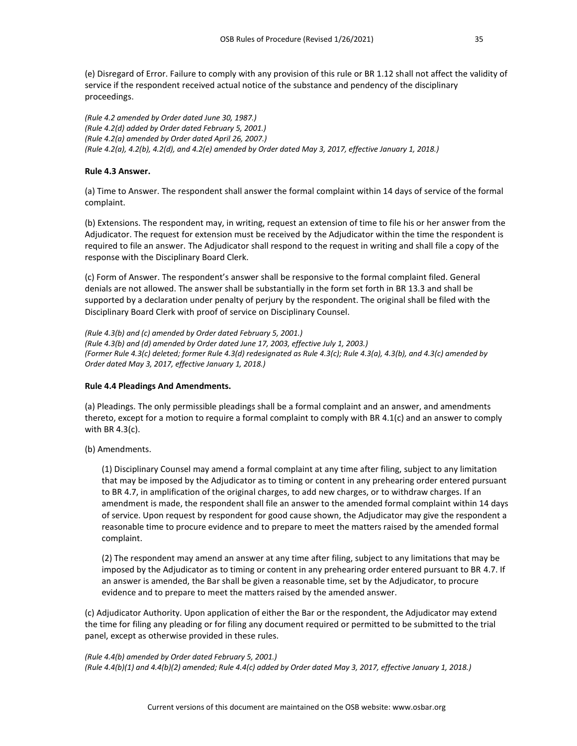(e) Disregard of Error. Failure to comply with any provision of this rule or BR 1.12 shall not affect the validity of service if the respondent received actual notice of the substance and pendency of the disciplinary proceedings.

*(Rule 4.2 amended by Order dated June 30, 1987.) (Rule 4.2(d) added by Order dated February 5, 2001.) (Rule 4.2(a) amended by Order dated April 26, 2007.) (Rule 4.2(a), 4.2(b), 4.2(d), and 4.2(e) amended by Order dated May 3, 2017, effective January 1, 2018.)*

# **Rule 4.3 Answer.**

(a) Time to Answer. The respondent shall answer the formal complaint within 14 days of service of the formal complaint.

(b) Extensions. The respondent may, in writing, request an extension of time to file his or her answer from the Adjudicator. The request for extension must be received by the Adjudicator within the time the respondent is required to file an answer. The Adjudicator shall respond to the request in writing and shall file a copy of the response with the Disciplinary Board Clerk.

(c) Form of Answer. The respondent's answer shall be responsive to the formal complaint filed. General denials are not allowed. The answer shall be substantially in the form set forth in BR 13.3 and shall be supported by a declaration under penalty of perjury by the respondent. The original shall be filed with the Disciplinary Board Clerk with proof of service on Disciplinary Counsel.

*(Rule 4.3(b) and (c) amended by Order dated February 5, 2001.) (Rule 4.3(b) and (d) amended by Order dated June 17, 2003, effective July 1, 2003.) (Former Rule 4.3(c) deleted; former Rule 4.3(d) redesignated as Rule 4.3(c); Rule 4.3(a), 4.3(b), and 4.3(c) amended by Order dated May 3, 2017, effective January 1, 2018.)*

# **Rule 4.4 Pleadings And Amendments.**

(a) Pleadings. The only permissible pleadings shall be a formal complaint and an answer, and amendments thereto, except for a motion to require a formal complaint to comply with BR 4.1(c) and an answer to comply with BR 4.3(c).

(b) Amendments.

(1) Disciplinary Counsel may amend a formal complaint at any time after filing, subject to any limitation that may be imposed by the Adjudicator as to timing or content in any prehearing order entered pursuant to BR 4.7, in amplification of the original charges, to add new charges, or to withdraw charges. If an amendment is made, the respondent shall file an answer to the amended formal complaint within 14 days of service. Upon request by respondent for good cause shown, the Adjudicator may give the respondent a reasonable time to procure evidence and to prepare to meet the matters raised by the amended formal complaint.

(2) The respondent may amend an answer at any time after filing, subject to any limitations that may be imposed by the Adjudicator as to timing or content in any prehearing order entered pursuant to BR 4.7. If an answer is amended, the Bar shall be given a reasonable time, set by the Adjudicator, to procure evidence and to prepare to meet the matters raised by the amended answer.

(c) Adjudicator Authority. Upon application of either the Bar or the respondent, the Adjudicator may extend the time for filing any pleading or for filing any document required or permitted to be submitted to the trial panel, except as otherwise provided in these rules.

#### *(Rule 4.4(b) amended by Order dated February 5, 2001.)*

*(Rule 4.4(b)(1) and 4.4(b)(2) amended; Rule 4.4(c) added by Order dated May 3, 2017, effective January 1, 2018.)*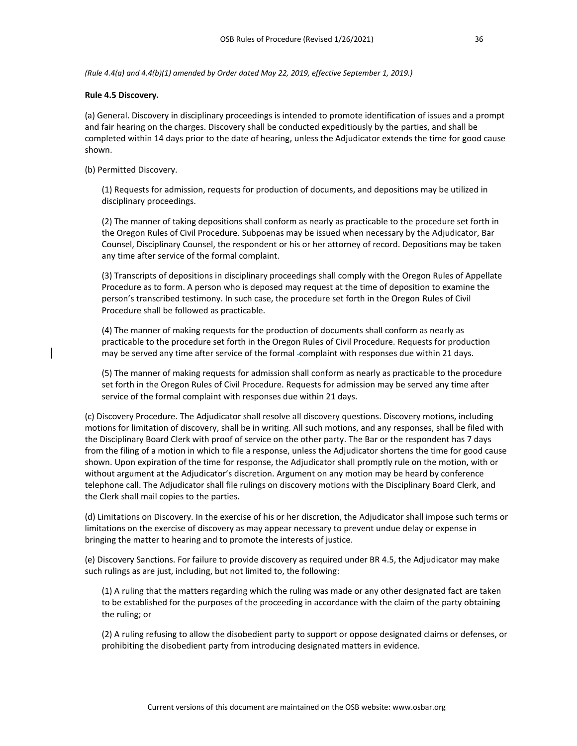*(Rule 4.4(a) and 4.4(b)(1) amended by Order dated May 22, 2019, effective September 1, 2019.)*

#### **Rule 4.5 Discovery.**

(a) General. Discovery in disciplinary proceedings is intended to promote identification of issues and a prompt and fair hearing on the charges. Discovery shall be conducted expeditiously by the parties, and shall be completed within 14 days prior to the date of hearing, unless the Adjudicator extends the time for good cause shown.

#### (b) Permitted Discovery.

(1) Requests for admission, requests for production of documents, and depositions may be utilized in disciplinary proceedings.

(2) The manner of taking depositions shall conform as nearly as practicable to the procedure set forth in the Oregon Rules of Civil Procedure. Subpoenas may be issued when necessary by the Adjudicator, Bar Counsel, Disciplinary Counsel, the respondent or his or her attorney of record. Depositions may be taken any time after service of the formal complaint.

(3) Transcripts of depositions in disciplinary proceedings shall comply with the Oregon Rules of Appellate Procedure as to form. A person who is deposed may request at the time of deposition to examine the person's transcribed testimony. In such case, the procedure set forth in the Oregon Rules of Civil Procedure shall be followed as practicable.

(4) The manner of making requests for the production of documents shall conform as nearly as practicable to the procedure set forth in the Oregon Rules of Civil Procedure. Requests for production may be served any time after service of the formal -complaint with responses due within 21 days.

(5) The manner of making requests for admission shall conform as nearly as practicable to the procedure set forth in the Oregon Rules of Civil Procedure. Requests for admission may be served any time after service of the formal complaint with responses due within 21 days.

(c) Discovery Procedure. The Adjudicator shall resolve all discovery questions. Discovery motions, including motions for limitation of discovery, shall be in writing. All such motions, and any responses, shall be filed with the Disciplinary Board Clerk with proof of service on the other party. The Bar or the respondent has 7 days from the filing of a motion in which to file a response, unless the Adjudicator shortens the time for good cause shown. Upon expiration of the time for response, the Adjudicator shall promptly rule on the motion, with or without argument at the Adjudicator's discretion. Argument on any motion may be heard by conference telephone call. The Adjudicator shall file rulings on discovery motions with the Disciplinary Board Clerk, and the Clerk shall mail copies to the parties.

(d) Limitations on Discovery. In the exercise of his or her discretion, the Adjudicator shall impose such terms or limitations on the exercise of discovery as may appear necessary to prevent undue delay or expense in bringing the matter to hearing and to promote the interests of justice.

(e) Discovery Sanctions. For failure to provide discovery as required under BR 4.5, the Adjudicator may make such rulings as are just, including, but not limited to, the following:

(1) A ruling that the matters regarding which the ruling was made or any other designated fact are taken to be established for the purposes of the proceeding in accordance with the claim of the party obtaining the ruling; or

(2) A ruling refusing to allow the disobedient party to support or oppose designated claims or defenses, or prohibiting the disobedient party from introducing designated matters in evidence.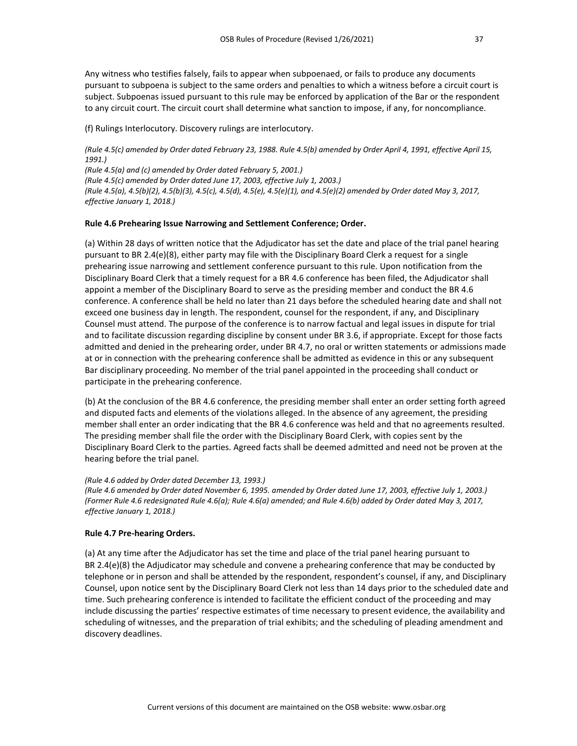Any witness who testifies falsely, fails to appear when subpoenaed, or fails to produce any documents pursuant to subpoena is subject to the same orders and penalties to which a witness before a circuit court is subject. Subpoenas issued pursuant to this rule may be enforced by application of the Bar or the respondent to any circuit court. The circuit court shall determine what sanction to impose, if any, for noncompliance.

(f) Rulings Interlocutory. Discovery rulings are interlocutory.

*(Rule 4.5(c) amended by Order dated February 23, 1988. Rule 4.5(b) amended by Order April 4, 1991, effective April 15, 1991.)*

*(Rule 4.5(a) and (c) amended by Order dated February 5, 2001.) (Rule 4.5(c) amended by Order dated June 17, 2003, effective July 1, 2003.) (Rule 4.5(a), 4.5(b)(2), 4.5(b)(3), 4.5(c), 4.5(d), 4.5(e), 4.5(e)(1), and 4.5(e)(2) amended by Order dated May 3, 2017, effective January 1, 2018.)*

# **Rule 4.6 Prehearing Issue Narrowing and Settlement Conference; Order.**

(a) Within 28 days of written notice that the Adjudicator has set the date and place of the trial panel hearing pursuant to BR 2.4(e)(8), either party may file with the Disciplinary Board Clerk a request for a single prehearing issue narrowing and settlement conference pursuant to this rule. Upon notification from the Disciplinary Board Clerk that a timely request for a BR 4.6 conference has been filed, the Adjudicator shall appoint a member of the Disciplinary Board to serve as the presiding member and conduct the BR 4.6 conference. A conference shall be held no later than 21 days before the scheduled hearing date and shall not exceed one business day in length. The respondent, counsel for the respondent, if any, and Disciplinary Counsel must attend. The purpose of the conference is to narrow factual and legal issues in dispute for trial and to facilitate discussion regarding discipline by consent under BR 3.6, if appropriate. Except for those facts admitted and denied in the prehearing order, under BR 4.7, no oral or written statements or admissions made at or in connection with the prehearing conference shall be admitted as evidence in this or any subsequent Bar disciplinary proceeding. No member of the trial panel appointed in the proceeding shall conduct or participate in the prehearing conference.

(b) At the conclusion of the BR 4.6 conference, the presiding member shall enter an order setting forth agreed and disputed facts and elements of the violations alleged. In the absence of any agreement, the presiding member shall enter an order indicating that the BR 4.6 conference was held and that no agreements resulted. The presiding member shall file the order with the Disciplinary Board Clerk, with copies sent by the Disciplinary Board Clerk to the parties. Agreed facts shall be deemed admitted and need not be proven at the hearing before the trial panel.

# *(Rule 4.6 added by Order dated December 13, 1993.)*

*(Rule 4.6 amended by Order dated November 6, 1995. amended by Order dated June 17, 2003, effective July 1, 2003.) (Former Rule 4.6 redesignated Rule 4.6(a); Rule 4.6(a) amended; and Rule 4.6(b) added by Order dated May 3, 2017, effective January 1, 2018.)*

# **Rule 4.7 Pre-hearing Orders.**

(a) At any time after the Adjudicator has set the time and place of the trial panel hearing pursuant to BR 2.4(e)(8) the Adjudicator may schedule and convene a prehearing conference that may be conducted by telephone or in person and shall be attended by the respondent, respondent's counsel, if any, and Disciplinary Counsel, upon notice sent by the Disciplinary Board Clerk not less than 14 days prior to the scheduled date and time. Such prehearing conference is intended to facilitate the efficient conduct of the proceeding and may include discussing the parties' respective estimates of time necessary to present evidence, the availability and scheduling of witnesses, and the preparation of trial exhibits; and the scheduling of pleading amendment and discovery deadlines.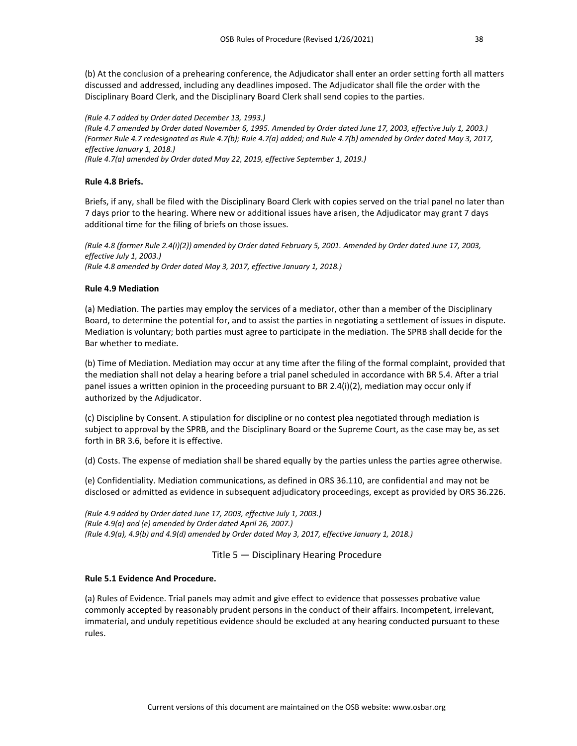(b) At the conclusion of a prehearing conference, the Adjudicator shall enter an order setting forth all matters discussed and addressed, including any deadlines imposed. The Adjudicator shall file the order with the Disciplinary Board Clerk, and the Disciplinary Board Clerk shall send copies to the parties.

*(Rule 4.7 added by Order dated December 13, 1993.) (Rule 4.7 amended by Order dated November 6, 1995. Amended by Order dated June 17, 2003, effective July 1, 2003.) (Former Rule 4.7 redesignated as Rule 4.7(b); Rule 4.7(a) added; and Rule 4.7(b) amended by Order dated May 3, 2017, effective January 1, 2018.) (Rule 4.7(a) amended by Order dated May 22, 2019, effective September 1, 2019.)*

# **Rule 4.8 Briefs.**

Briefs, if any, shall be filed with the Disciplinary Board Clerk with copies served on the trial panel no later than 7 days prior to the hearing. Where new or additional issues have arisen, the Adjudicator may grant 7 days additional time for the filing of briefs on those issues.

*(Rule 4.8 (former Rule 2.4(i)(2)) amended by Order dated February 5, 2001. Amended by Order dated June 17, 2003, effective July 1, 2003.) (Rule 4.8 amended by Order dated May 3, 2017, effective January 1, 2018.)*

# **Rule 4.9 Mediation**

(a) Mediation. The parties may employ the services of a mediator, other than a member of the Disciplinary Board, to determine the potential for, and to assist the parties in negotiating a settlement of issues in dispute. Mediation is voluntary; both parties must agree to participate in the mediation. The SPRB shall decide for the Bar whether to mediate.

(b) Time of Mediation. Mediation may occur at any time after the filing of the formal complaint, provided that the mediation shall not delay a hearing before a trial panel scheduled in accordance with BR 5.4. After a trial panel issues a written opinion in the proceeding pursuant to BR 2.4(i)(2), mediation may occur only if authorized by the Adjudicator.

(c) Discipline by Consent. A stipulation for discipline or no contest plea negotiated through mediation is subject to approval by the SPRB, and the Disciplinary Board or the Supreme Court, as the case may be, as set forth in BR 3.6, before it is effective.

(d) Costs. The expense of mediation shall be shared equally by the parties unless the parties agree otherwise.

(e) Confidentiality. Mediation communications, as defined in ORS 36.110, are confidential and may not be disclosed or admitted as evidence in subsequent adjudicatory proceedings, except as provided by ORS 36.226.

*(Rule 4.9 added by Order dated June 17, 2003, effective July 1, 2003.) (Rule 4.9(a) and (e) amended by Order dated April 26, 2007.) (Rule 4.9(a), 4.9(b) and 4.9(d) amended by Order dated May 3, 2017, effective January 1, 2018.)*

Title 5 — Disciplinary Hearing Procedure

# **Rule 5.1 Evidence And Procedure.**

(a) Rules of Evidence. Trial panels may admit and give effect to evidence that possesses probative value commonly accepted by reasonably prudent persons in the conduct of their affairs. Incompetent, irrelevant, immaterial, and unduly repetitious evidence should be excluded at any hearing conducted pursuant to these rules.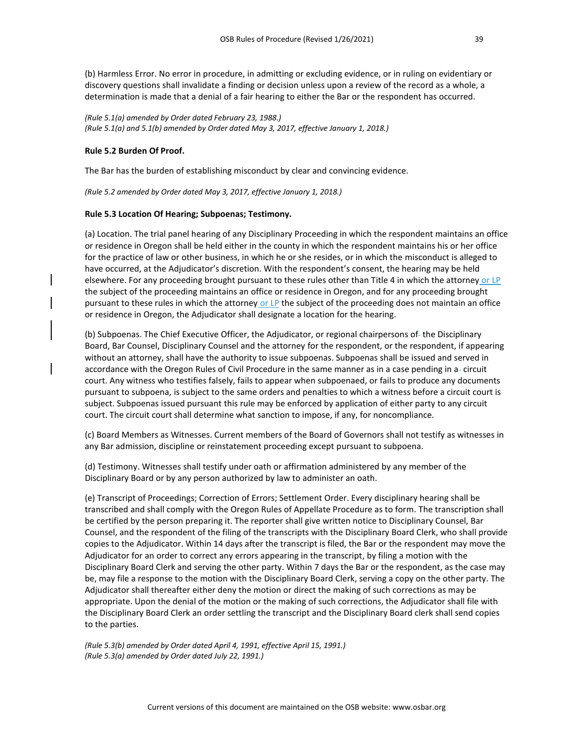(b) Harmless Error. No error in procedure, in admitting or excluding evidence, or in ruling on evidentiary or discovery questions shall invalidate a finding or decision unless upon a review of the record as a whole, a determination is made that a denial of a fair hearing to either the Bar or the respondent has occurred.

*(Rule 5.1(a) amended by Order dated February 23, 1988.) (Rule 5.1(a) and 5.1(b) amended by Order dated May 3, 2017, effective January 1, 2018.)*

# **Rule 5.2 Burden Of Proof.**

The Bar has the burden of establishing misconduct by clear and convincing evidence.

*(Rule 5.2 amended by Order dated May 3, 2017, effective January 1, 2018.)*

# **Rule 5.3 Location Of Hearing; Subpoenas; Testimony.**

(a) Location. The trial panel hearing of any Disciplinary Proceeding in which the respondent maintains an office or residence in Oregon shall be held either in the county in which the respondent maintains his or her office for the practice of law or other business, in which he or she resides, or in which the misconduct is alleged to have occurred, at the Adjudicator's discretion. With the respondent's consent, the hearing may be held elsewhere. For any proceeding brought pursuant to these rules other than Title 4 in which the attorney or LP the subject of the proceeding maintains an office or residence in Oregon, and for any proceeding brought pursuant to these rules in which the attorney or LP the subject of the proceeding does not maintain an office or residence in Oregon, the Adjudicator shall designate a location for the hearing.

(b) Subpoenas. The Chief Executive Officer, the Adjudicator, or regional chairpersons of-the Disciplinary Board, Bar Counsel, Disciplinary Counsel and the attorney for the respondent, or the respondent, if appearing without an attorney, shall have the authority to issue subpoenas. Subpoenas shall be issued and served in accordance with the Oregon Rules of Civil Procedure in the same manner as in a case pending in a-circuit court. Any witness who testifies falsely, fails to appear when subpoenaed, or fails to produce any documents pursuant to subpoena, is subject to the same orders and penalties to which a witness before a circuit court is subject. Subpoenas issued pursuant this rule may be enforced by application of either party to any circuit court. The circuit court shall determine what sanction to impose, if any, for noncompliance.

(c) Board Members as Witnesses. Current members of the Board of Governors shall not testify as witnesses in any Bar admission, discipline or reinstatement proceeding except pursuant to subpoena.

(d) Testimony. Witnesses shall testify under oath or affirmation administered by any member of the Disciplinary Board or by any person authorized by law to administer an oath.

(e) Transcript of Proceedings; Correction of Errors; Settlement Order. Every disciplinary hearing shall be transcribed and shall comply with the Oregon Rules of Appellate Procedure as to form. The transcription shall be certified by the person preparing it. The reporter shall give written notice to Disciplinary Counsel, Bar Counsel, and the respondent of the filing of the transcripts with the Disciplinary Board Clerk, who shall provide copies to the Adjudicator. Within 14 days after the transcript is filed, the Bar or the respondent may move the Adjudicator for an order to correct any errors appearing in the transcript, by filing a motion with the Disciplinary Board Clerk and serving the other party. Within 7 days the Bar or the respondent, as the case may be, may file a response to the motion with the Disciplinary Board Clerk, serving a copy on the other party. The Adjudicator shall thereafter either deny the motion or direct the making of such corrections as may be appropriate. Upon the denial of the motion or the making of such corrections, the Adjudicator shall file with the Disciplinary Board Clerk an order settling the transcript and the Disciplinary Board clerk shall send copies to the parties.

*(Rule 5.3(b) amended by Order dated April 4, 1991, effective April 15, 1991.) (Rule 5.3(a) amended by Order dated July 22, 1991.)*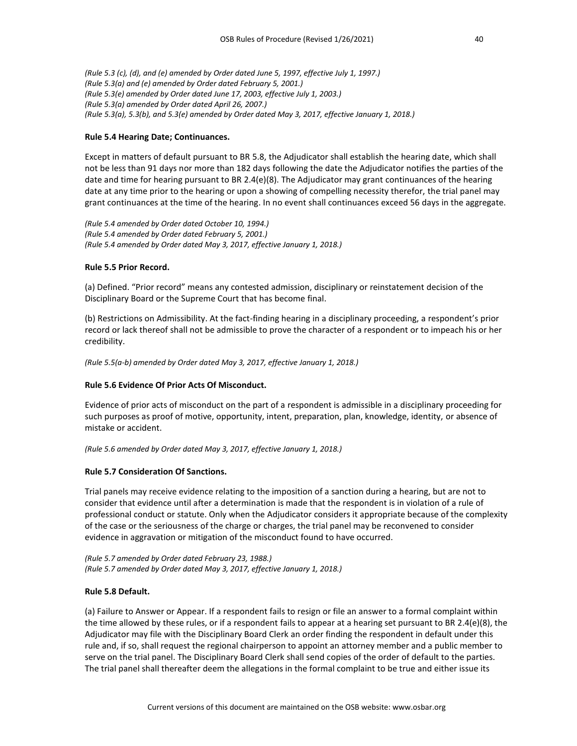*(Rule 5.3 (c), (d), and (e) amended by Order dated June 5, 1997, effective July 1, 1997.) (Rule 5.3(a) and (e) amended by Order dated February 5, 2001.) (Rule 5.3(e) amended by Order dated June 17, 2003, effective July 1, 2003.) (Rule 5.3(a) amended by Order dated April 26, 2007.) (Rule 5.3(a), 5.3(b), and 5.3(e) amended by Order dated May 3, 2017, effective January 1, 2018.)*

#### **Rule 5.4 Hearing Date; Continuances.**

Except in matters of default pursuant to BR 5.8, the Adjudicator shall establish the hearing date, which shall not be less than 91 days nor more than 182 days following the date the Adjudicator notifies the parties of the date and time for hearing pursuant to BR 2.4(e)(8). The Adjudicator may grant continuances of the hearing date at any time prior to the hearing or upon a showing of compelling necessity therefor, the trial panel may grant continuances at the time of the hearing. In no event shall continuances exceed 56 days in the aggregate.

*(Rule 5.4 amended by Order dated October 10, 1994.) (Rule 5.4 amended by Order dated February 5, 2001.) (Rule 5.4 amended by Order dated May 3, 2017, effective January 1, 2018.)*

#### **Rule 5.5 Prior Record.**

(a) Defined. "Prior record" means any contested admission, disciplinary or reinstatement decision of the Disciplinary Board or the Supreme Court that has become final.

(b) Restrictions on Admissibility. At the fact-finding hearing in a disciplinary proceeding, a respondent's prior record or lack thereof shall not be admissible to prove the character of a respondent or to impeach his or her credibility.

*(Rule 5.5(a-b) amended by Order dated May 3, 2017, effective January 1, 2018.)*

# **Rule 5.6 Evidence Of Prior Acts Of Misconduct.**

Evidence of prior acts of misconduct on the part of a respondent is admissible in a disciplinary proceeding for such purposes as proof of motive, opportunity, intent, preparation, plan, knowledge, identity, or absence of mistake or accident.

*(Rule 5.6 amended by Order dated May 3, 2017, effective January 1, 2018.)*

# **Rule 5.7 Consideration Of Sanctions.**

Trial panels may receive evidence relating to the imposition of a sanction during a hearing, but are not to consider that evidence until after a determination is made that the respondent is in violation of a rule of professional conduct or statute. Only when the Adjudicator considers it appropriate because of the complexity of the case or the seriousness of the charge or charges, the trial panel may be reconvened to consider evidence in aggravation or mitigation of the misconduct found to have occurred.

*(Rule 5.7 amended by Order dated February 23, 1988.) (Rule 5.7 amended by Order dated May 3, 2017, effective January 1, 2018.)*

# **Rule 5.8 Default.**

(a) Failure to Answer or Appear. If a respondent fails to resign or file an answer to a formal complaint within the time allowed by these rules, or if a respondent fails to appear at a hearing set pursuant to BR 2.4(e)(8), the Adjudicator may file with the Disciplinary Board Clerk an order finding the respondent in default under this rule and, if so, shall request the regional chairperson to appoint an attorney member and a public member to serve on the trial panel. The Disciplinary Board Clerk shall send copies of the order of default to the parties. The trial panel shall thereafter deem the allegations in the formal complaint to be true and either issue its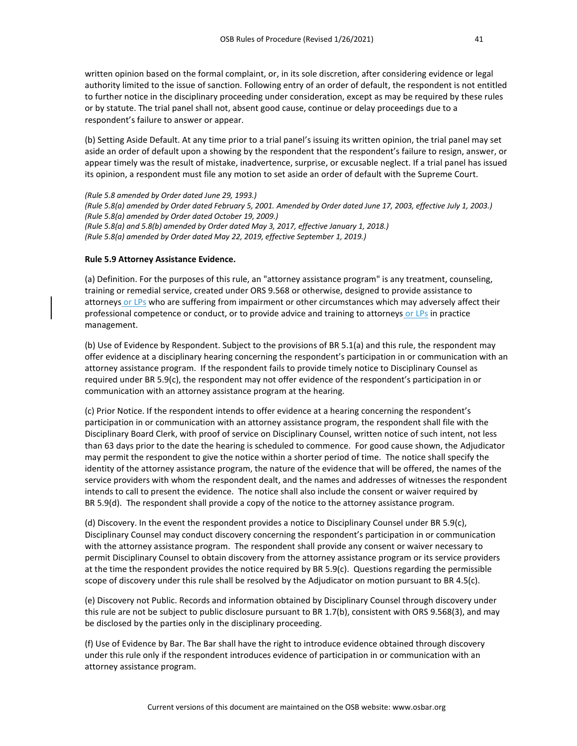written opinion based on the formal complaint, or, in its sole discretion, after considering evidence or legal authority limited to the issue of sanction. Following entry of an order of default, the respondent is not entitled to further notice in the disciplinary proceeding under consideration, except as may be required by these rules or by statute. The trial panel shall not, absent good cause, continue or delay proceedings due to a respondent's failure to answer or appear.

(b) Setting Aside Default. At any time prior to a trial panel's issuing its written opinion, the trial panel may set aside an order of default upon a showing by the respondent that the respondent's failure to resign, answer, or appear timely was the result of mistake, inadvertence, surprise, or excusable neglect. If a trial panel has issued its opinion, a respondent must file any motion to set aside an order of default with the Supreme Court.

*(Rule 5.8 amended by Order dated June 29, 1993.) (Rule 5.8(a) amended by Order dated February 5, 2001. Amended by Order dated June 17, 2003, effective July 1, 2003.) (Rule 5.8(a) amended by Order dated October 19, 2009.) (Rule 5.8(a) and 5.8(b) amended by Order dated May 3, 2017, effective January 1, 2018.) (Rule 5.8(a) amended by Order dated May 22, 2019, effective September 1, 2019.)*

# **Rule 5.9 Attorney Assistance Evidence.**

(a) Definition. For the purposes of this rule, an "attorney assistance program" is any treatment, counseling, training or remedial service, created under ORS 9.568 or otherwise, designed to provide assistance to attorneys or LPs who are suffering from impairment or other circumstances which may adversely affect their professional competence or conduct, or to provide advice and training to attorneys or LPs in practice management.

(b) Use of Evidence by Respondent. Subject to the provisions of BR 5.1(a) and this rule, the respondent may offer evidence at a disciplinary hearing concerning the respondent's participation in or communication with an attorney assistance program. If the respondent fails to provide timely notice to Disciplinary Counsel as required under BR 5.9(c), the respondent may not offer evidence of the respondent's participation in or communication with an attorney assistance program at the hearing.

(c) Prior Notice. If the respondent intends to offer evidence at a hearing concerning the respondent's participation in or communication with an attorney assistance program, the respondent shall file with the Disciplinary Board Clerk, with proof of service on Disciplinary Counsel, written notice of such intent, not less than 63 days prior to the date the hearing is scheduled to commence. For good cause shown, the Adjudicator may permit the respondent to give the notice within a shorter period of time. The notice shall specify the identity of the attorney assistance program, the nature of the evidence that will be offered, the names of the service providers with whom the respondent dealt, and the names and addresses of witnesses the respondent intends to call to present the evidence. The notice shall also include the consent or waiver required by BR 5.9(d). The respondent shall provide a copy of the notice to the attorney assistance program.

(d) Discovery. In the event the respondent provides a notice to Disciplinary Counsel under BR 5.9(c), Disciplinary Counsel may conduct discovery concerning the respondent's participation in or communication with the attorney assistance program. The respondent shall provide any consent or waiver necessary to permit Disciplinary Counsel to obtain discovery from the attorney assistance program or its service providers at the time the respondent provides the notice required by BR 5.9(c). Questions regarding the permissible scope of discovery under this rule shall be resolved by the Adjudicator on motion pursuant to BR 4.5(c).

(e) Discovery not Public. Records and information obtained by Disciplinary Counsel through discovery under this rule are not be subject to public disclosure pursuant to BR 1.7(b), consistent with ORS 9.568(3), and may be disclosed by the parties only in the disciplinary proceeding.

(f) Use of Evidence by Bar. The Bar shall have the right to introduce evidence obtained through discovery under this rule only if the respondent introduces evidence of participation in or communication with an attorney assistance program.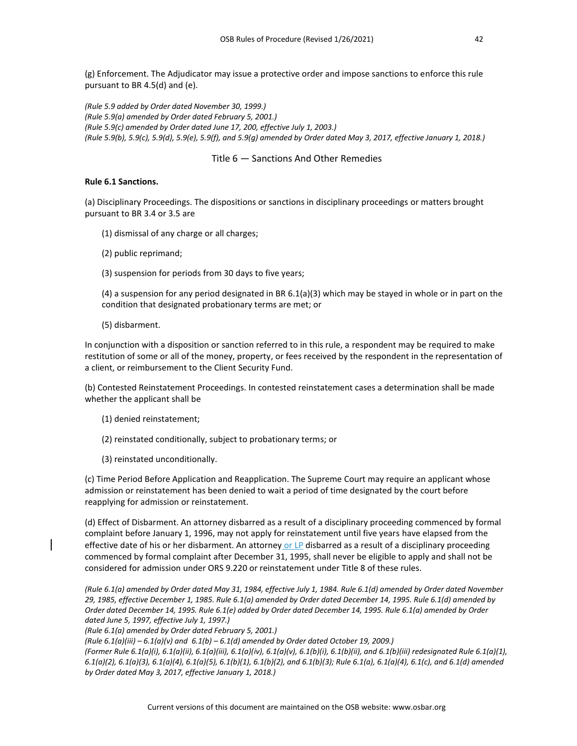(g) Enforcement. The Adjudicator may issue a protective order and impose sanctions to enforce this rule pursuant to BR 4.5(d) and (e).

*(Rule 5.9 added by Order dated November 30, 1999.) (Rule 5.9(a) amended by Order dated February 5, 2001.) (Rule 5.9(c) amended by Order dated June 17, 200, effective July 1, 2003.) (Rule 5.9(b), 5.9(c), 5.9(d), 5.9(e), 5.9(f), and 5.9(g) amended by Order dated May 3, 2017, effective January 1, 2018.)*

# Title 6 — Sanctions And Other Remedies

#### **Rule 6.1 Sanctions.**

(a) Disciplinary Proceedings. The dispositions or sanctions in disciplinary proceedings or matters brought pursuant to BR 3.4 or 3.5 are

- (1) dismissal of any charge or all charges;
- (2) public reprimand;
- (3) suspension for periods from 30 days to five years;

(4) a suspension for any period designated in BR 6.1(a)(3) which may be stayed in whole or in part on the condition that designated probationary terms are met; or

(5) disbarment.

In conjunction with a disposition or sanction referred to in this rule, a respondent may be required to make restitution of some or all of the money, property, or fees received by the respondent in the representation of a client, or reimbursement to the Client Security Fund.

(b) Contested Reinstatement Proceedings. In contested reinstatement cases a determination shall be made whether the applicant shall be

- (1) denied reinstatement;
- (2) reinstated conditionally, subject to probationary terms; or
- (3) reinstated unconditionally.

(c) Time Period Before Application and Reapplication. The Supreme Court may require an applicant whose admission or reinstatement has been denied to wait a period of time designated by the court before reapplying for admission or reinstatement.

(d) Effect of Disbarment. An attorney disbarred as a result of a disciplinary proceeding commenced by formal complaint before January 1, 1996, may not apply for reinstatement until five years have elapsed from the effective date of his or her disbarment. An attorney or LP disbarred as a result of a disciplinary proceeding commenced by formal complaint after December 31, 1995, shall never be eligible to apply and shall not be considered for admission under ORS 9.220 or reinstatement under Title 8 of these rules.

*(Rule 6.1(a) amended by Order dated May 31, 1984, effective July 1, 1984. Rule 6.1(d) amended by Order dated November 29, 1985, effective December 1, 1985. Rule 6.1(a) amended by Order dated December 14, 1995. Rule 6.1(d) amended by Order dated December 14, 1995. Rule 6.1(e) added by Order dated December 14, 1995. Rule 6.1(a) amended by Order dated June 5, 1997, effective July 1, 1997.)*

*(Rule 6.1(a) amended by Order dated February 5, 2001.)*

*(Rule 6.1(a)(iii) – 6.1(a)(v) and 6.1(b) – 6.1(d) amended by Order dated October 19, 2009.)*

*(Former Rule 6.1(a)(i), 6.1(a)(ii), 6.1(a)(iii), 6.1(a)(iv), 6.1(a)(v), 6.1(b)(i), 6.1(b)(ii), and 6.1(b)(iii) redesignated Rule 6.1(a)(1), 6.1(a)(2), 6.1(a)(3), 6.1(a)(4), 6.1(a)(5), 6.1(b)(1), 6.1(b)(2), and 6.1(b)(3); Rule 6.1(a), 6.1(a)(4), 6.1(c), and 6.1(d) amended by Order dated May 3, 2017, effective January 1, 2018.)*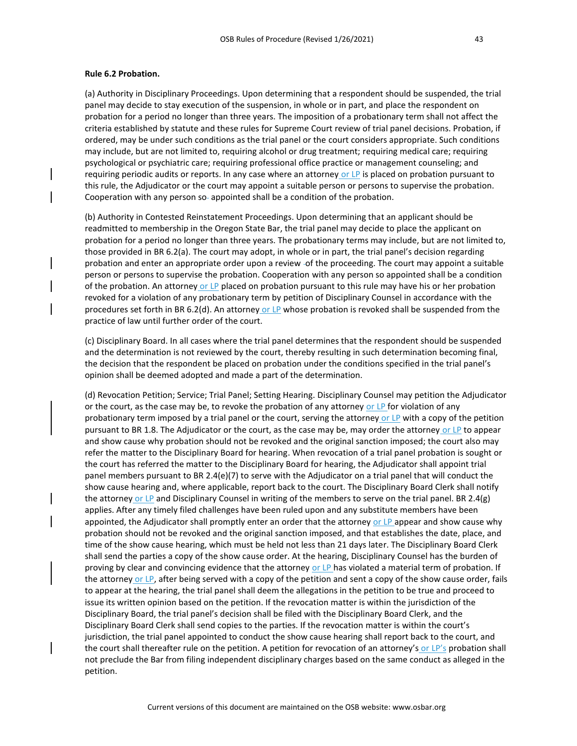#### **Rule 6.2 Probation.**

(a) Authority in Disciplinary Proceedings. Upon determining that a respondent should be suspended, the trial panel may decide to stay execution of the suspension, in whole or in part, and place the respondent on probation for a period no longer than three years. The imposition of a probationary term shall not affect the criteria established by statute and these rules for Supreme Court review of trial panel decisions. Probation, if ordered, may be under such conditions as the trial panel or the court considers appropriate. Such conditions may include, but are not limited to, requiring alcohol or drug treatment; requiring medical care; requiring psychological or psychiatric care; requiring professional office practice or management counseling; and requiring periodic audits or reports. In any case where an attorney or LP is placed on probation pursuant to this rule, the Adjudicator or the court may appoint a suitable person or persons to supervise the probation. Cooperation with any person so-appointed shall be a condition of the probation.

(b) Authority in Contested Reinstatement Proceedings. Upon determining that an applicant should be readmitted to membership in the Oregon State Bar, the trial panel may decide to place the applicant on probation for a period no longer than three years. The probationary terms may include, but are not limited to, those provided in BR 6.2(a). The court may adopt, in whole or in part, the trial panel's decision regarding probation and enter an appropriate order upon a review -of the proceeding. The court may appoint a suitable person or persons to supervise the probation. Cooperation with any person so appointed shall be a condition of the probation. An attorney or LP placed on probation pursuant to this rule may have his or her probation revoked for a violation of any probationary term by petition of Disciplinary Counsel in accordance with the procedures set forth in BR 6.2(d). An attorney or LP whose probation is revoked shall be suspended from the practice of law until further order of the court.

(c) Disciplinary Board. In all cases where the trial panel determines that the respondent should be suspended and the determination is not reviewed by the court, thereby resulting in such determination becoming final, the decision that the respondent be placed on probation under the conditions specified in the trial panel's opinion shall be deemed adopted and made a part of the determination.

(d) Revocation Petition; Service; Trial Panel; Setting Hearing. Disciplinary Counsel may petition the Adjudicator or the court, as the case may be, to revoke the probation of any attorney or  $LP$  for violation of any probationary term imposed by a trial panel or the court, serving the attorney or LP with a copy of the petition pursuant to BR 1.8. The Adjudicator or the court, as the case may be, may order the attorney or LP to appear and show cause why probation should not be revoked and the original sanction imposed; the court also may refer the matter to the Disciplinary Board for hearing. When revocation of a trial panel probation is sought or the court has referred the matter to the Disciplinary Board for hearing, the Adjudicator shall appoint trial panel members pursuant to BR 2.4(e)(7) to serve with the Adjudicator on a trial panel that will conduct the show cause hearing and, where applicable, report back to the court. The Disciplinary Board Clerk shall notify the attorney or LP and Disciplinary Counsel in writing of the members to serve on the trial panel. BR 2.4(g) applies. After any timely filed challenges have been ruled upon and any substitute members have been appointed, the Adjudicator shall promptly enter an order that the attorney or LP appear and show cause why probation should not be revoked and the original sanction imposed, and that establishes the date, place, and time of the show cause hearing, which must be held not less than 21 days later. The Disciplinary Board Clerk shall send the parties a copy of the show cause order. At the hearing, Disciplinary Counsel has the burden of proving by clear and convincing evidence that the attorney or LP has violated a material term of probation. If the attorney or LP, after being served with a copy of the petition and sent a copy of the show cause order, fails to appear at the hearing, the trial panel shall deem the allegations in the petition to be true and proceed to issue its written opinion based on the petition. If the revocation matter is within the jurisdiction of the Disciplinary Board, the trial panel's decision shall be filed with the Disciplinary Board Clerk, and the Disciplinary Board Clerk shall send copies to the parties. If the revocation matter is within the court's jurisdiction, the trial panel appointed to conduct the show cause hearing shall report back to the court, and the court shall thereafter rule on the petition. A petition for revocation of an attorney's or LP's probation shall not preclude the Bar from filing independent disciplinary charges based on the same conduct as alleged in the petition.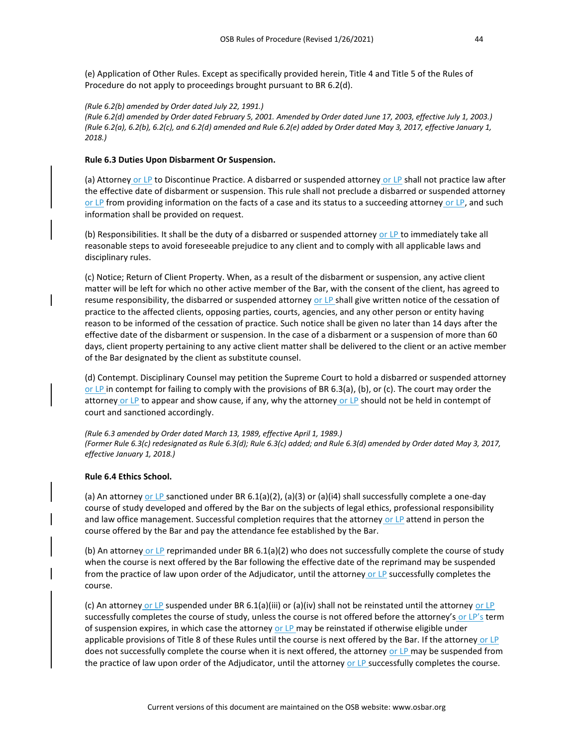(e) Application of Other Rules. Except as specifically provided herein, Title 4 and Title 5 of the Rules of Procedure do not apply to proceedings brought pursuant to BR 6.2(d).

#### *(Rule 6.2(b) amended by Order dated July 22, 1991.)*

*(Rule 6.2(d) amended by Order dated February 5, 2001. Amended by Order dated June 17, 2003, effective July 1, 2003.) (Rule 6.2(a), 6.2(b), 6.2(c), and 6.2(d) amended and Rule 6.2(e) added by Order dated May 3, 2017, effective January 1, 2018.)*

#### **Rule 6.3 Duties Upon Disbarment Or Suspension.**

(a) Attorney or LP to Discontinue Practice. A disbarred or suspended attorney or LP shall not practice law after the effective date of disbarment or suspension. This rule shall not preclude a disbarred or suspended attorney or LP from providing information on the facts of a case and its status to a succeeding attorney or LP, and such information shall be provided on request.

(b) Responsibilities. It shall be the duty of a disbarred or suspended attorney or LP to immediately take all reasonable steps to avoid foreseeable prejudice to any client and to comply with all applicable laws and disciplinary rules.

(c) Notice; Return of Client Property. When, as a result of the disbarment or suspension, any active client matter will be left for which no other active member of the Bar, with the consent of the client, has agreed to resume responsibility, the disbarred or suspended attorney or LP shall give written notice of the cessation of practice to the affected clients, opposing parties, courts, agencies, and any other person or entity having reason to be informed of the cessation of practice. Such notice shall be given no later than 14 days after the effective date of the disbarment or suspension. In the case of a disbarment or a suspension of more than 60 days, client property pertaining to any active client matter shall be delivered to the client or an active member of the Bar designated by the client as substitute counsel.

(d) Contempt. Disciplinary Counsel may petition the Supreme Court to hold a disbarred or suspended attorney or LP in contempt for failing to comply with the provisions of BR 6.3(a), (b), or (c). The court may order the attorney or LP to appear and show cause, if any, why the attorney or LP should not be held in contempt of court and sanctioned accordingly.

*(Rule 6.3 amended by Order dated March 13, 1989, effective April 1, 1989.) (Former Rule 6.3(c) redesignated as Rule 6.3(d); Rule 6.3(c) added; and Rule 6.3(d) amended by Order dated May 3, 2017, effective January 1, 2018.)*

# **Rule 6.4 Ethics School.**

(a) An attorney or LP sanctioned under BR 6.1(a)(2), (a)(3) or (a)(i4) shall successfully complete a one-day course of study developed and offered by the Bar on the subjects of legal ethics, professional responsibility and law office management. Successful completion requires that the attorney or LP attend in person the course offered by the Bar and pay the attendance fee established by the Bar.

(b) An attorney or LP reprimanded under BR 6.1(a)(2) who does not successfully complete the course of study when the course is next offered by the Bar following the effective date of the reprimand may be suspended from the practice of law upon order of the Adjudicator, until the attorney or LP successfully completes the course.

(c) An attorney or LP suspended under BR 6.1(a)(iii) or (a)(iv) shall not be reinstated until the attorney or LP successfully completes the course of study, unless the course is not offered before the attorney's or LP's term of suspension expires, in which case the attorney or LP may be reinstated if otherwise eligible under applicable provisions of Title 8 of these Rules until the course is next offered by the Bar. If the attorney or LP does not successfully complete the course when it is next offered, the attorney or LP may be suspended from the practice of law upon order of the Adjudicator, until the attorney or LP successfully completes the course.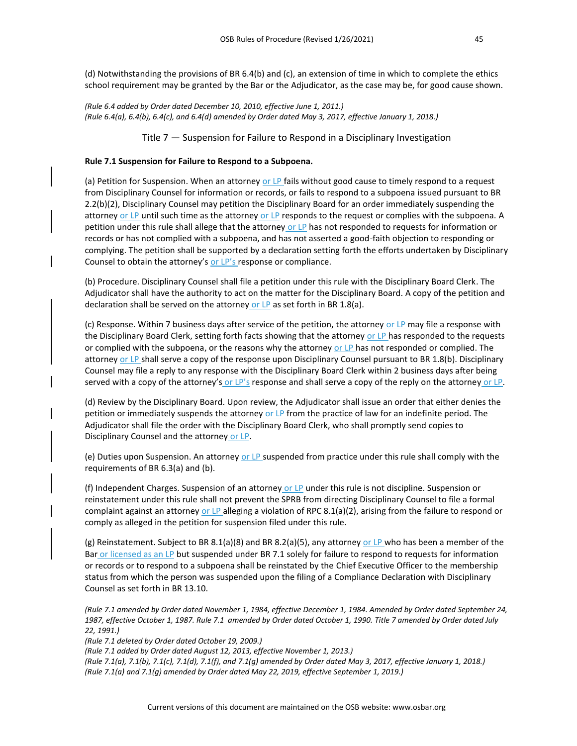(d) Notwithstanding the provisions of BR 6.4(b) and (c), an extension of time in which to complete the ethics school requirement may be granted by the Bar or the Adjudicator, as the case may be, for good cause shown.

*(Rule 6.4 added by Order dated December 10, 2010, effective June 1, 2011.) (Rule 6.4(a), 6.4(b), 6.4(c), and 6.4(d) amended by Order dated May 3, 2017, effective January 1, 2018.)*

Title 7 — Suspension for Failure to Respond in a Disciplinary Investigation

#### **Rule 7.1 Suspension for Failure to Respond to a Subpoena.**

(a) Petition for Suspension. When an attorney or LP fails without good cause to timely respond to a request from Disciplinary Counsel for information or records, or fails to respond to a subpoena issued pursuant to BR 2.2(b)(2), Disciplinary Counsel may petition the Disciplinary Board for an order immediately suspending the attorney or LP until such time as the attorney or LP responds to the request or complies with the subpoena. A petition under this rule shall allege that the attorney or LP has not responded to requests for information or records or has not complied with a subpoena, and has not asserted a good-faith objection to responding or complying. The petition shall be supported by a declaration setting forth the efforts undertaken by Disciplinary Counsel to obtain the attorney's or LP's response or compliance.

(b) Procedure. Disciplinary Counsel shall file a petition under this rule with the Disciplinary Board Clerk. The Adjudicator shall have the authority to act on the matter for the Disciplinary Board. A copy of the petition and declaration shall be served on the attorney or LP as set forth in BR 1.8(a).

(c) Response. Within 7 business days after service of the petition, the attorney or LP may file a response with the Disciplinary Board Clerk, setting forth facts showing that the attorney or LP has responded to the requests or complied with the subpoena, or the reasons why the attorney or LP has not responded or complied. The attorney or LP shall serve a copy of the response upon Disciplinary Counsel pursuant to BR 1.8(b). Disciplinary Counsel may file a reply to any response with the Disciplinary Board Clerk within 2 business days after being served with a copy of the attorney's or  $LP'$ s response and shall serve a copy of the reply on the attorney or  $LP$ .

(d) Review by the Disciplinary Board. Upon review, the Adjudicator shall issue an order that either denies the petition or immediately suspends the attorney or LP from the practice of law for an indefinite period. The Adjudicator shall file the order with the Disciplinary Board Clerk, who shall promptly send copies to Disciplinary Counsel and the attorney or LP.

(e) Duties upon Suspension. An attorney or LP suspended from practice under this rule shall comply with the requirements of BR 6.3(a) and (b).

(f) Independent Charges. Suspension of an attorney or LP under this rule is not discipline. Suspension or reinstatement under this rule shall not prevent the SPRB from directing Disciplinary Counsel to file a formal complaint against an attorney or LP alleging a violation of RPC 8.1(a)(2), arising from the failure to respond or comply as alleged in the petition for suspension filed under this rule.

(g) Reinstatement. Subject to BR 8.1(a)(8) and BR 8.2(a)(5), any attorney or LP who has been a member of the Bar or licensed as an LP but suspended under BR 7.1 solely for failure to respond to requests for information or records or to respond to a subpoena shall be reinstated by the Chief Executive Officer to the membership status from which the person was suspended upon the filing of a Compliance Declaration with Disciplinary Counsel as set forth in BR 13.10.

*(Rule 7.1 amended by Order dated November 1, 1984, effective December 1, 1984. Amended by Order dated September 24, 1987, effective October 1, 1987. Rule 7.1 amended by Order dated October 1, 1990. Title 7 amended by Order dated July 22, 1991.)*

*(Rule 7.1 deleted by Order dated October 19, 2009.)*

*(Rule 7.1 added by Order dated August 12, 2013, effective November 1, 2013.)*

*(Rule 7.1(a), 7.1(b), 7.1(c), 7.1(d), 7.1(f), and 7.1(g) amended by Order dated May 3, 2017, effective January 1, 2018.) (Rule 7.1(a) and 7.1(g) amended by Order dated May 22, 2019, effective September 1, 2019.)*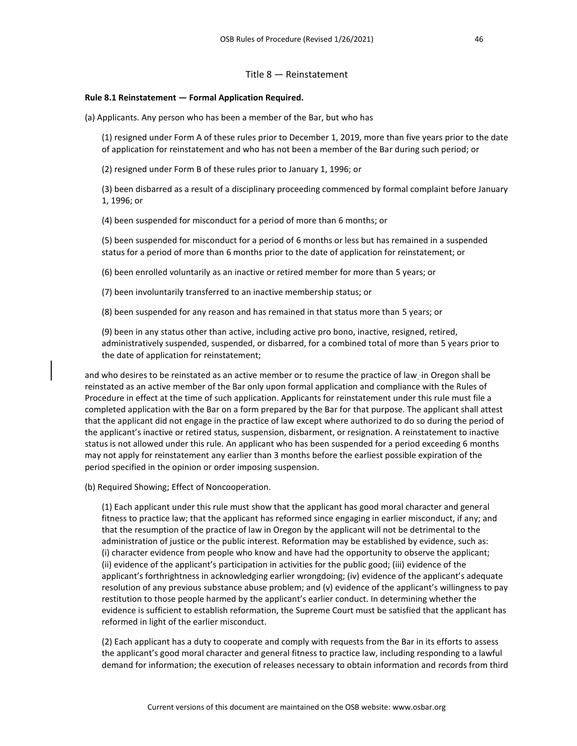#### Title 8 — Reinstatement

#### **Rule 8.1 Reinstatement — Formal Application Required.**

(a) Applicants. Any person who has been a member of the Bar, but who has

(1) resigned under Form A of these rules prior to December 1, 2019, more than five years prior to the date of application for reinstatement and who has not been a member of the Bar during such period; or

(2) resigned under Form B of these rules prior to January 1, 1996; or

(3) been disbarred as a result of a disciplinary proceeding commenced by formal complaint before January 1, 1996; or

(4) been suspended for misconduct for a period of more than 6 months; or

(5) been suspended for misconduct for a period of 6 months or less but has remained in a suspended status for a period of more than 6 months prior to the date of application for reinstatement; or

(6) been enrolled voluntarily as an inactive or retired member for more than 5 years; or

(7) been involuntarily transferred to an inactive membership status; or

(8) been suspended for any reason and has remained in that status more than 5 years; or

(9) been in any status other than active, including active pro bono, inactive, resigned, retired, administratively suspended, suspended, or disbarred, for a combined total of more than 5 years prior to the date of application for reinstatement;

and who desires to be reinstated as an active member or to resume the practice of law in Oregon shall be reinstated as an active member of the Bar only upon formal application and compliance with the Rules of Procedure in effect at the time of such application. Applicants for reinstatement under this rule must file a completed application with the Bar on a form prepared by the Bar for that purpose. The applicant shall attest that the applicant did not engage in the practice of law except where authorized to do so during the period of the applicant's inactive or retired status, suspension, disbarment, or resignation. A reinstatement to inactive status is not allowed under this rule. An applicant who has been suspended for a period exceeding 6 months may not apply for reinstatement any earlier than 3 months before the earliest possible expiration of the period specified in the opinion or order imposing suspension.

(b) Required Showing; Effect of Noncooperation.

(1) Each applicant under this rule must show that the applicant has good moral character and general fitness to practice law; that the applicant has reformed since engaging in earlier misconduct, if any; and that the resumption of the practice of law in Oregon by the applicant will not be detrimental to the administration of justice or the public interest. Reformation may be established by evidence, such as: (i) character evidence from people who know and have had the opportunity to observe the applicant; (ii) evidence of the applicant's participation in activities for the public good; (iii) evidence of the applicant's forthrightness in acknowledging earlier wrongdoing; (iv) evidence of the applicant's adequate resolution of any previous substance abuse problem; and (v) evidence of the applicant's willingness to pay restitution to those people harmed by the applicant's earlier conduct. In determining whether the evidence is sufficient to establish reformation, the Supreme Court must be satisfied that the applicant has reformed in light of the earlier misconduct.

(2) Each applicant has a duty to cooperate and comply with requests from the Bar in its efforts to assess the applicant's good moral character and general fitness to practice law, including responding to a lawful demand for information; the execution of releases necessary to obtain information and records from third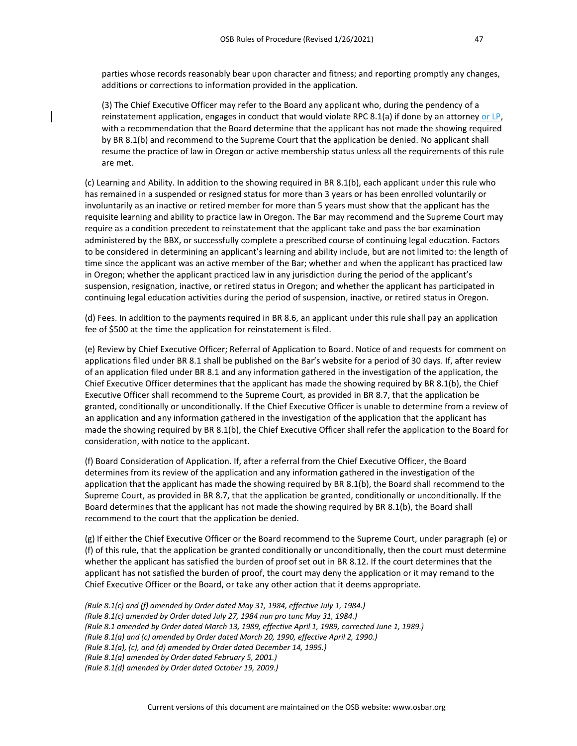parties whose records reasonably bear upon character and fitness; and reporting promptly any changes, additions or corrections to information provided in the application.

(3) The Chief Executive Officer may refer to the Board any applicant who, during the pendency of a reinstatement application, engages in conduct that would violate RPC 8.1(a) if done by an attorney or  $LP$ , with a recommendation that the Board determine that the applicant has not made the showing required by BR 8.1(b) and recommend to the Supreme Court that the application be denied. No applicant shall resume the practice of law in Oregon or active membership status unless all the requirements of this rule are met.

(c) Learning and Ability. In addition to the showing required in BR 8.1(b), each applicant under this rule who has remained in a suspended or resigned status for more than 3 years or has been enrolled voluntarily or involuntarily as an inactive or retired member for more than 5 years must show that the applicant has the requisite learning and ability to practice law in Oregon. The Bar may recommend and the Supreme Court may require as a condition precedent to reinstatement that the applicant take and pass the bar examination administered by the BBX, or successfully complete a prescribed course of continuing legal education. Factors to be considered in determining an applicant's learning and ability include, but are not limited to: the length of time since the applicant was an active member of the Bar; whether and when the applicant has practiced law in Oregon; whether the applicant practiced law in any jurisdiction during the period of the applicant's suspension, resignation, inactive, or retired status in Oregon; and whether the applicant has participated in continuing legal education activities during the period of suspension, inactive, or retired status in Oregon.

(d) Fees. In addition to the payments required in BR 8.6, an applicant under this rule shall pay an application fee of \$500 at the time the application for reinstatement is filed.

(e) Review by Chief Executive Officer; Referral of Application to Board. Notice of and requests for comment on applications filed under BR 8.1 shall be published on the Bar's website for a period of 30 days. If, after review of an application filed under BR 8.1 and any information gathered in the investigation of the application, the Chief Executive Officer determines that the applicant has made the showing required by BR 8.1(b), the Chief Executive Officer shall recommend to the Supreme Court, as provided in BR 8.7, that the application be granted, conditionally or unconditionally. If the Chief Executive Officer is unable to determine from a review of an application and any information gathered in the investigation of the application that the applicant has made the showing required by BR 8.1(b), the Chief Executive Officer shall refer the application to the Board for consideration, with notice to the applicant.

(f) Board Consideration of Application. If, after a referral from the Chief Executive Officer, the Board determines from its review of the application and any information gathered in the investigation of the application that the applicant has made the showing required by BR 8.1(b), the Board shall recommend to the Supreme Court, as provided in BR 8.7, that the application be granted, conditionally or unconditionally. If the Board determines that the applicant has not made the showing required by BR 8.1(b), the Board shall recommend to the court that the application be denied.

(g) If either the Chief Executive Officer or the Board recommend to the Supreme Court, under paragraph (e) or (f) of this rule, that the application be granted conditionally or unconditionally, then the court must determine whether the applicant has satisfied the burden of proof set out in BR 8.12. If the court determines that the applicant has not satisfied the burden of proof, the court may deny the application or it may remand to the Chief Executive Officer or the Board, or take any other action that it deems appropriate.

*(Rule 8.1(c) and (f) amended by Order dated May 31, 1984, effective July 1, 1984.) (Rule 8.1(c) amended by Order dated July 27, 1984 nun pro tunc May 31, 1984.) (Rule 8.1 amended by Order dated March 13, 1989, effective April 1, 1989, corrected June 1, 1989.) (Rule 8.1(a) and (c) amended by Order dated March 20, 1990, effective April 2, 1990.) (Rule 8.1(a), (c), and (d) amended by Order dated December 14, 1995.) (Rule 8.1(a) amended by Order dated February 5, 2001.) (Rule 8.1(d) amended by Order dated October 19, 2009.)*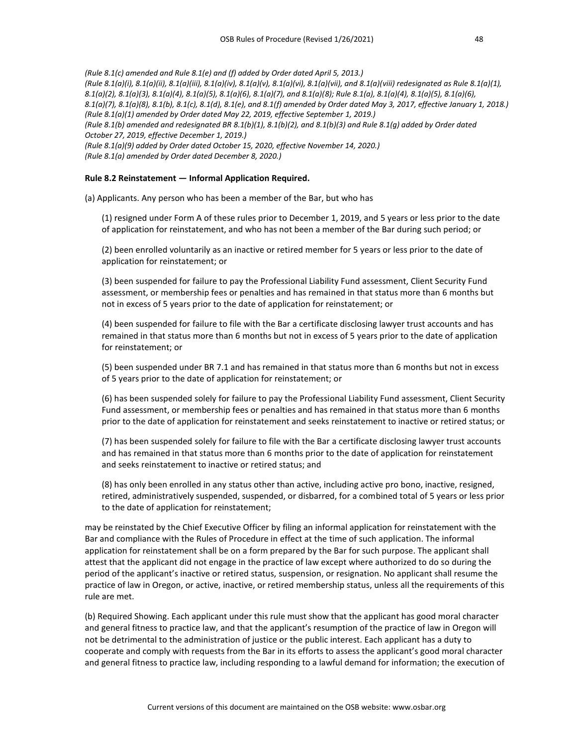*(Rule 8.1(c) amended and Rule 8.1(e) and (f) added by Order dated April 5, 2013.) (Rule 8.1(a)(i), 8.1(a)(ii), 8.1(a)(iii), 8.1(a)(iv), 8.1(a)(v), 8.1(a)(vi), 8.1(a)(vii), and 8.1(a)(viii) redesignated as Rule 8.1(a)(1), 8.1(a)(2), 8.1(a)(3), 8.1(a)(4), 8.1(a)(5), 8.1(a)(6), 8.1(a)(7), and 8.1(a)(8); Rule 8.1(a), 8.1(a)(4), 8.1(a)(5), 8.1(a)(6), 8.1(a)(7), 8.1(a)(8), 8.1(b), 8.1(c), 8.1(d), 8.1(e), and 8.1(f) amended by Order dated May 3, 2017, effective January 1, 2018.) (Rule 8.1(a)(1) amended by Order dated May 22, 2019, effective September 1, 2019.) (Rule 8.1(b) amended and redesignated BR 8.1(b)(1), 8.1(b)(2), and 8.1(b)(3) and Rule 8.1(g) added by Order dated October 27, 2019, effective December 1, 2019.) (Rule 8.1(a)(9) added by Order dated October 15, 2020, effective November 14, 2020.) (Rule 8.1(a) amended by Order dated December 8, 2020.)*

# **Rule 8.2 Reinstatement — Informal Application Required.**

(a) Applicants. Any person who has been a member of the Bar, but who has

(1) resigned under Form A of these rules prior to December 1, 2019, and 5 years or less prior to the date of application for reinstatement, and who has not been a member of the Bar during such period; or

(2) been enrolled voluntarily as an inactive or retired member for 5 years or less prior to the date of application for reinstatement; or

(3) been suspended for failure to pay the Professional Liability Fund assessment, Client Security Fund assessment, or membership fees or penalties and has remained in that status more than 6 months but not in excess of 5 years prior to the date of application for reinstatement; or

(4) been suspended for failure to file with the Bar a certificate disclosing lawyer trust accounts and has remained in that status more than 6 months but not in excess of 5 years prior to the date of application for reinstatement; or

(5) been suspended under BR 7.1 and has remained in that status more than 6 months but not in excess of 5 years prior to the date of application for reinstatement; or

(6) has been suspended solely for failure to pay the Professional Liability Fund assessment, Client Security Fund assessment, or membership fees or penalties and has remained in that status more than 6 months prior to the date of application for reinstatement and seeks reinstatement to inactive or retired status; or

(7) has been suspended solely for failure to file with the Bar a certificate disclosing lawyer trust accounts and has remained in that status more than 6 months prior to the date of application for reinstatement and seeks reinstatement to inactive or retired status; and

(8) has only been enrolled in any status other than active, including active pro bono, inactive, resigned, retired, administratively suspended, suspended, or disbarred, for a combined total of 5 years or less prior to the date of application for reinstatement;

may be reinstated by the Chief Executive Officer by filing an informal application for reinstatement with the Bar and compliance with the Rules of Procedure in effect at the time of such application. The informal application for reinstatement shall be on a form prepared by the Bar for such purpose. The applicant shall attest that the applicant did not engage in the practice of law except where authorized to do so during the period of the applicant's inactive or retired status, suspension, or resignation. No applicant shall resume the practice of law in Oregon, or active, inactive, or retired membership status, unless all the requirements of this rule are met.

(b) Required Showing. Each applicant under this rule must show that the applicant has good moral character and general fitness to practice law, and that the applicant's resumption of the practice of law in Oregon will not be detrimental to the administration of justice or the public interest. Each applicant has a duty to cooperate and comply with requests from the Bar in its efforts to assess the applicant's good moral character and general fitness to practice law, including responding to a lawful demand for information; the execution of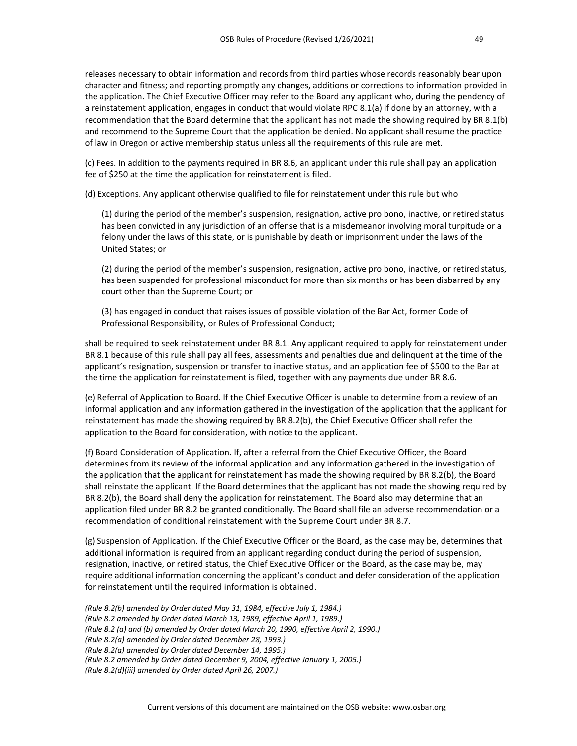releases necessary to obtain information and records from third parties whose records reasonably bear upon character and fitness; and reporting promptly any changes, additions or corrections to information provided in the application. The Chief Executive Officer may refer to the Board any applicant who, during the pendency of a reinstatement application, engages in conduct that would violate RPC 8.1(a) if done by an attorney, with a recommendation that the Board determine that the applicant has not made the showing required by BR 8.1(b) and recommend to the Supreme Court that the application be denied. No applicant shall resume the practice of law in Oregon or active membership status unless all the requirements of this rule are met.

(c) Fees. In addition to the payments required in BR 8.6, an applicant under this rule shall pay an application fee of \$250 at the time the application for reinstatement is filed.

(d) Exceptions. Any applicant otherwise qualified to file for reinstatement under this rule but who

(1) during the period of the member's suspension, resignation, active pro bono, inactive, or retired status has been convicted in any jurisdiction of an offense that is a misdemeanor involving moral turpitude or a felony under the laws of this state, or is punishable by death or imprisonment under the laws of the United States; or

(2) during the period of the member's suspension, resignation, active pro bono, inactive, or retired status, has been suspended for professional misconduct for more than six months or has been disbarred by any court other than the Supreme Court; or

(3) has engaged in conduct that raises issues of possible violation of the Bar Act, former Code of Professional Responsibility, or Rules of Professional Conduct;

shall be required to seek reinstatement under BR 8.1. Any applicant required to apply for reinstatement under BR 8.1 because of this rule shall pay all fees, assessments and penalties due and delinquent at the time of the applicant's resignation, suspension or transfer to inactive status, and an application fee of \$500 to the Bar at the time the application for reinstatement is filed, together with any payments due under BR 8.6.

(e) Referral of Application to Board. If the Chief Executive Officer is unable to determine from a review of an informal application and any information gathered in the investigation of the application that the applicant for reinstatement has made the showing required by BR 8.2(b), the Chief Executive Officer shall refer the application to the Board for consideration, with notice to the applicant.

(f) Board Consideration of Application. If, after a referral from the Chief Executive Officer, the Board determines from its review of the informal application and any information gathered in the investigation of the application that the applicant for reinstatement has made the showing required by BR 8.2(b), the Board shall reinstate the applicant. If the Board determines that the applicant has not made the showing required by BR 8.2(b), the Board shall deny the application for reinstatement. The Board also may determine that an application filed under BR 8.2 be granted conditionally. The Board shall file an adverse recommendation or a recommendation of conditional reinstatement with the Supreme Court under BR 8.7.

(g) Suspension of Application. If the Chief Executive Officer or the Board, as the case may be, determines that additional information is required from an applicant regarding conduct during the period of suspension, resignation, inactive, or retired status, the Chief Executive Officer or the Board, as the case may be, may require additional information concerning the applicant's conduct and defer consideration of the application for reinstatement until the required information is obtained.

*(Rule 8.2(b) amended by Order dated May 31, 1984, effective July 1, 1984.) (Rule 8.2 amended by Order dated March 13, 1989, effective April 1, 1989.) (Rule 8.2 (a) and (b) amended by Order dated March 20, 1990, effective April 2, 1990.) (Rule 8.2(a) amended by Order dated December 28, 1993.) (Rule 8.2(a) amended by Order dated December 14, 1995.) (Rule 8.2 amended by Order dated December 9, 2004, effective January 1, 2005.) (Rule 8.2(d)(iii) amended by Order dated April 26, 2007.)*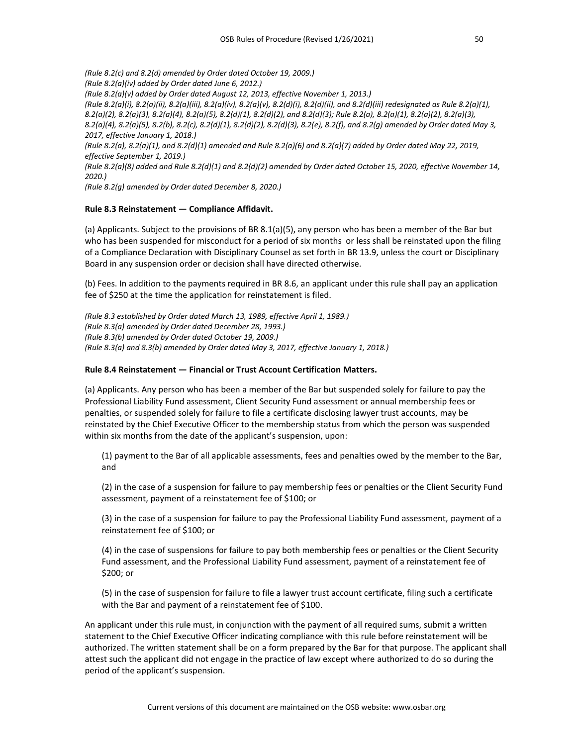*(Rule 8.2(c) and 8.2(d) amended by Order dated October 19, 2009.) (Rule 8.2(a)(iv) added by Order dated June 6, 2012.) (Rule 8.2(a)(v) added by Order dated August 12, 2013, effective November 1, 2013.) (Rule 8.2(a)(i), 8.2(a)(ii), 8.2(a)(iii), 8.2(a)(iv), 8.2(a)(v), 8.2(d)(i), 8.2(d)(ii), and 8.2(d)(iii) redesignated as Rule 8.2(a)(1), 8.2(a)(2), 8.2(a)(3), 8.2(a)(4), 8.2(a)(5), 8.2(d)(1), 8.2(d)(2), and 8.2(d)(3); Rule 8.2(a), 8.2(a)(1), 8.2(a)(2), 8.2(a)(3), 8.2(a)(4), 8.2(a)(5), 8.2(b), 8.2(c), 8.2(d)(1), 8.2(d)(2), 8.2(d)(3), 8.2(e), 8.2(f), and 8.2(g) amended by Order dated May 3, 2017, effective January 1, 2018.) (Rule 8.2(a), 8.2(a)(1), and 8.2(d)(1) amended and Rule 8.2(a)(6) and 8.2(a)(7) added by Order dated May 22, 2019, effective September 1, 2019.) (Rule 8.2(a)(8) added and Rule 8.2(d)(1) and 8.2(d)(2) amended by Order dated October 15, 2020, effective November 14, 2020.)*

*(Rule 8.2(g) amended by Order dated December 8, 2020.)*

# **Rule 8.3 Reinstatement — Compliance Affidavit.**

(a) Applicants. Subject to the provisions of BR 8.1(a)(5), any person who has been a member of the Bar but who has been suspended for misconduct for a period of six months or less shall be reinstated upon the filing of a Compliance Declaration with Disciplinary Counsel as set forth in BR 13.9, unless the court or Disciplinary Board in any suspension order or decision shall have directed otherwise.

(b) Fees. In addition to the payments required in BR 8.6, an applicant under this rule shall pay an application fee of \$250 at the time the application for reinstatement is filed.

*(Rule 8.3 established by Order dated March 13, 1989, effective April 1, 1989.) (Rule 8.3(a) amended by Order dated December 28, 1993.) (Rule 8.3(b) amended by Order dated October 19, 2009.) (Rule 8.3(a) and 8.3(b) amended by Order dated May 3, 2017, effective January 1, 2018.)*

#### **Rule 8.4 Reinstatement — Financial or Trust Account Certification Matters.**

(a) Applicants. Any person who has been a member of the Bar but suspended solely for failure to pay the Professional Liability Fund assessment, Client Security Fund assessment or annual membership fees or penalties, or suspended solely for failure to file a certificate disclosing lawyer trust accounts, may be reinstated by the Chief Executive Officer to the membership status from which the person was suspended within six months from the date of the applicant's suspension, upon:

(1) payment to the Bar of all applicable assessments, fees and penalties owed by the member to the Bar, and

(2) in the case of a suspension for failure to pay membership fees or penalties or the Client Security Fund assessment, payment of a reinstatement fee of \$100; or

(3) in the case of a suspension for failure to pay the Professional Liability Fund assessment, payment of a reinstatement fee of \$100; or

(4) in the case of suspensions for failure to pay both membership fees or penalties or the Client Security Fund assessment, and the Professional Liability Fund assessment, payment of a reinstatement fee of \$200; or

(5) in the case of suspension for failure to file a lawyer trust account certificate, filing such a certificate with the Bar and payment of a reinstatement fee of \$100.

An applicant under this rule must, in conjunction with the payment of all required sums, submit a written statement to the Chief Executive Officer indicating compliance with this rule before reinstatement will be authorized. The written statement shall be on a form prepared by the Bar for that purpose. The applicant shall attest such the applicant did not engage in the practice of law except where authorized to do so during the period of the applicant's suspension.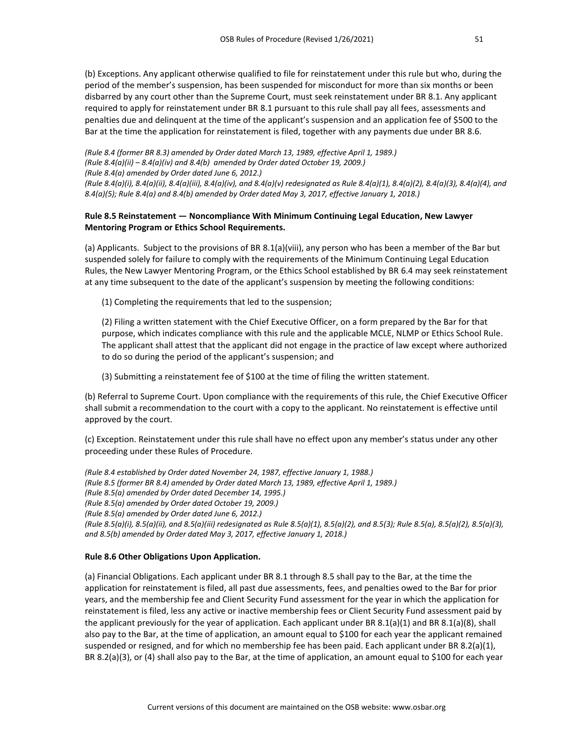(b) Exceptions. Any applicant otherwise qualified to file for reinstatement under this rule but who, during the period of the member's suspension, has been suspended for misconduct for more than six months or been disbarred by any court other than the Supreme Court, must seek reinstatement under BR 8.1. Any applicant required to apply for reinstatement under BR 8.1 pursuant to this rule shall pay all fees, assessments and penalties due and delinquent at the time of the applicant's suspension and an application fee of \$500 to the Bar at the time the application for reinstatement is filed, together with any payments due under BR 8.6.

*(Rule 8.4 (former BR 8.3) amended by Order dated March 13, 1989, effective April 1, 1989.) (Rule 8.4(a)(ii) – 8.4(a)(iv) and 8.4(b) amended by Order dated October 19, 2009.) (Rule 8.4(a) amended by Order dated June 6, 2012.) (Rule 8.4(a)(i), 8.4(a)(ii), 8.4(a)(iii), 8.4(a)(iv), and 8.4(a)(v) redesignated as Rule 8.4(a)(1), 8.4(a)(2), 8.4(a)(3), 8.4(a)(4), and 8.4(a)(5); Rule 8.4(a) and 8.4(b) amended by Order dated May 3, 2017, effective January 1, 2018.)*

# **Rule 8.5 Reinstatement — Noncompliance With Minimum Continuing Legal Education, New Lawyer Mentoring Program or Ethics School Requirements.**

(a) Applicants. Subject to the provisions of BR 8.1(a)(viii), any person who has been a member of the Bar but suspended solely for failure to comply with the requirements of the Minimum Continuing Legal Education Rules, the New Lawyer Mentoring Program, or the Ethics School established by BR 6.4 may seek reinstatement at any time subsequent to the date of the applicant's suspension by meeting the following conditions:

(1) Completing the requirements that led to the suspension;

(2) Filing a written statement with the Chief Executive Officer, on a form prepared by the Bar for that purpose, which indicates compliance with this rule and the applicable MCLE, NLMP or Ethics School Rule. The applicant shall attest that the applicant did not engage in the practice of law except where authorized to do so during the period of the applicant's suspension; and

(3) Submitting a reinstatement fee of \$100 at the time of filing the written statement.

(b) Referral to Supreme Court. Upon compliance with the requirements of this rule, the Chief Executive Officer shall submit a recommendation to the court with a copy to the applicant. No reinstatement is effective until approved by the court.

(c) Exception. Reinstatement under this rule shall have no effect upon any member's status under any other proceeding under these Rules of Procedure.

*(Rule 8.4 established by Order dated November 24, 1987, effective January 1, 1988.) (Rule 8.5 (former BR 8.4) amended by Order dated March 13, 1989, effective April 1, 1989.) (Rule 8.5(a) amended by Order dated December 14, 1995.) (Rule 8.5(a) amended by Order dated October 19, 2009.) (Rule 8.5(a) amended by Order dated June 6, 2012.) (Rule 8.5(a)(i), 8.5(a)(ii), and 8.5(a)(iii) redesignated as Rule 8.5(a)(1), 8.5(a)(2), and 8.5(3); Rule 8.5(a), 8.5(a)(2), 8.5(a)(3), and 8.5(b) amended by Order dated May 3, 2017, effective January 1, 2018.)*

# **Rule 8.6 Other Obligations Upon Application.**

(a) Financial Obligations. Each applicant under BR 8.1 through 8.5 shall pay to the Bar, at the time the application for reinstatement is filed, all past due assessments, fees, and penalties owed to the Bar for prior years, and the membership fee and Client Security Fund assessment for the year in which the application for reinstatement is filed, less any active or inactive membership fees or Client Security Fund assessment paid by the applicant previously for the year of application. Each applicant under BR  $8.1(a)(1)$  and BR  $8.1(a)(8)$ , shall also pay to the Bar, at the time of application, an amount equal to \$100 for each year the applicant remained suspended or resigned, and for which no membership fee has been paid. Each applicant under BR 8.2(a)(1), BR 8.2(a)(3), or (4) shall also pay to the Bar, at the time of application, an amount equal to \$100 for each year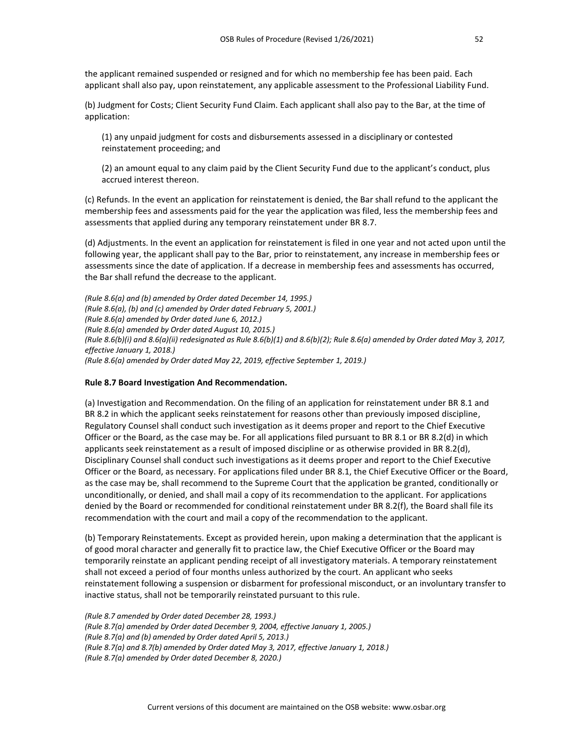the applicant remained suspended or resigned and for which no membership fee has been paid. Each applicant shall also pay, upon reinstatement, any applicable assessment to the Professional Liability Fund.

(b) Judgment for Costs; Client Security Fund Claim. Each applicant shall also pay to the Bar, at the time of application:

(1) any unpaid judgment for costs and disbursements assessed in a disciplinary or contested reinstatement proceeding; and

(2) an amount equal to any claim paid by the Client Security Fund due to the applicant's conduct, plus accrued interest thereon.

(c) Refunds. In the event an application for reinstatement is denied, the Bar shall refund to the applicant the membership fees and assessments paid for the year the application was filed, less the membership fees and assessments that applied during any temporary reinstatement under BR 8.7.

(d) Adjustments. In the event an application for reinstatement is filed in one year and not acted upon until the following year, the applicant shall pay to the Bar, prior to reinstatement, any increase in membership fees or assessments since the date of application. If a decrease in membership fees and assessments has occurred, the Bar shall refund the decrease to the applicant.

*(Rule 8.6(a) and (b) amended by Order dated December 14, 1995.) (Rule 8.6(a), (b) and (c) amended by Order dated February 5, 2001.) (Rule 8.6(a) amended by Order dated June 6, 2012.) (Rule 8.6(a) amended by Order dated August 10, 2015.) (Rule 8.6(b)(i) and 8.6(a)(ii) redesignated as Rule 8.6(b)(1) and 8.6(b)(2); Rule 8.6(a) amended by Order dated May 3, 2017, effective January 1, 2018.) (Rule 8.6(a) amended by Order dated May 22, 2019, effective September 1, 2019.)*

# **Rule 8.7 Board Investigation And Recommendation.**

(a) Investigation and Recommendation. On the filing of an application for reinstatement under BR 8.1 and BR 8.2 in which the applicant seeks reinstatement for reasons other than previously imposed discipline, Regulatory Counsel shall conduct such investigation as it deems proper and report to the Chief Executive Officer or the Board, as the case may be. For all applications filed pursuant to BR 8.1 or BR 8.2(d) in which applicants seek reinstatement as a result of imposed discipline or as otherwise provided in BR 8.2(d), Disciplinary Counsel shall conduct such investigations as it deems proper and report to the Chief Executive Officer or the Board, as necessary. For applications filed under BR 8.1, the Chief Executive Officer or the Board, as the case may be, shall recommend to the Supreme Court that the application be granted, conditionally or unconditionally, or denied, and shall mail a copy of its recommendation to the applicant. For applications denied by the Board or recommended for conditional reinstatement under BR 8.2(f), the Board shall file its recommendation with the court and mail a copy of the recommendation to the applicant.

(b) Temporary Reinstatements. Except as provided herein, upon making a determination that the applicant is of good moral character and generally fit to practice law, the Chief Executive Officer or the Board may temporarily reinstate an applicant pending receipt of all investigatory materials. A temporary reinstatement shall not exceed a period of four months unless authorized by the court. An applicant who seeks reinstatement following a suspension or disbarment for professional misconduct, or an involuntary transfer to inactive status, shall not be temporarily reinstated pursuant to this rule.

*(Rule 8.7 amended by Order dated December 28, 1993.) (Rule 8.7(a) amended by Order dated December 9, 2004, effective January 1, 2005.) (Rule 8.7(a) and (b) amended by Order dated April 5, 2013.) (Rule 8.7(a) and 8.7(b) amended by Order dated May 3, 2017, effective January 1, 2018.) (Rule 8.7(a) amended by Order dated December 8, 2020.)*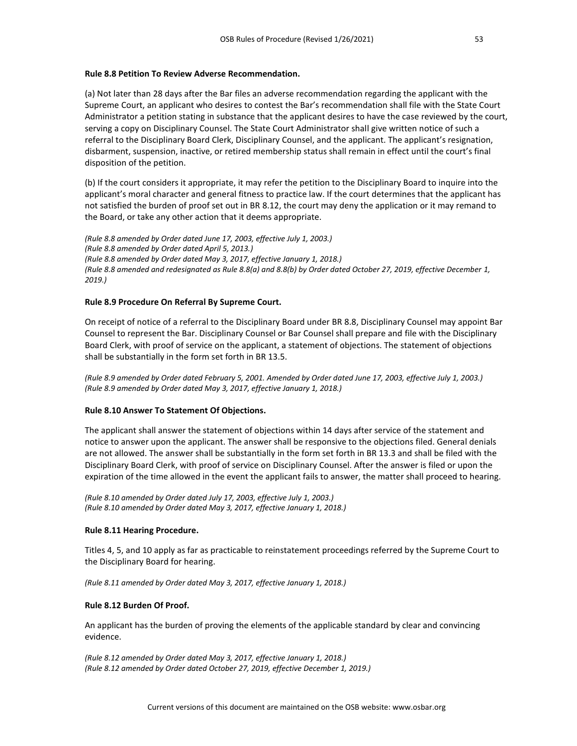#### **Rule 8.8 Petition To Review Adverse Recommendation.**

(a) Not later than 28 days after the Bar files an adverse recommendation regarding the applicant with the Supreme Court, an applicant who desires to contest the Bar's recommendation shall file with the State Court Administrator a petition stating in substance that the applicant desires to have the case reviewed by the court, serving a copy on Disciplinary Counsel. The State Court Administrator shall give written notice of such a referral to the Disciplinary Board Clerk, Disciplinary Counsel, and the applicant. The applicant's resignation, disbarment, suspension, inactive, or retired membership status shall remain in effect until the court's final disposition of the petition.

(b) If the court considers it appropriate, it may refer the petition to the Disciplinary Board to inquire into the applicant's moral character and general fitness to practice law. If the court determines that the applicant has not satisfied the burden of proof set out in BR 8.12, the court may deny the application or it may remand to the Board, or take any other action that it deems appropriate.

*(Rule 8.8 amended by Order dated June 17, 2003, effective July 1, 2003.) (Rule 8.8 amended by Order dated April 5, 2013.) (Rule 8.8 amended by Order dated May 3, 2017, effective January 1, 2018.) (Rule 8.8 amended and redesignated as Rule 8.8(a) and 8.8(b) by Order dated October 27, 2019, effective December 1, 2019.)*

# **Rule 8.9 Procedure On Referral By Supreme Court.**

On receipt of notice of a referral to the Disciplinary Board under BR 8.8, Disciplinary Counsel may appoint Bar Counsel to represent the Bar. Disciplinary Counsel or Bar Counsel shall prepare and file with the Disciplinary Board Clerk, with proof of service on the applicant, a statement of objections. The statement of objections shall be substantially in the form set forth in BR 13.5.

*(Rule 8.9 amended by Order dated February 5, 2001. Amended by Order dated June 17, 2003, effective July 1, 2003.) (Rule 8.9 amended by Order dated May 3, 2017, effective January 1, 2018.)*

# **Rule 8.10 Answer To Statement Of Objections.**

The applicant shall answer the statement of objections within 14 days after service of the statement and notice to answer upon the applicant. The answer shall be responsive to the objections filed. General denials are not allowed. The answer shall be substantially in the form set forth in BR 13.3 and shall be filed with the Disciplinary Board Clerk, with proof of service on Disciplinary Counsel. After the answer is filed or upon the expiration of the time allowed in the event the applicant fails to answer, the matter shall proceed to hearing.

*(Rule 8.10 amended by Order dated July 17, 2003, effective July 1, 2003.) (Rule 8.10 amended by Order dated May 3, 2017, effective January 1, 2018.)*

# **Rule 8.11 Hearing Procedure.**

Titles 4, 5, and 10 apply as far as practicable to reinstatement proceedings referred by the Supreme Court to the Disciplinary Board for hearing.

*(Rule 8.11 amended by Order dated May 3, 2017, effective January 1, 2018.)*

# **Rule 8.12 Burden Of Proof.**

An applicant has the burden of proving the elements of the applicable standard by clear and convincing evidence.

*(Rule 8.12 amended by Order dated May 3, 2017, effective January 1, 2018.) (Rule 8.12 amended by Order dated October 27, 2019, effective December 1, 2019.)*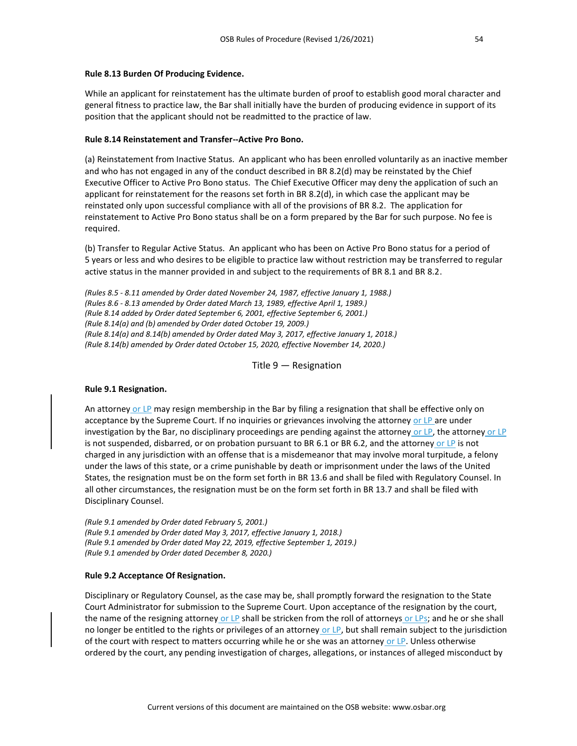#### **Rule 8.13 Burden Of Producing Evidence.**

While an applicant for reinstatement has the ultimate burden of proof to establish good moral character and general fitness to practice law, the Bar shall initially have the burden of producing evidence in support of its position that the applicant should not be readmitted to the practice of law.

# **Rule 8.14 Reinstatement and Transfer--Active Pro Bono.**

(a) Reinstatement from Inactive Status. An applicant who has been enrolled voluntarily as an inactive member and who has not engaged in any of the conduct described in BR 8.2(d) may be reinstated by the Chief Executive Officer to Active Pro Bono status. The Chief Executive Officer may deny the application of such an applicant for reinstatement for the reasons set forth in BR 8.2(d), in which case the applicant may be reinstated only upon successful compliance with all of the provisions of BR 8.2. The application for reinstatement to Active Pro Bono status shall be on a form prepared by the Bar for such purpose. No fee is required.

(b) Transfer to Regular Active Status. An applicant who has been on Active Pro Bono status for a period of 5 years or less and who desires to be eligible to practice law without restriction may be transferred to regular active status in the manner provided in and subject to the requirements of BR 8.1 and BR 8.2.

*(Rules 8.5 - 8.11 amended by Order dated November 24, 1987, effective January 1, 1988.) (Rules 8.6 - 8.13 amended by Order dated March 13, 1989, effective April 1, 1989.) (Rule 8.14 added by Order dated September 6, 2001, effective September 6, 2001.) (Rule 8.14(a) and (b) amended by Order dated October 19, 2009.) (Rule 8.14(a) and 8.14(b) amended by Order dated May 3, 2017, effective January 1, 2018.) (Rule 8.14(b) amended by Order dated October 15, 2020, effective November 14, 2020.)*

Title 9 — Resignation

# **Rule 9.1 Resignation.**

An attorney or LP may resign membership in the Bar by filing a resignation that shall be effective only on acceptance by the Supreme Court. If no inquiries or grievances involving the attorney or LP are under investigation by the Bar, no disciplinary proceedings are pending against the attorney or LP, the attorney or LP is not suspended, disbarred, or on probation pursuant to BR 6.1 or BR 6.2, and the attorney or LP is not charged in any jurisdiction with an offense that is a misdemeanor that may involve moral turpitude, a felony under the laws of this state, or a crime punishable by death or imprisonment under the laws of the United States, the resignation must be on the form set forth in BR 13.6 and shall be filed with Regulatory Counsel. In all other circumstances, the resignation must be on the form set forth in BR 13.7 and shall be filed with Disciplinary Counsel.

*(Rule 9.1 amended by Order dated February 5, 2001.) (Rule 9.1 amended by Order dated May 3, 2017, effective January 1, 2018.) (Rule 9.1 amended by Order dated May 22, 2019, effective September 1, 2019.) (Rule 9.1 amended by Order dated December 8, 2020.)*

# **Rule 9.2 Acceptance Of Resignation.**

Disciplinary or Regulatory Counsel, as the case may be, shall promptly forward the resignation to the State Court Administrator for submission to the Supreme Court. Upon acceptance of the resignation by the court, the name of the resigning attorney or LP shall be stricken from the roll of attorneys or LPs; and he or she shall no longer be entitled to the rights or privileges of an attorney or LP, but shall remain subject to the jurisdiction of the court with respect to matters occurring while he or she was an attorney or LP. Unless otherwise ordered by the court, any pending investigation of charges, allegations, or instances of alleged misconduct by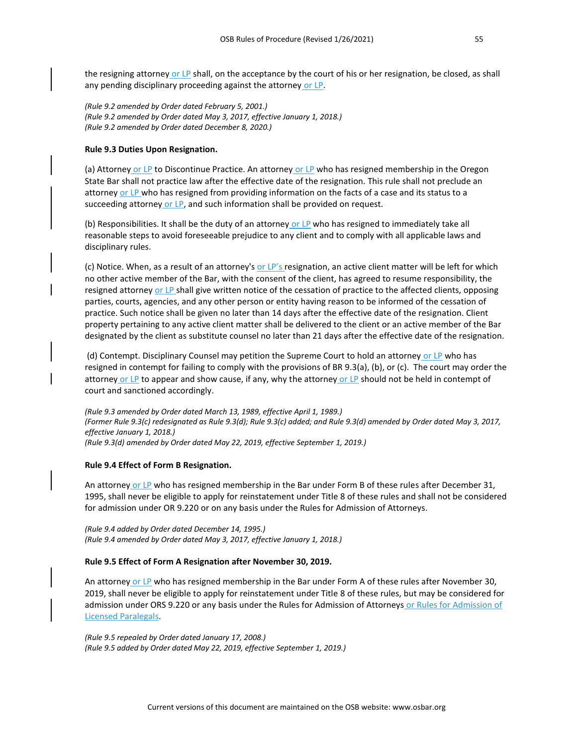the resigning attorney or LP shall, on the acceptance by the court of his or her resignation, be closed, as shall any pending disciplinary proceeding against the attorney or LP.

*(Rule 9.2 amended by Order dated February 5, 2001.) (Rule 9.2 amended by Order dated May 3, 2017, effective January 1, 2018.) (Rule 9.2 amended by Order dated December 8, 2020.)*

#### **Rule 9.3 Duties Upon Resignation.**

(a) Attorney or LP to Discontinue Practice. An attorney or LP who has resigned membership in the Oregon State Bar shall not practice law after the effective date of the resignation. This rule shall not preclude an attorney or LP who has resigned from providing information on the facts of a case and its status to a succeeding attorney or LP, and such information shall be provided on request.

(b) Responsibilities. It shall be the duty of an attorney or LP who has resigned to immediately take all reasonable steps to avoid foreseeable prejudice to any client and to comply with all applicable laws and disciplinary rules.

(c) Notice. When, as a result of an attorney's or LP's resignation, an active client matter will be left for which no other active member of the Bar, with the consent of the client, has agreed to resume responsibility, the resigned attorney or LP shall give written notice of the cessation of practice to the affected clients, opposing parties, courts, agencies, and any other person or entity having reason to be informed of the cessation of practice. Such notice shall be given no later than 14 days after the effective date of the resignation. Client property pertaining to any active client matter shall be delivered to the client or an active member of the Bar designated by the client as substitute counsel no later than 21 days after the effective date of the resignation.

(d) Contempt. Disciplinary Counsel may petition the Supreme Court to hold an attorney or LP who has resigned in contempt for failing to comply with the provisions of BR 9.3(a), (b), or (c). The court may order the attorney or LP to appear and show cause, if any, why the attorney or LP should not be held in contempt of court and sanctioned accordingly.

*(Rule 9.3 amended by Order dated March 13, 1989, effective April 1, 1989.) (Former Rule 9.3(c) redesignated as Rule 9.3(d); Rule 9.3(c) added; and Rule 9.3(d) amended by Order dated May 3, 2017, effective January 1, 2018.) (Rule 9.3(d) amended by Order dated May 22, 2019, effective September 1, 2019.)*

#### **Rule 9.4 Effect of Form B Resignation.**

An attorney or LP who has resigned membership in the Bar under Form B of these rules after December 31, 1995, shall never be eligible to apply for reinstatement under Title 8 of these rules and shall not be considered for admission under OR 9.220 or on any basis under the Rules for Admission of Attorneys.

*(Rule 9.4 added by Order dated December 14, 1995.) (Rule 9.4 amended by Order dated May 3, 2017, effective January 1, 2018.)*

#### **Rule 9.5 Effect of Form A Resignation after November 30, 2019.**

An attorney or LP who has resigned membership in the Bar under Form A of these rules after November 30, 2019, shall never be eligible to apply for reinstatement under Title 8 of these rules, but may be considered for admission under ORS 9.220 or any basis under the Rules for Admission of Attorneys or Rules for Admission of Licensed Paralegals.

*(Rule 9.5 repealed by Order dated January 17, 2008.) (Rule 9.5 added by Order dated May 22, 2019, effective September 1, 2019.)*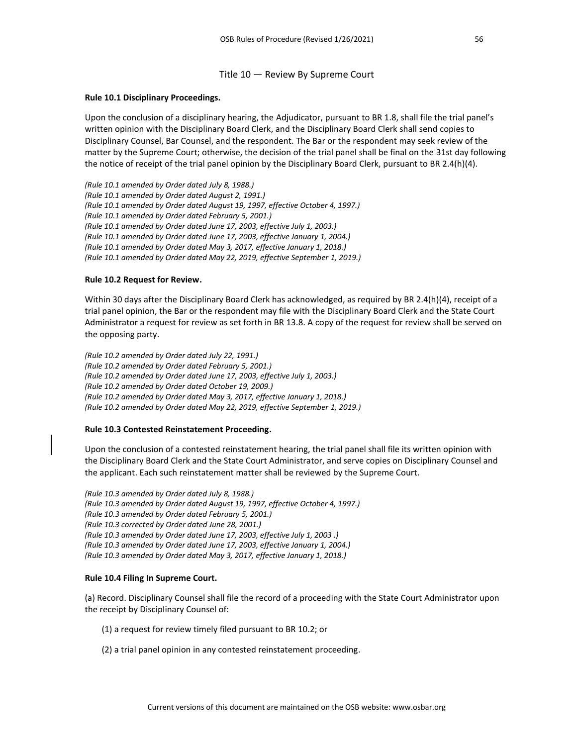#### Title 10 — Review By Supreme Court

#### **Rule 10.1 Disciplinary Proceedings.**

Upon the conclusion of a disciplinary hearing, the Adjudicator, pursuant to BR 1.8, shall file the trial panel's written opinion with the Disciplinary Board Clerk, and the Disciplinary Board Clerk shall send copies to Disciplinary Counsel, Bar Counsel, and the respondent. The Bar or the respondent may seek review of the matter by the Supreme Court; otherwise, the decision of the trial panel shall be final on the 31st day following the notice of receipt of the trial panel opinion by the Disciplinary Board Clerk, pursuant to BR 2.4(h)(4).

*(Rule 10.1 amended by Order dated July 8, 1988.) (Rule 10.1 amended by Order dated August 2, 1991.) (Rule 10.1 amended by Order dated August 19, 1997, effective October 4, 1997.) (Rule 10.1 amended by Order dated February 5, 2001.) (Rule 10.1 amended by Order dated June 17, 2003, effective July 1, 2003.) (Rule 10.1 amended by Order dated June 17, 2003, effective January 1, 2004.) (Rule 10.1 amended by Order dated May 3, 2017, effective January 1, 2018.) (Rule 10.1 amended by Order dated May 22, 2019, effective September 1, 2019.)*

#### **Rule 10.2 Request for Review.**

Within 30 days after the Disciplinary Board Clerk has acknowledged, as required by BR 2.4(h)(4), receipt of a trial panel opinion, the Bar or the respondent may file with the Disciplinary Board Clerk and the State Court Administrator a request for review as set forth in BR 13.8. A copy of the request for review shall be served on the opposing party.

*(Rule 10.2 amended by Order dated July 22, 1991.) (Rule 10.2 amended by Order dated February 5, 2001.) (Rule 10.2 amended by Order dated June 17, 2003, effective July 1, 2003.) (Rule 10.2 amended by Order dated October 19, 2009.) (Rule 10.2 amended by Order dated May 3, 2017, effective January 1, 2018.) (Rule 10.2 amended by Order dated May 22, 2019, effective September 1, 2019.)*

#### **Rule 10.3 Contested Reinstatement Proceeding.**

Upon the conclusion of a contested reinstatement hearing, the trial panel shall file its written opinion with the Disciplinary Board Clerk and the State Court Administrator, and serve copies on Disciplinary Counsel and the applicant. Each such reinstatement matter shall be reviewed by the Supreme Court.

*(Rule 10.3 amended by Order dated July 8, 1988.) (Rule 10.3 amended by Order dated August 19, 1997, effective October 4, 1997.) (Rule 10.3 amended by Order dated February 5, 2001.) (Rule 10.3 corrected by Order dated June 28, 2001.) (Rule 10.3 amended by Order dated June 17, 2003, effective July 1, 2003 .) (Rule 10.3 amended by Order dated June 17, 2003, effective January 1, 2004.) (Rule 10.3 amended by Order dated May 3, 2017, effective January 1, 2018.)*

#### **Rule 10.4 Filing In Supreme Court.**

(a) Record. Disciplinary Counsel shall file the record of a proceeding with the State Court Administrator upon the receipt by Disciplinary Counsel of:

- (1) a request for review timely filed pursuant to BR 10.2; or
- (2) a trial panel opinion in any contested reinstatement proceeding.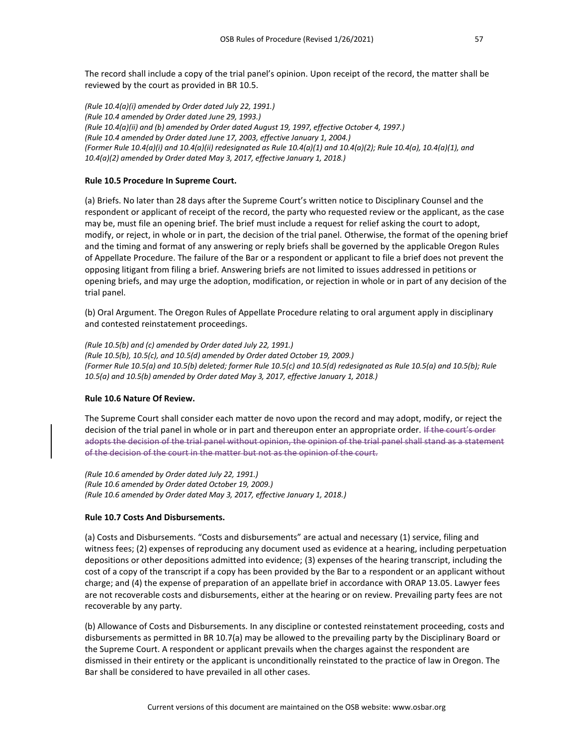The record shall include a copy of the trial panel's opinion. Upon receipt of the record, the matter shall be reviewed by the court as provided in BR 10.5.

*(Rule 10.4(a)(i) amended by Order dated July 22, 1991.) (Rule 10.4 amended by Order dated June 29, 1993.) (Rule 10.4(a)(ii) and (b) amended by Order dated August 19, 1997, effective October 4, 1997.) (Rule 10.4 amended by Order dated June 17, 2003, effective January 1, 2004.) (Former Rule 10.4(a)(i) and 10.4(a)(ii) redesignated as Rule 10.4(a)(1) and 10.4(a)(2); Rule 10.4(a), 10.4(a)(1), and 10.4(a)(2) amended by Order dated May 3, 2017, effective January 1, 2018.)*

# **Rule 10.5 Procedure In Supreme Court.**

(a) Briefs. No later than 28 days after the Supreme Court's written notice to Disciplinary Counsel and the respondent or applicant of receipt of the record, the party who requested review or the applicant, as the case may be, must file an opening brief. The brief must include a request for relief asking the court to adopt, modify, or reject, in whole or in part, the decision of the trial panel. Otherwise, the format of the opening brief and the timing and format of any answering or reply briefs shall be governed by the applicable Oregon Rules of Appellate Procedure. The failure of the Bar or a respondent or applicant to file a brief does not prevent the opposing litigant from filing a brief. Answering briefs are not limited to issues addressed in petitions or opening briefs, and may urge the adoption, modification, or rejection in whole or in part of any decision of the trial panel.

(b) Oral Argument. The Oregon Rules of Appellate Procedure relating to oral argument apply in disciplinary and contested reinstatement proceedings.

*(Rule 10.5(b) and (c) amended by Order dated July 22, 1991.) (Rule 10.5(b), 10.5(c), and 10.5(d) amended by Order dated October 19, 2009.) (Former Rule 10.5(a) and 10.5(b) deleted; former Rule 10.5(c) and 10.5(d) redesignated as Rule 10.5(a) and 10.5(b); Rule 10.5(a) and 10.5(b) amended by Order dated May 3, 2017, effective January 1, 2018.)*

# **Rule 10.6 Nature Of Review.**

The Supreme Court shall consider each matter de novo upon the record and may adopt, modify, or reject the decision of the trial panel in whole or in part and thereupon enter an appropriate order. If the court's order adopts the decision of the trial panel without opinion, the opinion of the trial panel shall stand as a statement of the decision of the court in the matter but not as the opinion of the court.

*(Rule 10.6 amended by Order dated July 22, 1991.) (Rule 10.6 amended by Order dated October 19, 2009.) (Rule 10.6 amended by Order dated May 3, 2017, effective January 1, 2018.)*

#### **Rule 10.7 Costs And Disbursements.**

(a) Costs and Disbursements. "Costs and disbursements" are actual and necessary (1) service, filing and witness fees; (2) expenses of reproducing any document used as evidence at a hearing, including perpetuation depositions or other depositions admitted into evidence; (3) expenses of the hearing transcript, including the cost of a copy of the transcript if a copy has been provided by the Bar to a respondent or an applicant without charge; and (4) the expense of preparation of an appellate brief in accordance with ORAP 13.05. Lawyer fees are not recoverable costs and disbursements, either at the hearing or on review. Prevailing party fees are not recoverable by any party.

(b) Allowance of Costs and Disbursements. In any discipline or contested reinstatement proceeding, costs and disbursements as permitted in BR 10.7(a) may be allowed to the prevailing party by the Disciplinary Board or the Supreme Court. A respondent or applicant prevails when the charges against the respondent are dismissed in their entirety or the applicant is unconditionally reinstated to the practice of law in Oregon. The Bar shall be considered to have prevailed in all other cases.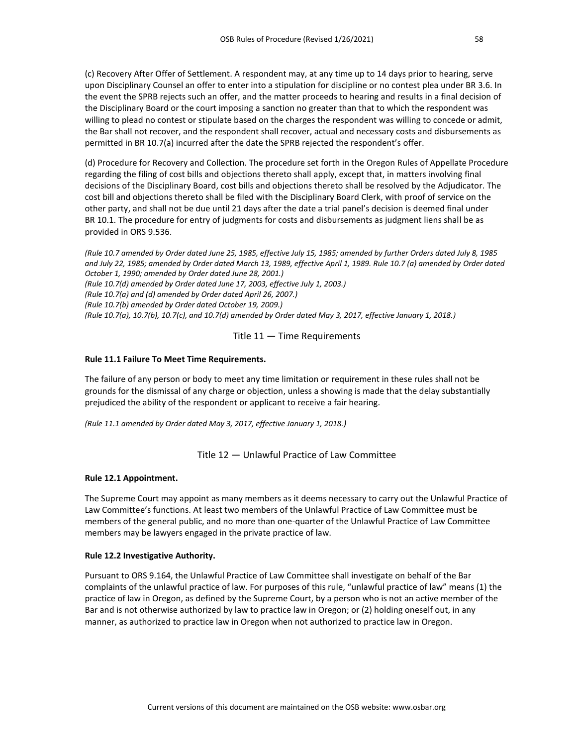(c) Recovery After Offer of Settlement. A respondent may, at any time up to 14 days prior to hearing, serve upon Disciplinary Counsel an offer to enter into a stipulation for discipline or no contest plea under BR 3.6. In the event the SPRB rejects such an offer, and the matter proceeds to hearing and results in a final decision of the Disciplinary Board or the court imposing a sanction no greater than that to which the respondent was willing to plead no contest or stipulate based on the charges the respondent was willing to concede or admit, the Bar shall not recover, and the respondent shall recover, actual and necessary costs and disbursements as permitted in BR 10.7(a) incurred after the date the SPRB rejected the respondent's offer.

(d) Procedure for Recovery and Collection. The procedure set forth in the Oregon Rules of Appellate Procedure regarding the filing of cost bills and objections thereto shall apply, except that, in matters involving final decisions of the Disciplinary Board, cost bills and objections thereto shall be resolved by the Adjudicator. The cost bill and objections thereto shall be filed with the Disciplinary Board Clerk, with proof of service on the other party, and shall not be due until 21 days after the date a trial panel's decision is deemed final under BR 10.1. The procedure for entry of judgments for costs and disbursements as judgment liens shall be as provided in ORS 9.536.

*(Rule 10.7 amended by Order dated June 25, 1985, effective July 15, 1985; amended by further Orders dated July 8, 1985 and July 22, 1985; amended by Order dated March 13, 1989, effective April 1, 1989. Rule 10.7 (a) amended by Order dated October 1, 1990; amended by Order dated June 28, 2001.) (Rule 10.7(d) amended by Order dated June 17, 2003, effective July 1, 2003.) (Rule 10.7(a) and (d) amended by Order dated April 26, 2007.)*

*(Rule 10.7(b) amended by Order dated October 19, 2009.)*

*(Rule 10.7(a), 10.7(b), 10.7(c), and 10.7(d) amended by Order dated May 3, 2017, effective January 1, 2018.)*

# Title 11 — Time Requirements

# **Rule 11.1 Failure To Meet Time Requirements.**

The failure of any person or body to meet any time limitation or requirement in these rules shall not be grounds for the dismissal of any charge or objection, unless a showing is made that the delay substantially prejudiced the ability of the respondent or applicant to receive a fair hearing.

*(Rule 11.1 amended by Order dated May 3, 2017, effective January 1, 2018.)*

# Title 12 — Unlawful Practice of Law Committee

# **Rule 12.1 Appointment.**

The Supreme Court may appoint as many members as it deems necessary to carry out the Unlawful Practice of Law Committee's functions. At least two members of the Unlawful Practice of Law Committee must be members of the general public, and no more than one-quarter of the Unlawful Practice of Law Committee members may be lawyers engaged in the private practice of law.

# **Rule 12.2 Investigative Authority.**

Pursuant to ORS 9.164, the Unlawful Practice of Law Committee shall investigate on behalf of the Bar complaints of the unlawful practice of law. For purposes of this rule, "unlawful practice of law" means (1) the practice of law in Oregon, as defined by the Supreme Court, by a person who is not an active member of the Bar and is not otherwise authorized by law to practice law in Oregon; or (2) holding oneself out, in any manner, as authorized to practice law in Oregon when not authorized to practice law in Oregon.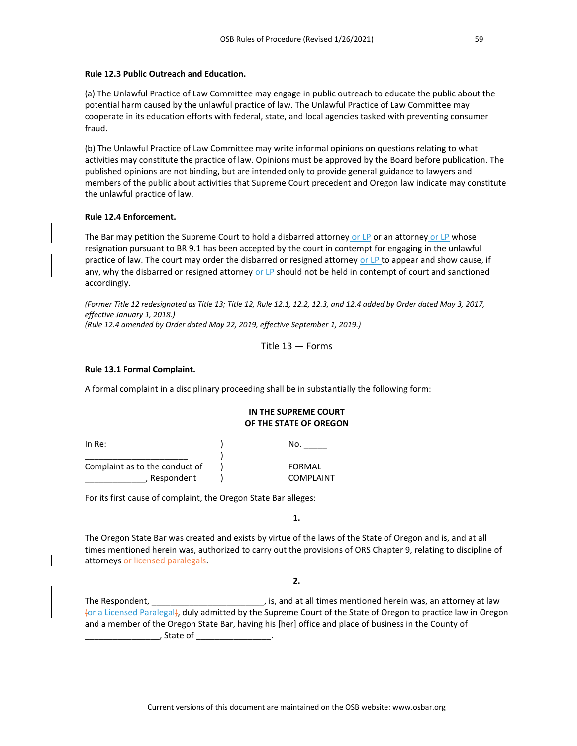#### **Rule 12.3 Public Outreach and Education.**

(a) The Unlawful Practice of Law Committee may engage in public outreach to educate the public about the potential harm caused by the unlawful practice of law. The Unlawful Practice of Law Committee may cooperate in its education efforts with federal, state, and local agencies tasked with preventing consumer fraud.

(b) The Unlawful Practice of Law Committee may write informal opinions on questions relating to what activities may constitute the practice of law. Opinions must be approved by the Board before publication. The published opinions are not binding, but are intended only to provide general guidance to lawyers and members of the public about activities that Supreme Court precedent and Oregon law indicate may constitute the unlawful practice of law.

# **Rule 12.4 Enforcement.**

The Bar may petition the Supreme Court to hold a disbarred attorney or LP or an attorney or LP whose resignation pursuant to BR 9.1 has been accepted by the court in contempt for engaging in the unlawful practice of law. The court may order the disbarred or resigned attorney or LP to appear and show cause, if any, why the disbarred or resigned attorney or LP should not be held in contempt of court and sanctioned accordingly.

*(Former Title 12 redesignated as Title 13; Title 12, Rule 12.1, 12.2, 12.3, and 12.4 added by Order dated May 3, 2017, effective January 1, 2018.) (Rule 12.4 amended by Order dated May 22, 2019, effective September 1, 2019.)*

Title 13 — Forms

# **Rule 13.1 Formal Complaint.**

A formal complaint in a disciplinary proceeding shall be in substantially the following form:

# **IN THE SUPREME COURT OF THE STATE OF OREGON**

 $\overline{\phantom{a}}$  No. \_\_\_\_\_\_\_\_\_\_\_\_\_\_\_\_\_\_\_\_\_\_ ) Complaint as to the conduct of ) FORMAL \_\_\_\_\_\_\_\_\_\_\_\_\_, Respondent ) COMPLAINT

For its first cause of complaint, the Oregon State Bar alleges:

**1.** 

The Oregon State Bar was created and exists by virtue of the laws of the State of Oregon and is, and at all times mentioned herein was, authorized to carry out the provisions of ORS Chapter 9, relating to discipline of attorneys or licensed paralegals.

**2.** 

The Respondent, \_\_\_\_\_\_\_\_\_\_\_\_\_\_\_\_\_\_\_\_\_\_\_\_\_\_\_\_\_\_\_, is, and at all times mentioned herein was, an attorney at law (or a Licensed Paralegal), duly admitted by the Supreme Court of the State of Oregon to practice law in Oregon and a member of the Oregon State Bar, having his [her] office and place of business in the County of \_\_\_\_\_\_\_\_\_\_\_\_\_\_\_\_, State of \_\_\_\_\_\_\_\_\_\_\_\_\_\_\_\_.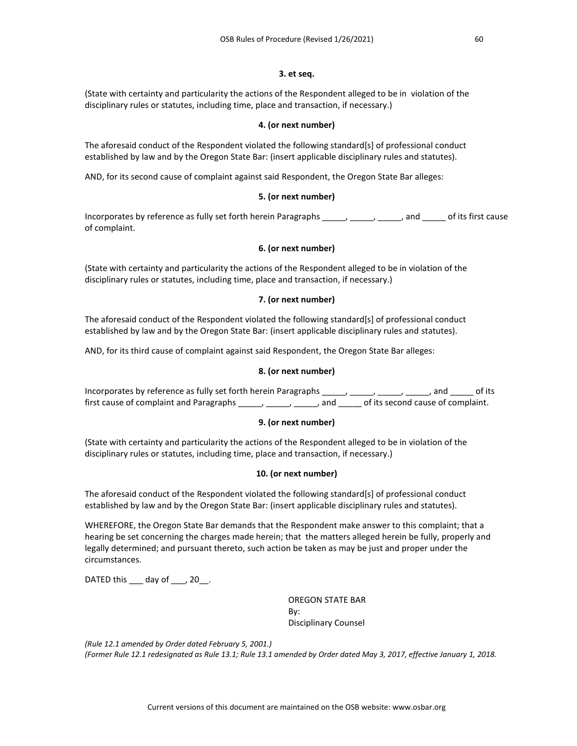# **3. et seq.**

(State with certainty and particularity the actions of the Respondent alleged to be in violation of the disciplinary rules or statutes, including time, place and transaction, if necessary.)

#### **4. (or next number)**

The aforesaid conduct of the Respondent violated the following standard[s] of professional conduct established by law and by the Oregon State Bar: (insert applicable disciplinary rules and statutes).

AND, for its second cause of complaint against said Respondent, the Oregon State Bar alleges:

#### **5. (or next number)**

Incorporates by reference as fully set forth herein Paragraphs \_\_\_\_\_, \_\_\_\_\_, \_\_\_\_\_, and \_\_\_\_\_ of its first cause of complaint.

#### **6. (or next number)**

(State with certainty and particularity the actions of the Respondent alleged to be in violation of the disciplinary rules or statutes, including time, place and transaction, if necessary.)

# **7. (or next number)**

The aforesaid conduct of the Respondent violated the following standard[s] of professional conduct established by law and by the Oregon State Bar: (insert applicable disciplinary rules and statutes).

AND, for its third cause of complaint against said Respondent, the Oregon State Bar alleges:

# **8. (or next number)**

Incorporates by reference as fully set forth herein Paragraphs \_\_\_\_, \_\_\_\_, \_\_\_\_, \_\_\_\_, and \_\_\_\_\_ of its first cause of complaint and Paragraphs \_\_\_\_\_, \_\_\_\_\_, \_\_\_\_\_, and \_\_\_\_\_ of its second cause of complaint.

#### **9. (or next number)**

(State with certainty and particularity the actions of the Respondent alleged to be in violation of the disciplinary rules or statutes, including time, place and transaction, if necessary.)

# **10. (or next number)**

The aforesaid conduct of the Respondent violated the following standard[s] of professional conduct established by law and by the Oregon State Bar: (insert applicable disciplinary rules and statutes).

WHEREFORE, the Oregon State Bar demands that the Respondent make answer to this complaint; that a hearing be set concerning the charges made herein; that the matters alleged herein be fully, properly and legally determined; and pursuant thereto, such action be taken as may be just and proper under the circumstances.

DATED this \_\_\_ day of \_\_\_, 20\_\_.

OREGON STATE BAR By: Disciplinary Counsel

*(Rule 12.1 amended by Order dated February 5, 2001.) (Former Rule 12.1 redesignated as Rule 13.1; Rule 13.1 amended by Order dated May 3, 2017, effective January 1, 2018.*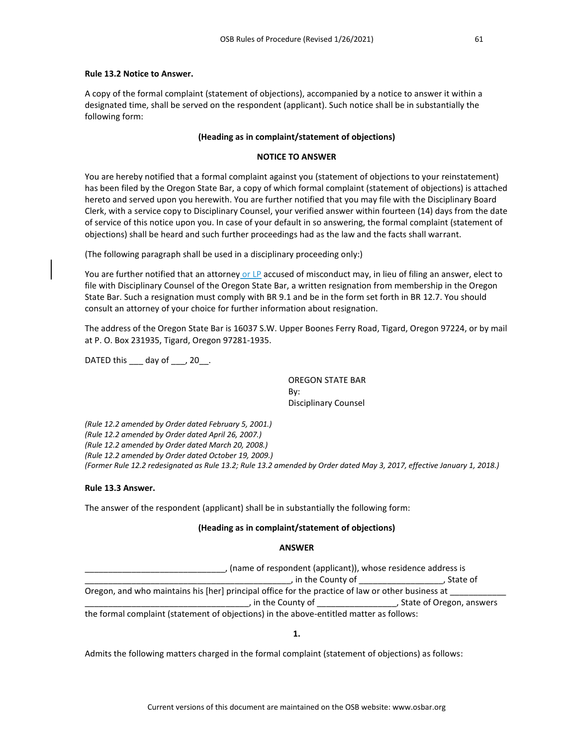#### **Rule 13.2 Notice to Answer.**

A copy of the formal complaint (statement of objections), accompanied by a notice to answer it within a designated time, shall be served on the respondent (applicant). Such notice shall be in substantially the following form:

# **(Heading as in complaint/statement of objections)**

#### **NOTICE TO ANSWER**

You are hereby notified that a formal complaint against you (statement of objections to your reinstatement) has been filed by the Oregon State Bar, a copy of which formal complaint (statement of objections) is attached hereto and served upon you herewith. You are further notified that you may file with the Disciplinary Board Clerk, with a service copy to Disciplinary Counsel, your verified answer within fourteen (14) days from the date of service of this notice upon you. In case of your default in so answering, the formal complaint (statement of objections) shall be heard and such further proceedings had as the law and the facts shall warrant.

(The following paragraph shall be used in a disciplinary proceeding only:)

You are further notified that an attorney or LP accused of misconduct may, in lieu of filing an answer, elect to file with Disciplinary Counsel of the Oregon State Bar, a written resignation from membership in the Oregon State Bar. Such a resignation must comply with BR 9.1 and be in the form set forth in BR 12.7. You should consult an attorney of your choice for further information about resignation.

The address of the Oregon State Bar is 16037 S.W. Upper Boones Ferry Road, Tigard, Oregon 97224, or by mail at P. O. Box 231935, Tigard, Oregon 97281-1935.

DATED this \_\_\_ day of \_\_\_, 20 .

OREGON STATE BAR By: Disciplinary Counsel

*(Rule 12.2 amended by Order dated February 5, 2001.) (Rule 12.2 amended by Order dated April 26, 2007.) (Rule 12.2 amended by Order dated March 20, 2008.) (Rule 12.2 amended by Order dated October 19, 2009.) (Former Rule 12.2 redesignated as Rule 13.2; Rule 13.2 amended by Order dated May 3, 2017, effective January 1, 2018.)*

# **Rule 13.3 Answer.**

The answer of the respondent (applicant) shall be in substantially the following form:

#### **(Heading as in complaint/statement of objections)**

#### **ANSWER**

| (name of respondent (applicant)), whose residence address is                                      |                            |  |
|---------------------------------------------------------------------------------------------------|----------------------------|--|
| , in the County of                                                                                | . State of                 |  |
| Oregon, and who maintains his [her] principal office for the practice of law or other business at |                            |  |
| , in the County of                                                                                | , State of Oregon, answers |  |
| the formal complaint (statement of objections) in the above-entitled matter as follows:           |                            |  |

**1.**

Admits the following matters charged in the formal complaint (statement of objections) as follows: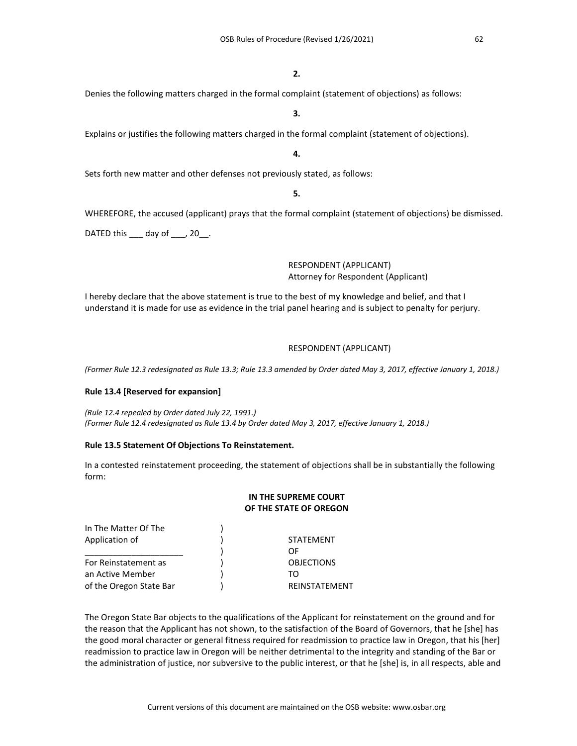#### **2.**

**3.**

# Denies the following matters charged in the formal complaint (statement of objections) as follows:

Explains or justifies the following matters charged in the formal complaint (statement of objections).

#### **4.**

Sets forth new matter and other defenses not previously stated, as follows:

# **5.**

WHEREFORE, the accused (applicant) prays that the formal complaint (statement of objections) be dismissed.

DATED this \_\_\_ day of \_\_\_, 20\_\_.

# RESPONDENT (APPLICANT) Attorney for Respondent (Applicant)

I hereby declare that the above statement is true to the best of my knowledge and belief, and that I understand it is made for use as evidence in the trial panel hearing and is subject to penalty for perjury.

# RESPONDENT (APPLICANT)

*(Former Rule 12.3 redesignated as Rule 13.3; Rule 13.3 amended by Order dated May 3, 2017, effective January 1, 2018.)*

# **Rule 13.4 [Reserved for expansion]**

*(Rule 12.4 repealed by Order dated July 22, 1991.) (Former Rule 12.4 redesignated as Rule 13.4 by Order dated May 3, 2017, effective January 1, 2018.)*

# **Rule 13.5 Statement Of Objections To Reinstatement.**

In a contested reinstatement proceeding, the statement of objections shall be in substantially the following form:

#### **IN THE SUPREME COURT OF THE STATE OF OREGON**

| In The Matter Of The    |                   |
|-------------------------|-------------------|
| Application of          | <b>STATEMENT</b>  |
|                         | ΩF                |
| For Reinstatement as    | <b>OBJECTIONS</b> |
| an Active Member        | ΤO                |
| of the Oregon State Bar | REINSTATEMENT     |

The Oregon State Bar objects to the qualifications of the Applicant for reinstatement on the ground and for the reason that the Applicant has not shown, to the satisfaction of the Board of Governors, that he [she] has the good moral character or general fitness required for readmission to practice law in Oregon, that his [her] readmission to practice law in Oregon will be neither detrimental to the integrity and standing of the Bar or the administration of justice, nor subversive to the public interest, or that he [she] is, in all respects, able and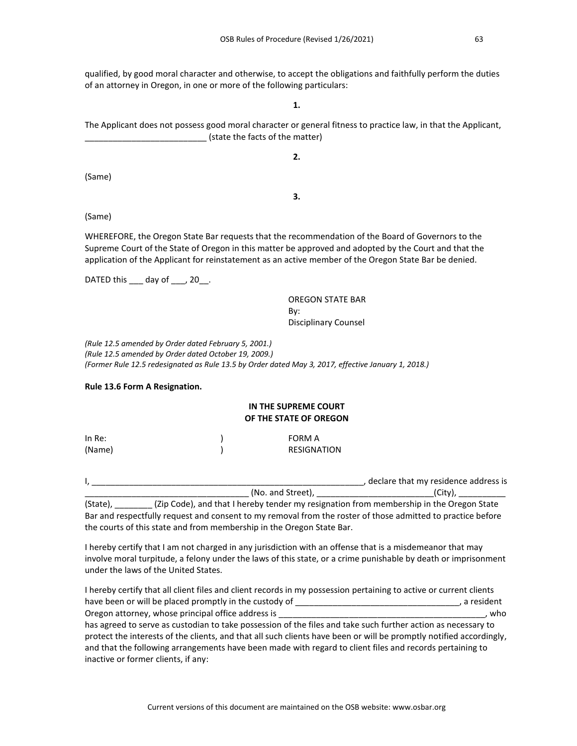qualified, by good moral character and otherwise, to accept the obligations and faithfully perform the duties of an attorney in Oregon, in one or more of the following particulars:

**1.**

The Applicant does not possess good moral character or general fitness to practice law, in that the Applicant, (state the facts of the matter)

**2.**

(Same)

**3.**

(Same)

WHEREFORE, the Oregon State Bar requests that the recommendation of the Board of Governors to the Supreme Court of the State of Oregon in this matter be approved and adopted by the Court and that the application of the Applicant for reinstatement as an active member of the Oregon State Bar be denied.

DATED this  $\rule{1em}{0.15mm}$  day of  $\rule{1em}{0.15mm}$ .

OREGON STATE BAR By: Disciplinary Counsel

*(Rule 12.5 amended by Order dated February 5, 2001.) (Rule 12.5 amended by Order dated October 19, 2009.) (Former Rule 12.5 redesignated as Rule 13.5 by Order dated May 3, 2017, effective January 1, 2018.)*

# **Rule 13.6 Form A Resignation.**

# **IN THE SUPREME COURT OF THE STATE OF OREGON**

| In $Re:$ | FORM A      |
|----------|-------------|
| (Name)   | RESIGNATION |

|                 | declare that my residence address is |
|-----------------|--------------------------------------|
| (No. and Street | ີ**∿.                                |

(State),  $(2ip Code)$ , and that I hereby tender my resignation from membership in the Oregon State Bar and respectfully request and consent to my removal from the roster of those admitted to practice before the courts of this state and from membership in the Oregon State Bar.

I hereby certify that I am not charged in any jurisdiction with an offense that is a misdemeanor that may involve moral turpitude, a felony under the laws of this state, or a crime punishable by death or imprisonment under the laws of the United States.

I hereby certify that all client files and client records in my possession pertaining to active or current clients have been or will be placed promptly in the custody of \_\_\_\_\_\_\_\_\_\_\_\_\_\_\_\_\_\_\_\_\_\_\_\_\_\_\_\_\_\_\_\_\_\_\_, a resident Oregon attorney, whose principal office address is **whose intervals and the example of the example of the example of the example of the example of the example of the example of the example of the example of the example of** has agreed to serve as custodian to take possession of the files and take such further action as necessary to protect the interests of the clients, and that all such clients have been or will be promptly notified accordingly, and that the following arrangements have been made with regard to client files and records pertaining to inactive or former clients, if any: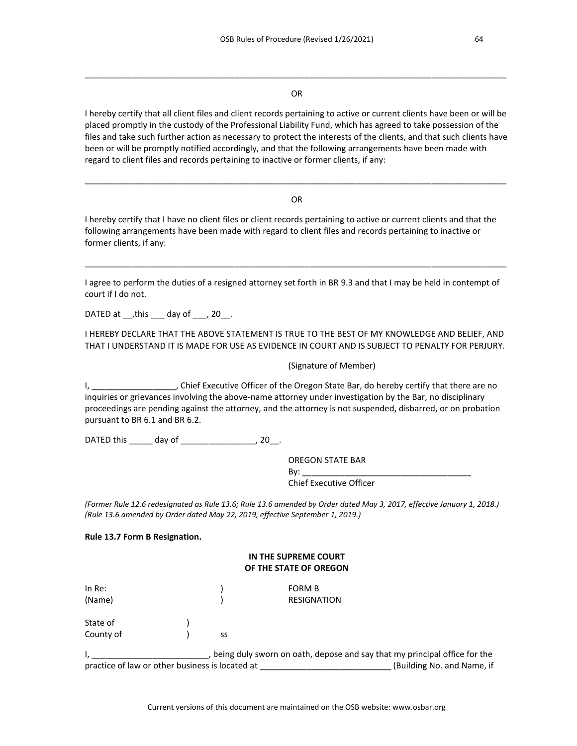#### OR

\_\_\_\_\_\_\_\_\_\_\_\_\_\_\_\_\_\_\_\_\_\_\_\_\_\_\_\_\_\_\_\_\_\_\_\_\_\_\_\_\_\_\_\_\_\_\_\_\_\_\_\_\_\_\_\_\_\_\_\_\_\_\_\_\_\_\_\_\_\_\_\_\_\_\_\_\_\_\_\_\_\_\_\_\_\_\_\_\_\_

I hereby certify that all client files and client records pertaining to active or current clients have been or will be placed promptly in the custody of the Professional Liability Fund, which has agreed to take possession of the files and take such further action as necessary to protect the interests of the clients, and that such clients have been or will be promptly notified accordingly, and that the following arrangements have been made with regard to client files and records pertaining to inactive or former clients, if any:

#### OR

\_\_\_\_\_\_\_\_\_\_\_\_\_\_\_\_\_\_\_\_\_\_\_\_\_\_\_\_\_\_\_\_\_\_\_\_\_\_\_\_\_\_\_\_\_\_\_\_\_\_\_\_\_\_\_\_\_\_\_\_\_\_\_\_\_\_\_\_\_\_\_\_\_\_\_\_\_\_\_\_\_\_\_\_\_\_\_\_\_\_

I hereby certify that I have no client files or client records pertaining to active or current clients and that the following arrangements have been made with regard to client files and records pertaining to inactive or former clients, if any:

I agree to perform the duties of a resigned attorney set forth in BR 9.3 and that I may be held in contempt of court if I do not.

\_\_\_\_\_\_\_\_\_\_\_\_\_\_\_\_\_\_\_\_\_\_\_\_\_\_\_\_\_\_\_\_\_\_\_\_\_\_\_\_\_\_\_\_\_\_\_\_\_\_\_\_\_\_\_\_\_\_\_\_\_\_\_\_\_\_\_\_\_\_\_\_\_\_\_\_\_\_\_\_\_\_\_\_\_\_\_\_\_\_

DATED at  $_{\text{1}}$ , this  $_{\text{2}}$  day of  $_{\text{2}}$ , 20

I HEREBY DECLARE THAT THE ABOVE STATEMENT IS TRUE TO THE BEST OF MY KNOWLEDGE AND BELIEF, AND THAT I UNDERSTAND IT IS MADE FOR USE AS EVIDENCE IN COURT AND IS SUBJECT TO PENALTY FOR PERJURY.

(Signature of Member)

I, \_\_\_\_\_\_\_\_\_\_\_\_\_\_\_\_\_\_, Chief Executive Officer of the Oregon State Bar, do hereby certify that there are no inquiries or grievances involving the above-name attorney under investigation by the Bar, no disciplinary proceedings are pending against the attorney, and the attorney is not suspended, disbarred, or on probation pursuant to BR 6.1 and BR 6.2.

DATED this \_\_\_\_\_ day of \_\_\_\_\_\_\_\_\_\_\_\_\_\_\_\_, 20\_\_.

OREGON STATE BAR By: \_\_\_\_\_\_\_\_\_\_\_\_\_\_\_\_\_\_\_\_\_\_\_\_\_\_\_\_\_\_\_\_\_\_\_\_ Chief Executive Officer

*(Former Rule 12.6 redesignated as Rule 13.6; Rule 13.6 amended by Order dated May 3, 2017, effective January 1, 2018.) (Rule 13.6 amended by Order dated May 22, 2019, effective September 1, 2019.)*

#### **Rule 13.7 Form B Resignation.**

# **IN THE SUPREME COURT OF THE STATE OF OREGON**

| In Re:<br>(Name)      |    | FORM B<br><b>RESIGNATION</b> |
|-----------------------|----|------------------------------|
| State of<br>County of | SS |                              |

I, \_\_\_\_\_\_\_\_\_\_\_\_\_\_\_\_\_\_\_\_\_\_\_\_\_, being duly sworn on oath, depose and say that my principal office for the practice of law or other business is located at **the actual CO** (Building No. and Name, if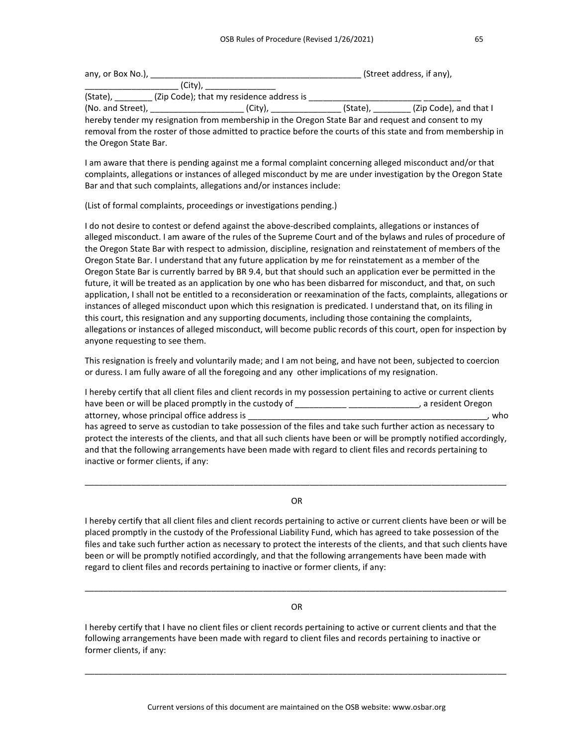| any, or Box No.), |                                          | (Street address, if any), |                        |
|-------------------|------------------------------------------|---------------------------|------------------------|
|                   | (City).                                  |                           |                        |
| (State),          | (Zip Code); that my residence address is |                           |                        |
| (No. and Street), | (City).                                  | (State).                  | (Zip Code), and that I |
|                   |                                          |                           |                        |

hereby tender my resignation from membership in the Oregon State Bar and request and consent to my removal from the roster of those admitted to practice before the courts of this state and from membership in the Oregon State Bar.

I am aware that there is pending against me a formal complaint concerning alleged misconduct and/or that complaints, allegations or instances of alleged misconduct by me are under investigation by the Oregon State Bar and that such complaints, allegations and/or instances include:

(List of formal complaints, proceedings or investigations pending.)

I do not desire to contest or defend against the above-described complaints, allegations or instances of alleged misconduct. I am aware of the rules of the Supreme Court and of the bylaws and rules of procedure of the Oregon State Bar with respect to admission, discipline, resignation and reinstatement of members of the Oregon State Bar. I understand that any future application by me for reinstatement as a member of the Oregon State Bar is currently barred by BR 9.4, but that should such an application ever be permitted in the future, it will be treated as an application by one who has been disbarred for misconduct, and that, on such application, I shall not be entitled to a reconsideration or reexamination of the facts, complaints, allegations or instances of alleged misconduct upon which this resignation is predicated. I understand that, on its filing in this court, this resignation and any supporting documents, including those containing the complaints, allegations or instances of alleged misconduct, will become public records of this court, open for inspection by anyone requesting to see them.

This resignation is freely and voluntarily made; and I am not being, and have not been, subjected to coercion or duress. I am fully aware of all the foregoing and any other implications of my resignation.

I hereby certify that all client files and client records in my possession pertaining to active or current clients have been or will be placed promptly in the custody of \_\_\_\_\_\_\_\_\_\_\_\_\_\_\_\_\_\_\_\_\_\_\_\_\_\_, a resident Oregon attorney, whose principal office address is \_\_\_\_\_\_\_\_\_\_\_\_\_\_\_\_\_\_\_\_\_\_\_\_\_\_\_\_\_\_\_\_\_\_\_\_\_\_\_\_\_\_\_\_\_\_\_\_\_\_\_, who has agreed to serve as custodian to take possession of the files and take such further action as necessary to protect the interests of the clients, and that all such clients have been or will be promptly notified accordingly, and that the following arrangements have been made with regard to client files and records pertaining to inactive or former clients, if any:

OR

\_\_\_\_\_\_\_\_\_\_\_\_\_\_\_\_\_\_\_\_\_\_\_\_\_\_\_\_\_\_\_\_\_\_\_\_\_\_\_\_\_\_\_\_\_\_\_\_\_\_\_\_\_\_\_\_\_\_\_\_\_\_\_\_\_\_\_\_\_\_\_\_\_\_\_\_\_\_\_\_\_\_\_\_\_\_\_\_\_\_

I hereby certify that all client files and client records pertaining to active or current clients have been or will be placed promptly in the custody of the Professional Liability Fund, which has agreed to take possession of the files and take such further action as necessary to protect the interests of the clients, and that such clients have been or will be promptly notified accordingly, and that the following arrangements have been made with regard to client files and records pertaining to inactive or former clients, if any:

# OR

\_\_\_\_\_\_\_\_\_\_\_\_\_\_\_\_\_\_\_\_\_\_\_\_\_\_\_\_\_\_\_\_\_\_\_\_\_\_\_\_\_\_\_\_\_\_\_\_\_\_\_\_\_\_\_\_\_\_\_\_\_\_\_\_\_\_\_\_\_\_\_\_\_\_\_\_\_\_\_\_\_\_\_\_\_\_\_\_\_\_

I hereby certify that I have no client files or client records pertaining to active or current clients and that the following arrangements have been made with regard to client files and records pertaining to inactive or former clients, if any:

\_\_\_\_\_\_\_\_\_\_\_\_\_\_\_\_\_\_\_\_\_\_\_\_\_\_\_\_\_\_\_\_\_\_\_\_\_\_\_\_\_\_\_\_\_\_\_\_\_\_\_\_\_\_\_\_\_\_\_\_\_\_\_\_\_\_\_\_\_\_\_\_\_\_\_\_\_\_\_\_\_\_\_\_\_\_\_\_\_\_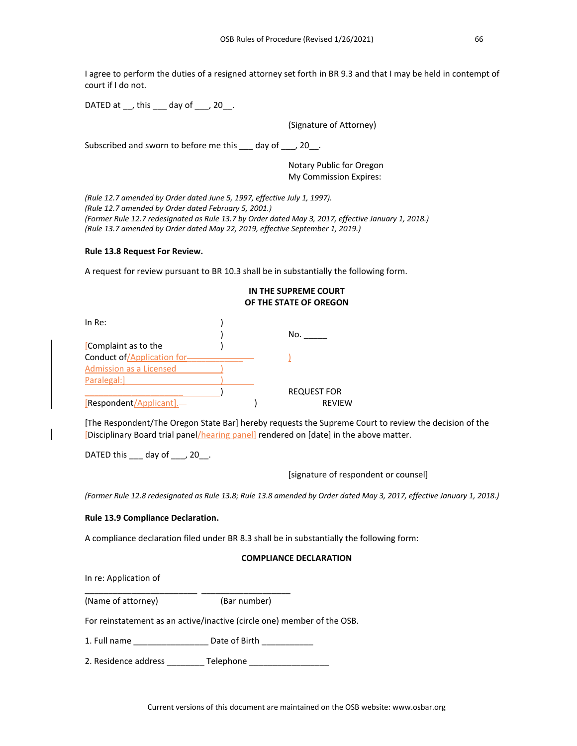I agree to perform the duties of a resigned attorney set forth in BR 9.3 and that I may be held in contempt of court if I do not.

DATED at  $\,$ , this day of , 20.

(Signature of Attorney)

Subscribed and sworn to before me this \_\_\_ day of \_\_\_, 20\_\_.

Notary Public for Oregon My Commission Expires:

*(Rule 12.7 amended by Order dated June 5, 1997, effective July 1, 1997). (Rule 12.7 amended by Order dated February 5, 2001.) (Former Rule 12.7 redesignated as Rule 13.7 by Order dated May 3, 2017, effective January 1, 2018.) (Rule 13.7 amended by Order dated May 22, 2019, effective September 1, 2019.)*

#### **Rule 13.8 Request For Review.**

A request for review pursuant to BR 10.3 shall be in substantially the following form.

|                             | IN THE SUPREME COURT<br>OF THE STATE OF OREGON |
|-----------------------------|------------------------------------------------|
| In $Re:$                    |                                                |
|                             | No.                                            |
| Complaint as to the         |                                                |
| Conduct of/Application for- |                                                |
| Admission as a Licensed     |                                                |
| Paralegal:                  |                                                |
|                             | <b>REQUEST FOR</b>                             |
| [Respondent/Applicant].—    | <b>RFVIFW</b>                                  |

[The Respondent/The Oregon State Bar] hereby requests the Supreme Court to review the decision of the [Disciplinary Board trial panel/hearing panel] rendered on [date] in the above matter.

DATED this \_\_\_\_ day of \_\_\_, 20\_\_.

[signature of respondent or counsel]

*(Former Rule 12.8 redesignated as Rule 13.8; Rule 13.8 amended by Order dated May 3, 2017, effective January 1, 2018.)*

# **Rule 13.9 Compliance Declaration.**

A compliance declaration filed under BR 8.3 shall be in substantially the following form:

#### **COMPLIANCE DECLARATION**

In re: Application of

| (Name of attorney) | (Bar number) |
|--------------------|--------------|

For reinstatement as an active/inactive (circle one) member of the OSB.

1. Full name \_\_\_\_\_\_\_\_\_\_\_\_\_\_\_\_\_\_\_\_\_ Date of Birth \_\_\_\_\_\_\_\_\_\_\_\_\_

2. Residence address \_\_\_\_\_\_\_\_ Telephone \_\_\_\_\_\_\_\_\_\_\_\_\_\_\_\_\_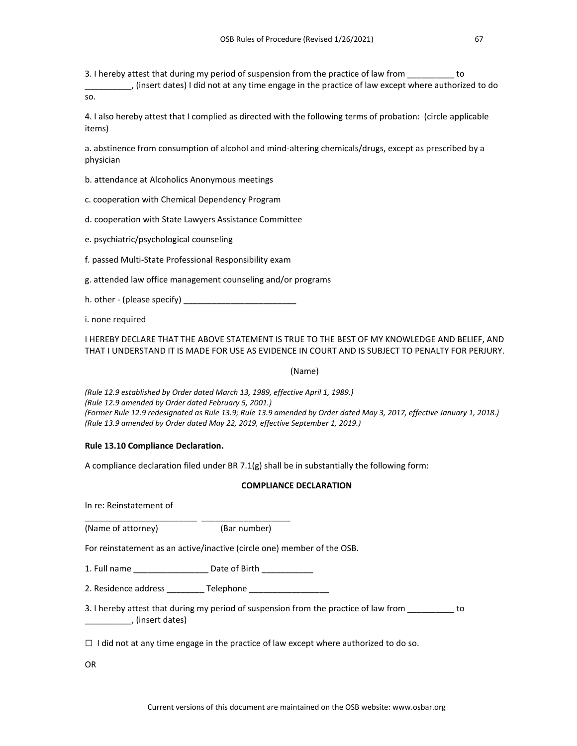3. I hereby attest that during my period of suspension from the practice of law from  $\_\_$ 

\_\_\_\_\_\_\_\_\_\_, (insert dates) I did not at any time engage in the practice of law except where authorized to do so.

4. I also hereby attest that I complied as directed with the following terms of probation: (circle applicable items)

a. abstinence from consumption of alcohol and mind-altering chemicals/drugs, except as prescribed by a physician

b. attendance at Alcoholics Anonymous meetings

c. cooperation with Chemical Dependency Program

d. cooperation with State Lawyers Assistance Committee

e. psychiatric/psychological counseling

f. passed Multi-State Professional Responsibility exam

g. attended law office management counseling and/or programs

h. other - (please specify)

i. none required

I HEREBY DECLARE THAT THE ABOVE STATEMENT IS TRUE TO THE BEST OF MY KNOWLEDGE AND BELIEF, AND THAT I UNDERSTAND IT IS MADE FOR USE AS EVIDENCE IN COURT AND IS SUBJECT TO PENALTY FOR PERJURY.

(Name)

*(Rule 12.9 established by Order dated March 13, 1989, effective April 1, 1989.) (Rule 12.9 amended by Order dated February 5, 2001.) (Former Rule 12.9 redesignated as Rule 13.9; Rule 13.9 amended by Order dated May 3, 2017, effective January 1, 2018.) (Rule 13.9 amended by Order dated May 22, 2019, effective September 1, 2019.)*

# **Rule 13.10 Compliance Declaration.**

A compliance declaration filed under BR 7.1(g) shall be in substantially the following form:

# **COMPLIANCE DECLARATION**

In re: Reinstatement of

\_\_\_\_\_\_\_\_\_\_\_\_\_\_\_\_\_\_\_\_\_\_\_\_ \_\_\_\_\_\_\_\_\_\_\_\_\_\_\_\_\_\_\_ (Name of attorney) (Bar number)

For reinstatement as an active/inactive (circle one) member of the OSB.

1. Full name \_\_\_\_\_\_\_\_\_\_\_\_\_\_\_\_ Date of Birth \_\_\_\_\_\_\_\_\_\_\_

2. Residence address Telephone

3. I hereby attest that during my period of suspension from the practice of law from to \_\_\_\_\_\_\_\_\_\_, (insert dates)

 $\Box$  I did not at any time engage in the practice of law except where authorized to do so.

OR